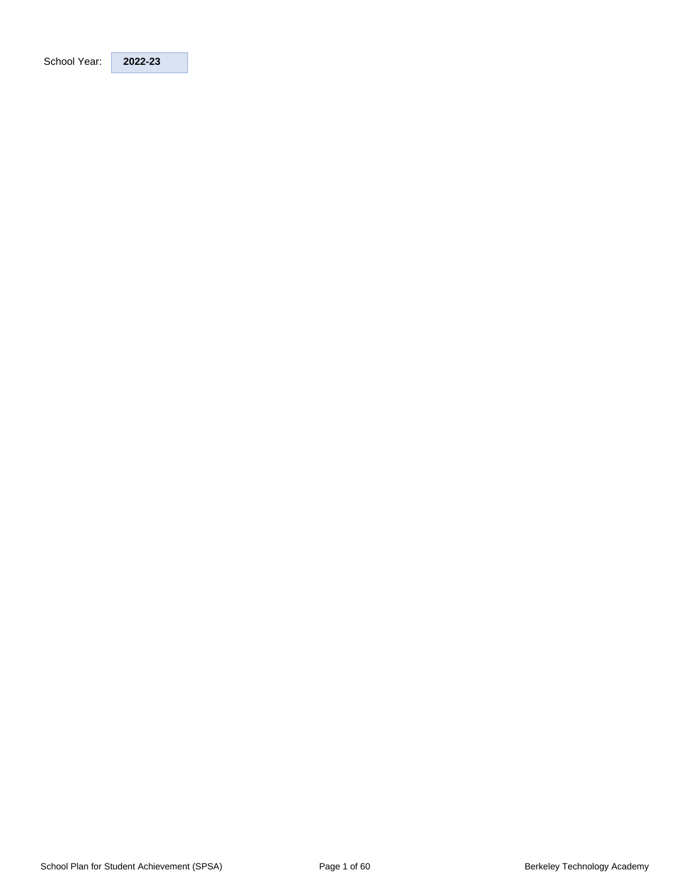| 2022-23 |
|---------|
|         |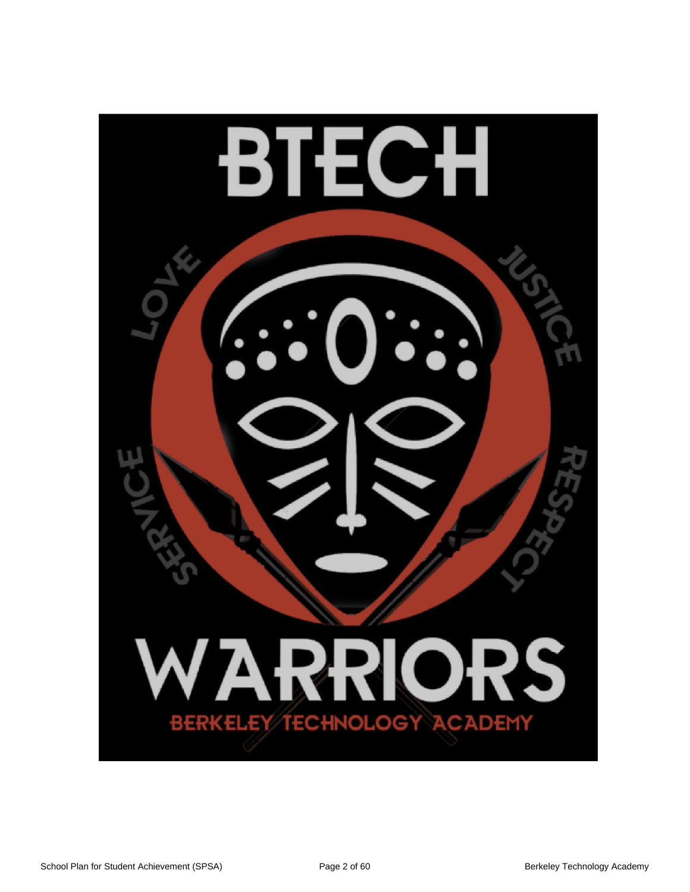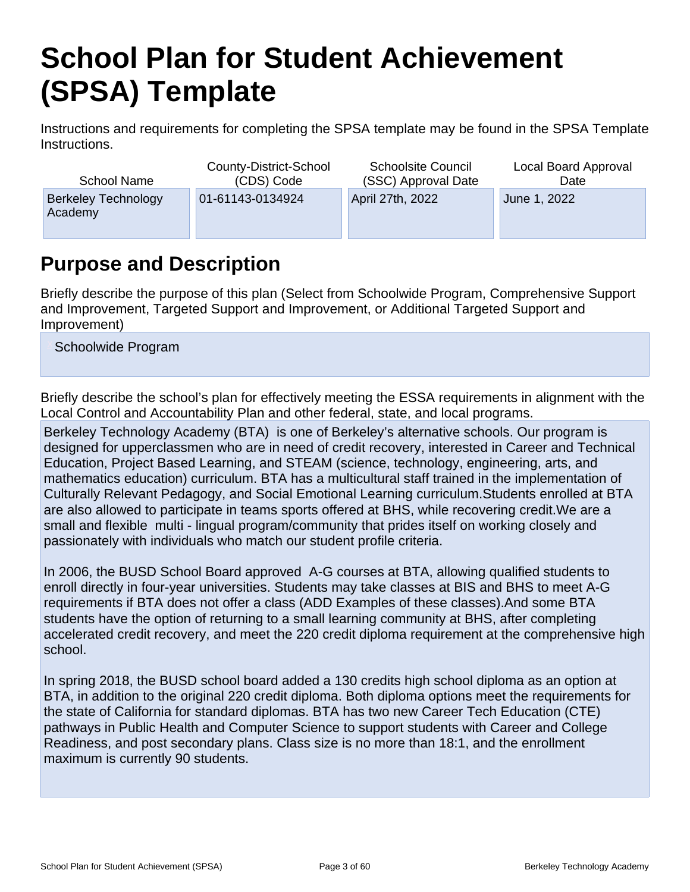# **School Plan for Student Achievement (SPSA) Template**

Instructions and requirements for completing the SPSA template may be found in the SPSA Template Instructions.

| School Name                           | County-District-School | <b>Schoolsite Council</b> | Local Board Approval |
|---------------------------------------|------------------------|---------------------------|----------------------|
|                                       | (CDS) Code             | (SSC) Approval Date       | Date                 |
| <b>Berkeley Technology</b><br>Academy | 01-61143-0134924       | April 27th, 2022          | June 1, 2022         |

## **Purpose and Description**

Briefly describe the purpose of this plan (Select from Schoolwide Program, Comprehensive Support and Improvement, Targeted Support and Improvement, or Additional Targeted Support and Improvement)

Schoolwide Program

Briefly describe the school's plan for effectively meeting the ESSA requirements in alignment with the Local Control and Accountability Plan and other federal, state, and local programs.

Berkeley Technology Academy (BTA) is one of Berkeley's alternative schools. Our program is designed for upperclassmen who are in need of credit recovery, interested in Career and Technical Education, Project Based Learning, and STEAM (science, technology, engineering, arts, and mathematics education) curriculum. BTA has a multicultural staff trained in the implementation of Culturally Relevant Pedagogy, and Social Emotional Learning curriculum.Students enrolled at BTA are also allowed to participate in teams sports offered at BHS, while recovering credit.We are a small and flexible multi - lingual program/community that prides itself on working closely and passionately with individuals who match our student profile criteria.

In 2006, the BUSD School Board approved A-G courses at BTA, allowing qualified students to enroll directly in four-year universities. Students may take classes at BIS and BHS to meet A-G requirements if BTA does not offer a class (ADD Examples of these classes).And some BTA students have the option of returning to a small learning community at BHS, after completing accelerated credit recovery, and meet the 220 credit diploma requirement at the comprehensive high school.

In spring 2018, the BUSD school board added a 130 credits high school diploma as an option at BTA, in addition to the original 220 credit diploma. Both diploma options meet the requirements for the state of California for standard diplomas. BTA has two new Career Tech Education (CTE) pathways in Public Health and Computer Science to support students with Career and College Readiness, and post secondary plans. Class size is no more than 18:1, and the enrollment maximum is currently 90 students.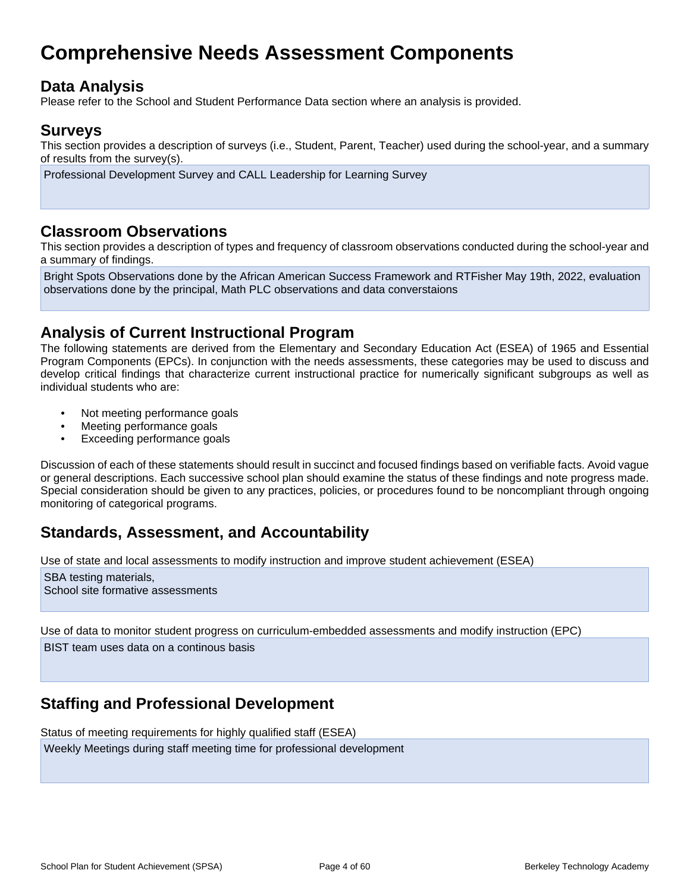## **Comprehensive Needs Assessment Components**

## **Data Analysis**

Please refer to the School and Student Performance Data section where an analysis is provided.

### **Surveys**

This section provides a description of surveys (i.e., Student, Parent, Teacher) used during the school-year, and a summary of results from the survey(s).

Professional Development Survey and CALL Leadership for Learning Survey

### **Classroom Observations**

This section provides a description of types and frequency of classroom observations conducted during the school-year and a summary of findings.

Bright Spots Observations done by the African American Success Framework and RTFisher May 19th, 2022, evaluation observations done by the principal, Math PLC observations and data converstaions

## **Analysis of Current Instructional Program**

The following statements are derived from the Elementary and Secondary Education Act (ESEA) of 1965 and Essential Program Components (EPCs). In conjunction with the needs assessments, these categories may be used to discuss and develop critical findings that characterize current instructional practice for numerically significant subgroups as well as individual students who are:

- Not meeting performance goals
- Meeting performance goals
- Exceeding performance goals

Discussion of each of these statements should result in succinct and focused findings based on verifiable facts. Avoid vague or general descriptions. Each successive school plan should examine the status of these findings and note progress made. Special consideration should be given to any practices, policies, or procedures found to be noncompliant through ongoing monitoring of categorical programs.

## **Standards, Assessment, and Accountability**

Use of state and local assessments to modify instruction and improve student achievement (ESEA)

SBA testing materials, School site formative assessments

Use of data to monitor student progress on curriculum-embedded assessments and modify instruction (EPC) BIST team uses data on a continous basis

## **Staffing and Professional Development**

Status of meeting requirements for highly qualified staff (ESEA) Weekly Meetings during staff meeting time for professional development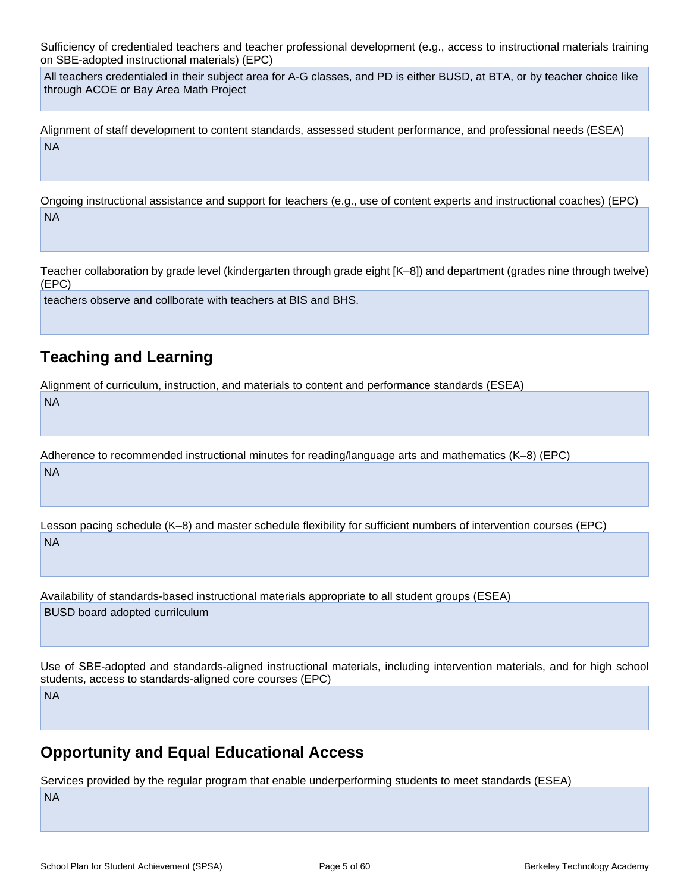Sufficiency of credentialed teachers and teacher professional development (e.g., access to instructional materials training on SBE-adopted instructional materials) (EPC)

All teachers credentialed in their subject area for A-G classes, and PD is either BUSD, at BTA, or by teacher choice like through ACOE or Bay Area Math Project

Alignment of staff development to content standards, assessed student performance, and professional needs (ESEA) NA

Ongoing instructional assistance and support for teachers (e.g., use of content experts and instructional coaches) (EPC) NA

Teacher collaboration by grade level (kindergarten through grade eight [K–8]) and department (grades nine through twelve) (EPC)

teachers observe and collborate with teachers at BIS and BHS.

## **Teaching and Learning**

NA

Alignment of curriculum, instruction, and materials to content and performance standards (ESEA)

Adherence to recommended instructional minutes for reading/language arts and mathematics (K–8) (EPC) NA

Lesson pacing schedule (K–8) and master schedule flexibility for sufficient numbers of intervention courses (EPC) NA

Availability of standards-based instructional materials appropriate to all student groups (ESEA) BUSD board adopted currilculum

Use of SBE-adopted and standards-aligned instructional materials, including intervention materials, and for high school students, access to standards-aligned core courses (EPC) NA

## **Opportunity and Equal Educational Access**

Services provided by the regular program that enable underperforming students to meet standards (ESEA) NA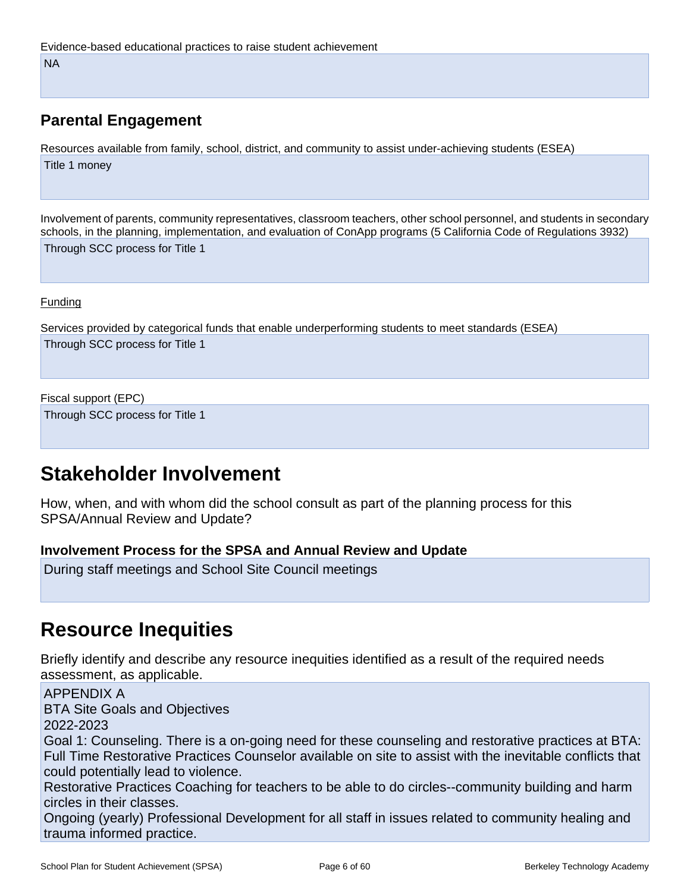## **Parental Engagement**

Resources available from family, school, district, and community to assist under-achieving students (ESEA) Title 1 money

Involvement of parents, community representatives, classroom teachers, other school personnel, and students in secondary schools, in the planning, implementation, and evaluation of ConApp programs (5 California Code of Regulations 3932)

Through SCC process for Title 1

#### Funding

Services provided by categorical funds that enable underperforming students to meet standards (ESEA) Through SCC process for Title 1

#### Fiscal support (EPC)

Through SCC process for Title 1

## **Stakeholder Involvement**

How, when, and with whom did the school consult as part of the planning process for this SPSA/Annual Review and Update?

### **Involvement Process for the SPSA and Annual Review and Update**

During staff meetings and School Site Council meetings

## **Resource Inequities**

Briefly identify and describe any resource inequities identified as a result of the required needs assessment, as applicable.

APPENDIX A BTA Site Goals and Objectives 2022-2023 Goal 1: Counseling. There is a on-going need for these counseling and restorative practices at BTA: Full Time Restorative Practices Counselor available on site to assist with the inevitable conflicts that could potentially lead to violence. Restorative Practices Coaching for teachers to be able to do circles--community building and harm

circles in their classes. Ongoing (yearly) Professional Development for all staff in issues related to community healing and

trauma informed practice.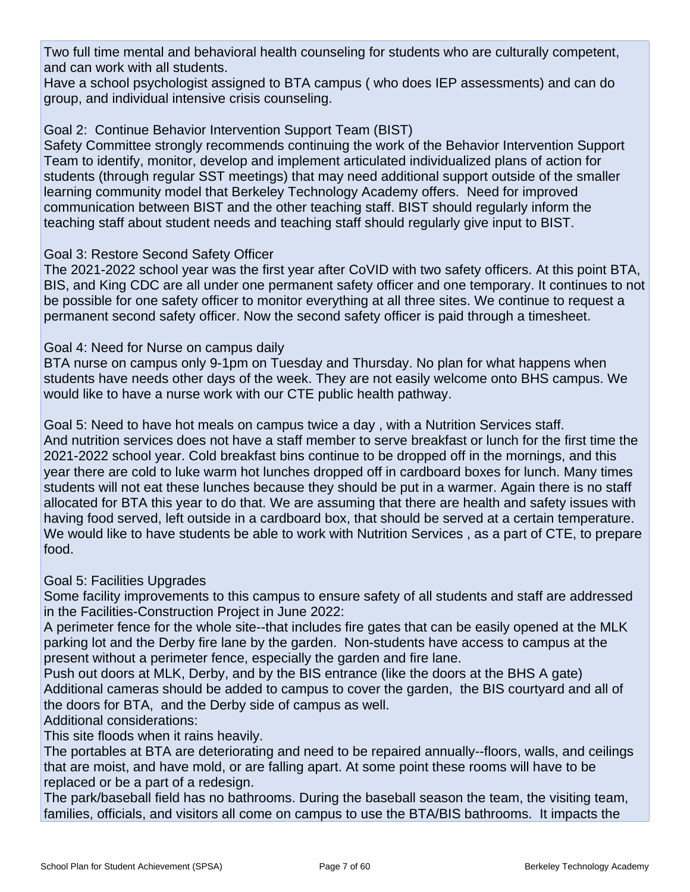Two full time mental and behavioral health counseling for students who are culturally competent, and can work with all students.

Have a school psychologist assigned to BTA campus ( who does IEP assessments) and can do group, and individual intensive crisis counseling.

Goal 2: Continue Behavior Intervention Support Team (BIST)

Safety Committee strongly recommends continuing the work of the Behavior Intervention Support Team to identify, monitor, develop and implement articulated individualized plans of action for students (through regular SST meetings) that may need additional support outside of the smaller learning community model that Berkeley Technology Academy offers. Need for improved communication between BIST and the other teaching staff. BIST should regularly inform the teaching staff about student needs and teaching staff should regularly give input to BIST.

### Goal 3: Restore Second Safety Officer

The 2021-2022 school year was the first year after CoVID with two safety officers. At this point BTA, BIS, and King CDC are all under one permanent safety officer and one temporary. It continues to not be possible for one safety officer to monitor everything at all three sites. We continue to request a permanent second safety officer. Now the second safety officer is paid through a timesheet.

### Goal 4: Need for Nurse on campus daily

BTA nurse on campus only 9-1pm on Tuesday and Thursday. No plan for what happens when students have needs other days of the week. They are not easily welcome onto BHS campus. We would like to have a nurse work with our CTE public health pathway.

Goal 5: Need to have hot meals on campus twice a day , with a Nutrition Services staff. And nutrition services does not have a staff member to serve breakfast or lunch for the first time the 2021-2022 school year. Cold breakfast bins continue to be dropped off in the mornings, and this year there are cold to luke warm hot lunches dropped off in cardboard boxes for lunch. Many times students will not eat these lunches because they should be put in a warmer. Again there is no staff allocated for BTA this year to do that. We are assuming that there are health and safety issues with having food served, left outside in a cardboard box, that should be served at a certain temperature. We would like to have students be able to work with Nutrition Services , as a part of CTE, to prepare food.

### Goal 5: Facilities Upgrades

Some facility improvements to this campus to ensure safety of all students and staff are addressed in the Facilities-Construction Project in June 2022:

A perimeter fence for the whole site--that includes fire gates that can be easily opened at the MLK parking lot and the Derby fire lane by the garden. Non-students have access to campus at the present without a perimeter fence, especially the garden and fire lane.

Push out doors at MLK, Derby, and by the BIS entrance (like the doors at the BHS A gate) Additional cameras should be added to campus to cover the garden, the BIS courtyard and all of the doors for BTA, and the Derby side of campus as well.

Additional considerations:

This site floods when it rains heavily.

The portables at BTA are deteriorating and need to be repaired annually--floors, walls, and ceilings that are moist, and have mold, or are falling apart. At some point these rooms will have to be replaced or be a part of a redesign.

The park/baseball field has no bathrooms. During the baseball season the team, the visiting team, families, officials, and visitors all come on campus to use the BTA/BIS bathrooms. It impacts the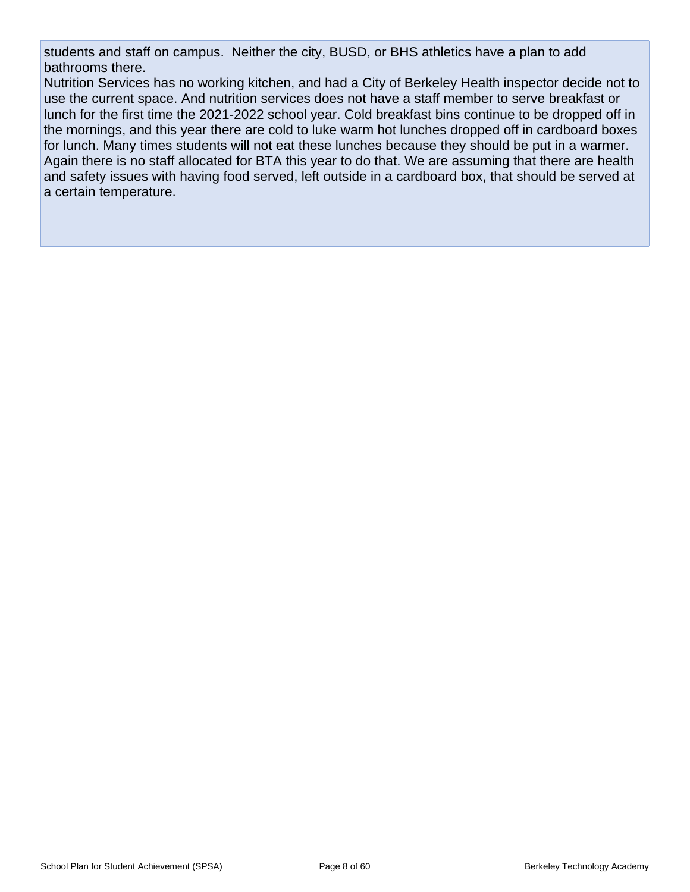students and staff on campus. Neither the city, BUSD, or BHS athletics have a plan to add bathrooms there.

Nutrition Services has no working kitchen, and had a City of Berkeley Health inspector decide not to use the current space. And nutrition services does not have a staff member to serve breakfast or lunch for the first time the 2021-2022 school year. Cold breakfast bins continue to be dropped off in the mornings, and this year there are cold to luke warm hot lunches dropped off in cardboard boxes for lunch. Many times students will not eat these lunches because they should be put in a warmer. Again there is no staff allocated for BTA this year to do that. We are assuming that there are health and safety issues with having food served, left outside in a cardboard box, that should be served at a certain temperature.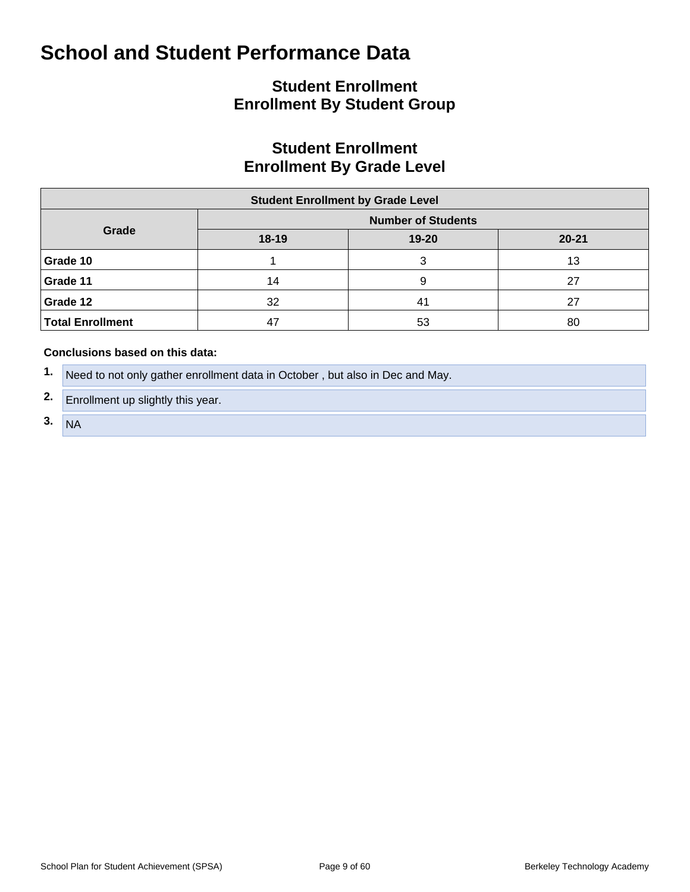## **Student Enrollment Enrollment By Student Group**

## **Student Enrollment Enrollment By Grade Level**

| <b>Student Enrollment by Grade Level</b> |                           |           |    |  |  |  |  |  |  |  |  |
|------------------------------------------|---------------------------|-----------|----|--|--|--|--|--|--|--|--|
|                                          | <b>Number of Students</b> |           |    |  |  |  |  |  |  |  |  |
| Grade                                    | $18-19$                   | $20 - 21$ |    |  |  |  |  |  |  |  |  |
| Grade 10                                 |                           | ົ         | 13 |  |  |  |  |  |  |  |  |
| Grade 11                                 | 14                        | 9         | 27 |  |  |  |  |  |  |  |  |
| Grade 12                                 | 32                        | 41        | 27 |  |  |  |  |  |  |  |  |
| <b>Total Enrollment</b>                  | 47                        | 53        | 80 |  |  |  |  |  |  |  |  |

- **1.** Need to not only gather enrollment data in October , but also in Dec and May.
- **2.** Enrollment up slightly this year.
- **3.** NA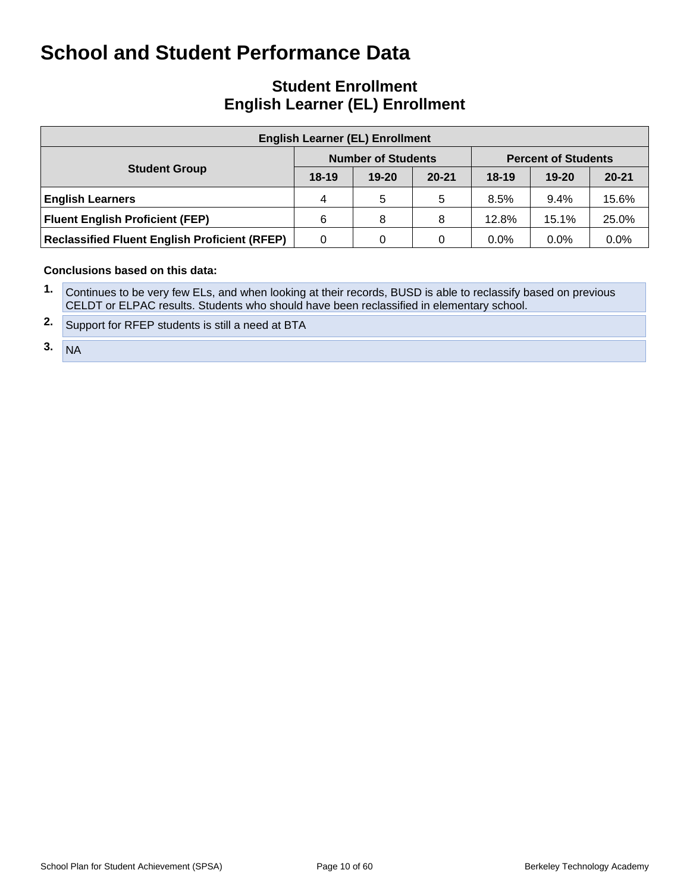## **Student Enrollment English Learner (EL) Enrollment**

| <b>English Learner (EL) Enrollment</b>               |                                                         |           |           |         |           |           |  |  |  |  |  |  |
|------------------------------------------------------|---------------------------------------------------------|-----------|-----------|---------|-----------|-----------|--|--|--|--|--|--|
|                                                      | <b>Number of Students</b><br><b>Percent of Students</b> |           |           |         |           |           |  |  |  |  |  |  |
| <b>Student Group</b>                                 | $18-19$                                                 | $19 - 20$ | $20 - 21$ | $18-19$ | $19 - 20$ | $20 - 21$ |  |  |  |  |  |  |
| <b>English Learners</b>                              | 4                                                       | 5         | 5         | 8.5%    | $9.4\%$   | 15.6%     |  |  |  |  |  |  |
| <b>Fluent English Proficient (FEP)</b>               | 6                                                       | 8         | 8         | 12.8%   | 15.1%     | 25.0%     |  |  |  |  |  |  |
| <b>Reclassified Fluent English Proficient (RFEP)</b> | 0                                                       | 0         | 0         | $0.0\%$ | $0.0\%$   | 0.0%      |  |  |  |  |  |  |

- **1.** Continues to be very few ELs, and when looking at their records, BUSD is able to reclassify based on previous CELDT or ELPAC results. Students who should have been reclassified in elementary school.
- **2.** Support for RFEP students is still a need at BTA
- $3. N_A$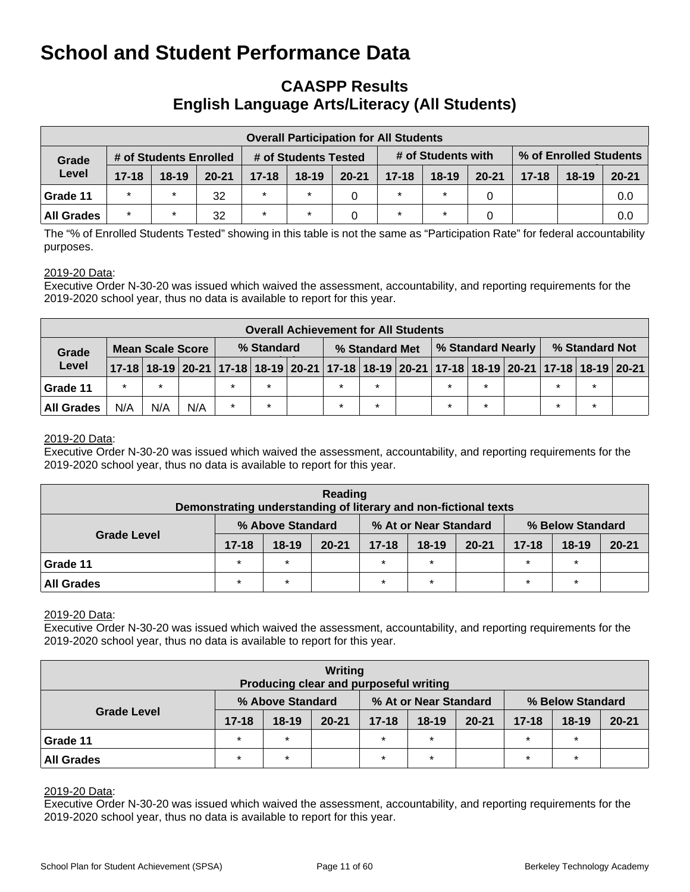## **CAASPP Results English Language Arts/Literacy (All Students)**

|                   | <b>Overall Participation for All Students</b> |                        |           |           |                      |           |           |                    |           |                        |         |           |  |  |
|-------------------|-----------------------------------------------|------------------------|-----------|-----------|----------------------|-----------|-----------|--------------------|-----------|------------------------|---------|-----------|--|--|
| Grade             |                                               | # of Students Enrolled |           |           | # of Students Tested |           |           | # of Students with |           | % of Enrolled Students |         |           |  |  |
| Level             | $17 - 18$                                     | $18-19$                | $20 - 21$ | $17 - 18$ | $18-19$              | $20 - 21$ | $17 - 18$ | $18 - 19$          | $20 - 21$ | $17 - 18$              | $18-19$ | $20 - 21$ |  |  |
| Grade 11          | $\star$                                       | $\star$                | 32        | $\star$   |                      |           | $\star$   | $\star$            | 0         |                        |         | 0.0       |  |  |
| <b>All Grades</b> | $\star$                                       | $\star$                | 32        | $\star$   |                      |           | $\star$   |                    |           |                        |         | 0.0       |  |  |

The "% of Enrolled Students Tested" showing in this table is not the same as "Participation Rate" for federal accountability purposes.

#### 2019-20 Data:

Executive Order N-30-20 was issued which waived the assessment, accountability, and reporting requirements for the 2019-2020 school year, thus no data is available to report for this year.

|                   | <b>Overall Achievement for All Students</b> |         |     |            |         |  |                |         |  |         |         |                          |                                                                                                                       |         |  |
|-------------------|---------------------------------------------|---------|-----|------------|---------|--|----------------|---------|--|---------|---------|--------------------------|-----------------------------------------------------------------------------------------------------------------------|---------|--|
| Grade             | Mean Scale Score                            |         |     | % Standard |         |  | % Standard Met |         |  |         |         | <b>% Standard Nearly</b> | % Standard Not                                                                                                        |         |  |
| Level             |                                             |         |     |            |         |  |                |         |  |         |         |                          | 17-18   18-19   20-21   17-18   18-19   20-21   17-18   18-19   20-21   17-18   18-19   20-21   17-18   18-19   20-21 |         |  |
| Grade 11          | $\star$                                     | $\star$ |     | $\star$    |         |  |                | $\star$ |  | $\star$ | $\star$ |                          | $\star$                                                                                                               | $\star$ |  |
| <b>All Grades</b> | N/A                                         | N/A     | N/A | $\star$    | $\star$ |  |                | $\star$ |  | $\star$ | $\star$ |                          | $\star$                                                                                                               | $\star$ |  |

#### 2019-20 Data:

Executive Order N-30-20 was issued which waived the assessment, accountability, and reporting requirements for the 2019-2020 school year, thus no data is available to report for this year.

| Reading<br>Demonstrating understanding of literary and non-fictional texts |                                           |         |           |           |           |           |           |                  |           |  |  |  |
|----------------------------------------------------------------------------|-------------------------------------------|---------|-----------|-----------|-----------|-----------|-----------|------------------|-----------|--|--|--|
| <b>Grade Level</b>                                                         | % At or Near Standard<br>% Above Standard |         |           |           |           |           |           | % Below Standard |           |  |  |  |
|                                                                            | $17 - 18$                                 | $18-19$ | $20 - 21$ | $17 - 18$ | $18 - 19$ | $20 - 21$ | $17 - 18$ | $18 - 19$        | $20 - 21$ |  |  |  |
| Grade 11                                                                   | $\star$                                   | $\star$ |           | $\star$   | $\star$   |           | $\star$   | $\star$          |           |  |  |  |
| <b>All Grades</b>                                                          | $\star$                                   | $\star$ |           | $\star$   | $\star$   |           | $\star$   | $\star$          |           |  |  |  |

#### 2019-20 Data:

Executive Order N-30-20 was issued which waived the assessment, accountability, and reporting requirements for the 2019-2020 school year, thus no data is available to report for this year.

| Writing<br>Producing clear and purposeful writing |           |                  |           |           |                       |           |                  |           |           |  |  |
|---------------------------------------------------|-----------|------------------|-----------|-----------|-----------------------|-----------|------------------|-----------|-----------|--|--|
| <b>Grade Level</b>                                |           | % Above Standard |           |           | % At or Near Standard |           | % Below Standard |           |           |  |  |
|                                                   | $17 - 18$ | $18 - 19$        | $20 - 21$ | $17 - 18$ | $18 - 19$             | $20 - 21$ | $17 - 18$        | $18 - 19$ | $20 - 21$ |  |  |
| Grade 11                                          | $\star$   | $\star$          |           | $\star$   | $\star$               |           | $\star$          | $\star$   |           |  |  |
| <b>All Grades</b>                                 | $\star$   | $\star$          |           | $\star$   | $\star$               |           | $\star$          | $\star$   |           |  |  |

#### 2019-20 Data:

Executive Order N-30-20 was issued which waived the assessment, accountability, and reporting requirements for the 2019-2020 school year, thus no data is available to report for this year.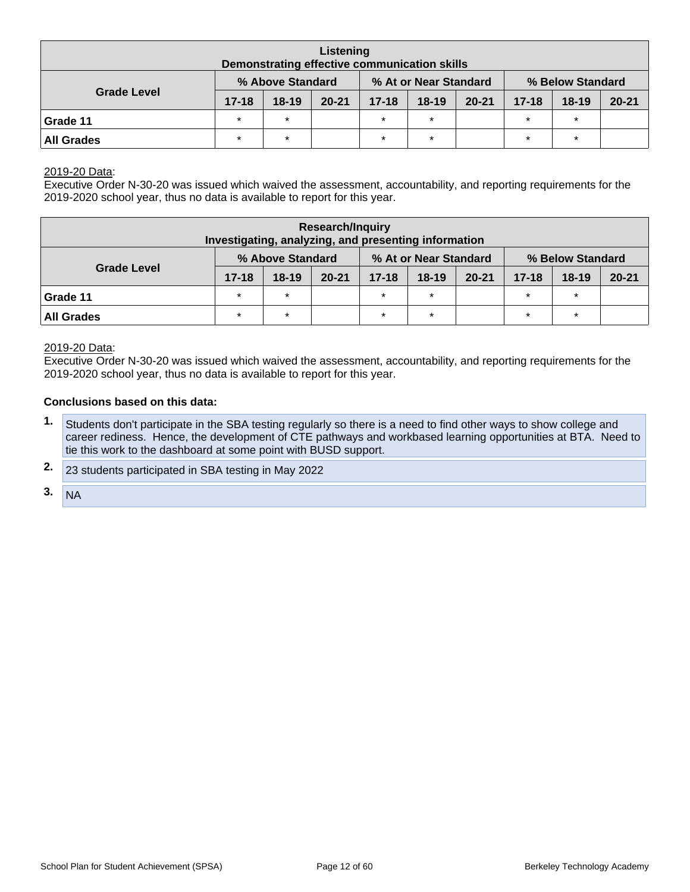| Listening<br>Demonstrating effective communication skills |           |                  |           |           |                       |           |                  |           |           |  |  |  |
|-----------------------------------------------------------|-----------|------------------|-----------|-----------|-----------------------|-----------|------------------|-----------|-----------|--|--|--|
| <b>Grade Level</b>                                        |           | % Above Standard |           |           | % At or Near Standard |           | % Below Standard |           |           |  |  |  |
|                                                           | $17 - 18$ | $18 - 19$        | $20 - 21$ | $17 - 18$ | $18 - 19$             | $20 - 21$ | $17 - 18$        | $18 - 19$ | $20 - 21$ |  |  |  |
| Grade 11                                                  | $\star$   | $\star$          |           | $\star$   | $\star$               |           | $\star$          | $\star$   |           |  |  |  |
| All Grades                                                | $\star$   | $\star$          |           | $\star$   | $\star$               |           | $\star$          | $\star$   |           |  |  |  |

2019-20 Data:

Executive Order N-30-20 was issued which waived the assessment, accountability, and reporting requirements for the 2019-2020 school year, thus no data is available to report for this year.

| <b>Research/Inquiry</b><br>Investigating, analyzing, and presenting information |           |                  |           |                       |                  |           |           |           |           |  |  |  |
|---------------------------------------------------------------------------------|-----------|------------------|-----------|-----------------------|------------------|-----------|-----------|-----------|-----------|--|--|--|
| <b>Grade Level</b>                                                              |           | % Above Standard |           | % At or Near Standard | % Below Standard |           |           |           |           |  |  |  |
|                                                                                 | $17 - 18$ | $18 - 19$        | $20 - 21$ | $17 - 18$             | $18 - 19$        | $20 - 21$ | $17 - 18$ | $18 - 19$ | $20 - 21$ |  |  |  |
| Grade 11                                                                        | $\star$   | $\star$          |           | $\star$               |                  |           | $\star$   | $\star$   |           |  |  |  |
| <b>All Grades</b>                                                               | $\star$   | $\ast$           |           | $\ast$                | $\star$          |           | $\star$   | $\ast$    |           |  |  |  |

#### 2019-20 Data:

Executive Order N-30-20 was issued which waived the assessment, accountability, and reporting requirements for the 2019-2020 school year, thus no data is available to report for this year.

- **1.** Students don't participate in the SBA testing regularly so there is a need to find other ways to show college and career rediness. Hence, the development of CTE pathways and workbased learning opportunities at BTA. Need to tie this work to the dashboard at some point with BUSD support.
- **2.** 23 students participated in SBA testing in May 2022
- $3. N_A$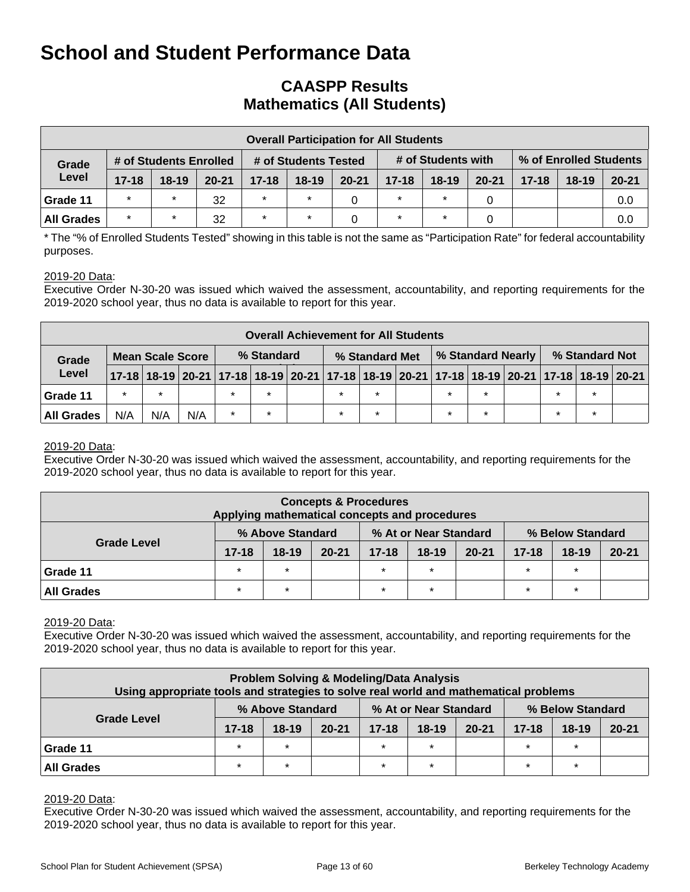## **CAASPP Results Mathematics (All Students)**

|                   | <b>Overall Participation for All Students</b> |                        |           |           |                      |           |           |                    |           |                        |         |           |  |  |
|-------------------|-----------------------------------------------|------------------------|-----------|-----------|----------------------|-----------|-----------|--------------------|-----------|------------------------|---------|-----------|--|--|
| Grade             |                                               | # of Students Enrolled |           |           | # of Students Tested |           |           | # of Students with |           | % of Enrolled Students |         |           |  |  |
| Level             | $17 - 18$                                     | $18 - 19$              | $20 - 21$ | $17 - 18$ | $18 - 19$            | $20 - 21$ | $17 - 18$ | $18 - 19$          | $20 - 21$ | $17 - 18$              | $18-19$ | $20 - 21$ |  |  |
| Grade 11          | $\star$                                       | $\star$                | 32        | $\star$   |                      |           | $\star$   | $\star$            |           |                        |         | 0.0       |  |  |
| <b>All Grades</b> | $\star$                                       | $\star$                | 32        | $\star$   |                      |           | $\star$   | $\star$            |           |                        |         | 0.0       |  |  |

\* The "% of Enrolled Students Tested" showing in this table is not the same as "Participation Rate" for federal accountability purposes.

#### 2019-20 Data:

Executive Order N-30-20 was issued which waived the assessment, accountability, and reporting requirements for the 2019-2020 school year, thus no data is available to report for this year.

|                   | <b>Overall Achievement for All Students</b> |         |     |            |         |  |                |         |  |                   |         |                                                                                           |                |         |  |
|-------------------|---------------------------------------------|---------|-----|------------|---------|--|----------------|---------|--|-------------------|---------|-------------------------------------------------------------------------------------------|----------------|---------|--|
| Grade             | <b>Mean Scale Score</b>                     |         |     | % Standard |         |  | % Standard Met |         |  | % Standard Nearly |         |                                                                                           | % Standard Not |         |  |
| Level             |                                             |         |     |            |         |  |                |         |  |                   |         | 17-18 18-19 20-21 17-18 18-19 20-21 17-18 18-19 20-21 17-18 18-19 20-21 17-18 18-19 20-21 |                |         |  |
| Grade 11          | $\star$                                     | $\star$ |     | $\star$    | $\star$ |  | $\star$        | $\star$ |  | $\star$           | $\star$ |                                                                                           | $\star$        | $\star$ |  |
| <b>All Grades</b> | N/A                                         | N/A     | N/A | $\star$    | *       |  |                | $\star$ |  | $\star$           | $\star$ |                                                                                           | $\star$        | $\star$ |  |

#### 2019-20 Data:

Executive Order N-30-20 was issued which waived the assessment, accountability, and reporting requirements for the 2019-2020 school year, thus no data is available to report for this year.

|                                                               | <b>Concepts &amp; Procedures</b><br>Applying mathematical concepts and procedures |           |           |                                     |         |  |           |           |           |  |  |  |  |
|---------------------------------------------------------------|-----------------------------------------------------------------------------------|-----------|-----------|-------------------------------------|---------|--|-----------|-----------|-----------|--|--|--|--|
| % At or Near Standard<br>% Above Standard<br>% Below Standard |                                                                                   |           |           |                                     |         |  |           |           |           |  |  |  |  |
| <b>Grade Level</b>                                            | $17 - 18$                                                                         | $18 - 19$ | $20 - 21$ | $18 - 19$<br>$20 - 21$<br>$17 - 18$ |         |  | $17 - 18$ | $18 - 19$ | $20 - 21$ |  |  |  |  |
| Grade 11                                                      | $\star$                                                                           | $\star$   |           | $\star$                             | $\star$ |  | $\star$   | $\star$   |           |  |  |  |  |
| <b>All Grades</b>                                             | $\star$<br>$\star$<br>$\star$<br>$\star$<br>$\star$<br>$\star$                    |           |           |                                     |         |  |           |           |           |  |  |  |  |

#### 2019-20 Data:

Executive Order N-30-20 was issued which waived the assessment, accountability, and reporting requirements for the 2019-2020 school year, thus no data is available to report for this year.

| Using appropriate tools and strategies to solve real world and mathematical problems |           |         | <b>Problem Solving &amp; Modeling/Data Analysis</b> |           |           |           |           |           |           |  |  |  |
|--------------------------------------------------------------------------------------|-----------|---------|-----------------------------------------------------|-----------|-----------|-----------|-----------|-----------|-----------|--|--|--|
| % At or Near Standard<br>% Below Standard<br>% Above Standard                        |           |         |                                                     |           |           |           |           |           |           |  |  |  |
| <b>Grade Level</b>                                                                   | $17 - 18$ | $18-19$ | $20 - 21$                                           | $17 - 18$ | $18 - 19$ | $20 - 21$ | $17 - 18$ | $18 - 19$ | $20 - 21$ |  |  |  |
| Grade 11                                                                             | $\star$   | $\star$ |                                                     |           | $\star$   |           | $\star$   | $\star$   |           |  |  |  |
| $\star$<br>$\star$<br>$\star$<br>$\star$<br>÷<br><b>All Grades</b><br>$\star$        |           |         |                                                     |           |           |           |           |           |           |  |  |  |

#### 2019-20 Data:

Executive Order N-30-20 was issued which waived the assessment, accountability, and reporting requirements for the 2019-2020 school year, thus no data is available to report for this year.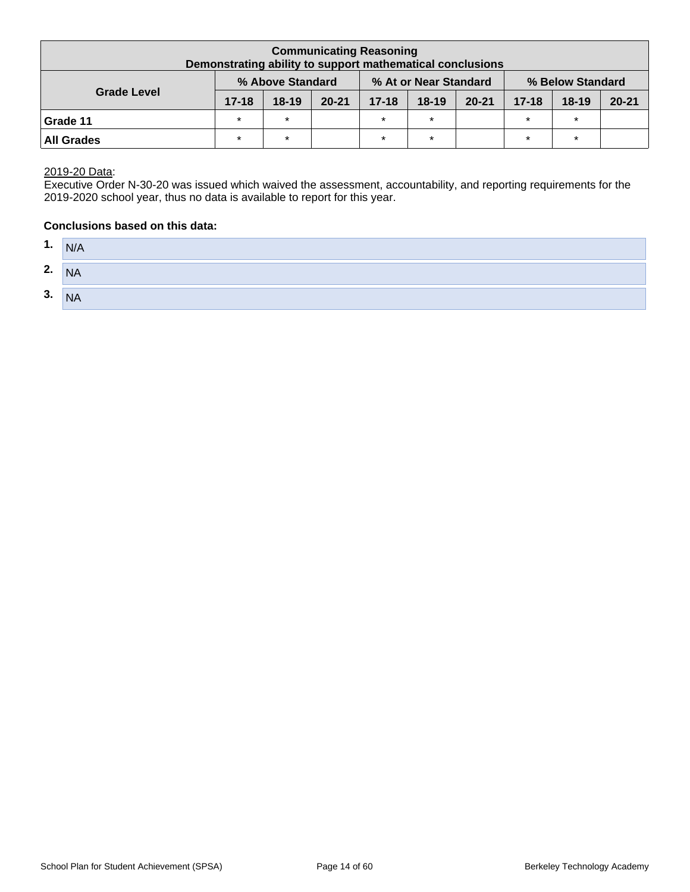|                                                               | <b>Communicating Reasoning</b><br>Demonstrating ability to support mathematical conclusions |           |           |           |           |           |           |           |           |  |  |  |  |  |
|---------------------------------------------------------------|---------------------------------------------------------------------------------------------|-----------|-----------|-----------|-----------|-----------|-----------|-----------|-----------|--|--|--|--|--|
| % Above Standard<br>% At or Near Standard<br>% Below Standard |                                                                                             |           |           |           |           |           |           |           |           |  |  |  |  |  |
| <b>Grade Level</b>                                            | $17 - 18$                                                                                   | $18 - 19$ | $20 - 21$ | $17 - 18$ | $18 - 19$ | $20 - 21$ | $17 - 18$ | $18 - 19$ | $20 - 21$ |  |  |  |  |  |
| Grade 11                                                      | $\star$                                                                                     | $\star$   |           | $\star$   | $\star$   |           | $\star$   | $\star$   |           |  |  |  |  |  |
| <b>All Grades</b>                                             | $\star$                                                                                     | $\star$   |           | $\star$   | $\star$   |           | $\star$   | $\star$   |           |  |  |  |  |  |

2019-20 Data:

Executive Order N-30-20 was issued which waived the assessment, accountability, and reporting requirements for the 2019-2020 school year, thus no data is available to report for this year.

| 1. | N/A       |
|----|-----------|
| 2. | <b>NA</b> |
| 3. | <b>NA</b> |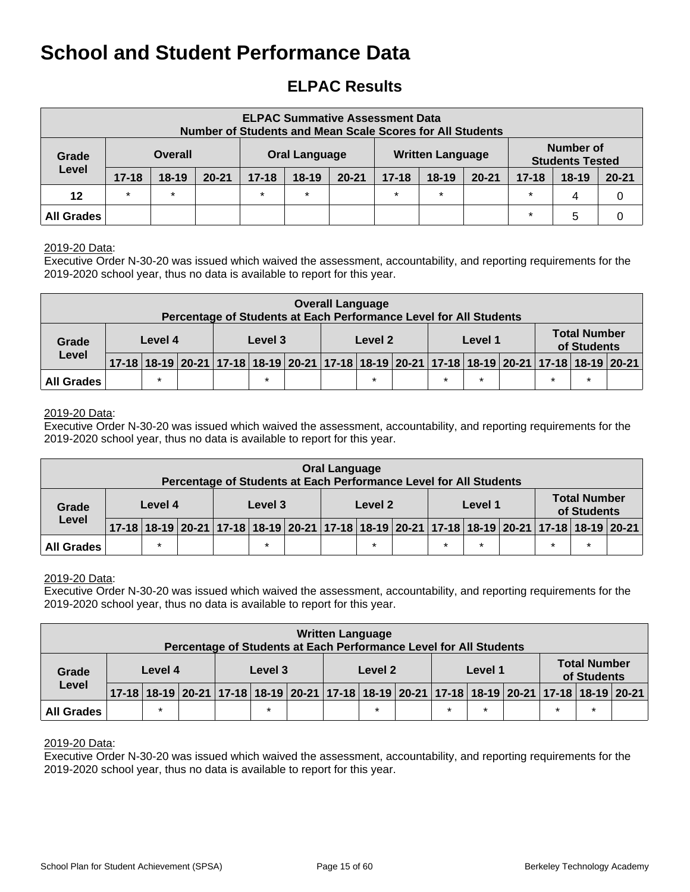## **ELPAC Results**

|                   |           |                |           | <b>Number of Students and Mean Scale Scores for All Students</b> | <b>ELPAC Summative Assessment Data</b> |           |           |                         |           |           |                                     |           |
|-------------------|-----------|----------------|-----------|------------------------------------------------------------------|----------------------------------------|-----------|-----------|-------------------------|-----------|-----------|-------------------------------------|-----------|
| Grade             |           | <b>Overall</b> |           | <b>Oral Language</b>                                             |                                        |           |           | <b>Written Language</b> |           |           | Number of<br><b>Students Tested</b> |           |
| Level             | $17 - 18$ | $18-19$        | $20 - 21$ | $17 - 18$                                                        | $18-19$                                | $20 - 21$ | $17 - 18$ | $18-19$                 | $20 - 21$ | $17 - 18$ | $18 - 19$                           | $20 - 21$ |
| 12                | $\star$   | $\star$        |           | $\star$                                                          | $\star$                                |           | $\star$   | $\star$                 |           | $\star$   | 4                                   | 0         |
| <b>All Grades</b> |           |                |           |                                                                  |                                        |           |           |                         |           | $\star$   | 5                                   |           |

#### 2019-20 Data:

Executive Order N-30-20 was issued which waived the assessment, accountability, and reporting requirements for the 2019-2020 school year, thus no data is available to report for this year.

|                                                                                                                                                                                                               |  |         |  | Percentage of Students at Each Performance Level for All Students |  |  | <b>Overall Language</b> |         |  |  |         |  |  |                                    |  |
|---------------------------------------------------------------------------------------------------------------------------------------------------------------------------------------------------------------|--|---------|--|-------------------------------------------------------------------|--|--|-------------------------|---------|--|--|---------|--|--|------------------------------------|--|
| Grade<br>Level                                                                                                                                                                                                |  | Level 4 |  | Level 3                                                           |  |  |                         | Level 2 |  |  | Level 1 |  |  | <b>Total Number</b><br>of Students |  |
|                                                                                                                                                                                                               |  |         |  |                                                                   |  |  |                         |         |  |  |         |  |  |                                    |  |
| 17-18 18-19 20-21 17-18 18-19 20-21 17-18 18-19 20-21 17-18 18-19 20-21 17-18 18-19 20-21 17-18 18-19 20-21<br>$\star$<br>$\star$<br>$\star$<br>$\star$<br>$\star$<br>$\star$<br>$\star$<br><b>All Grades</b> |  |         |  |                                                                   |  |  |                         |         |  |  |         |  |  |                                    |  |

#### 2019-20 Data:

Executive Order N-30-20 was issued which waived the assessment, accountability, and reporting requirements for the 2019-2020 school year, thus no data is available to report for this year.

|                                                                                                                                                                                                                  |         |  |  |         |  |  | <b>Oral Language</b><br>Percentage of Students at Each Performance Level for All Students |         |  |  |         |  |                                    |  |
|------------------------------------------------------------------------------------------------------------------------------------------------------------------------------------------------------------------|---------|--|--|---------|--|--|-------------------------------------------------------------------------------------------|---------|--|--|---------|--|------------------------------------|--|
| Grade                                                                                                                                                                                                            | Level 4 |  |  | Level 3 |  |  |                                                                                           | Level 2 |  |  | Level 1 |  | <b>Total Number</b><br>of Students |  |
| Level                                                                                                                                                                                                            |         |  |  |         |  |  |                                                                                           |         |  |  |         |  |                                    |  |
| 17-18   18-19   20-21   17-18   18-19   20-21   17-18   18-19   20-21   17-18   18-19   20-21   17-18   18-19   20-21<br>$\star$<br>$\star$<br>$\star$<br>$\star$<br>$\star$<br>$\star$<br>$\star$<br>All Grades |         |  |  |         |  |  |                                                                                           |         |  |  |         |  |                                    |  |

#### 2019-20 Data:

Executive Order N-30-20 was issued which waived the assessment, accountability, and reporting requirements for the 2019-2020 school year, thus no data is available to report for this year.

|                   |                                                                                                                                                                        |  |  | Percentage of Students at Each Performance Level for All Students |  |  | <b>Written Language</b> |         |  |  |         |  |                                    |  |
|-------------------|------------------------------------------------------------------------------------------------------------------------------------------------------------------------|--|--|-------------------------------------------------------------------|--|--|-------------------------|---------|--|--|---------|--|------------------------------------|--|
| Grade<br>Level    | Level 4                                                                                                                                                                |  |  | Level 3                                                           |  |  |                         | Level 2 |  |  | Level 1 |  | <b>Total Number</b><br>of Students |  |
|                   |                                                                                                                                                                        |  |  |                                                                   |  |  |                         |         |  |  |         |  |                                    |  |
| <b>All Grades</b> | 17-18 18-19 20-21 17-18 18-19 20-21 17-18 18-19 20-21 17-18 18-19 20-21 17-18 18-19 20-21<br>$\star$<br>$\star$<br>$\star$<br>$\star$<br>$\star$<br>$\star$<br>$\star$ |  |  |                                                                   |  |  |                         |         |  |  |         |  |                                    |  |

#### 2019-20 Data:

Executive Order N-30-20 was issued which waived the assessment, accountability, and reporting requirements for the 2019-2020 school year, thus no data is available to report for this year.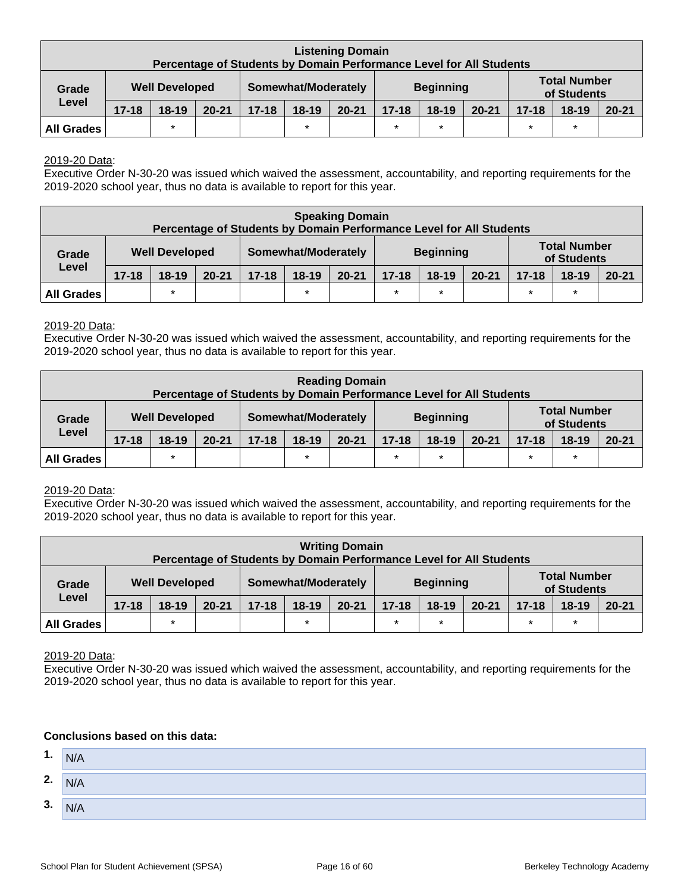|                                                                                                                 |           |           | Percentage of Students by Domain Performance Level for All Students |           |           | <b>Listening Domain</b> |           |         |           |           |           |           |
|-----------------------------------------------------------------------------------------------------------------|-----------|-----------|---------------------------------------------------------------------|-----------|-----------|-------------------------|-----------|---------|-----------|-----------|-----------|-----------|
| <b>Total Number</b><br>Somewhat/Moderately<br><b>Beginning</b><br><b>Well Developed</b><br>Grade<br>of Students |           |           |                                                                     |           |           |                         |           |         |           |           |           |           |
| Level                                                                                                           | $17 - 18$ | $18 - 19$ | $20 - 21$                                                           | $17 - 18$ | $18 - 19$ | $20 - 21$               | $17 - 18$ | $18-19$ | $20 - 21$ | $17 - 18$ | $18 - 19$ | $20 - 21$ |
| $\star$<br>$\ast$<br>$\star$<br>$\star$<br>$\star$<br>$\star$<br><b>All Grades</b>                              |           |           |                                                                     |           |           |                         |           |         |           |           |           |           |

#### 2019-20 Data:

Executive Order N-30-20 was issued which waived the assessment, accountability, and reporting requirements for the 2019-2020 school year, thus no data is available to report for this year.

|                                                                                     |                       |           |           |           | Percentage of Students by Domain Performance Level for All Students | <b>Speaking Domain</b> |           |                  |           |           |                                    |           |
|-------------------------------------------------------------------------------------|-----------------------|-----------|-----------|-----------|---------------------------------------------------------------------|------------------------|-----------|------------------|-----------|-----------|------------------------------------|-----------|
| Grade                                                                               | <b>Well Developed</b> |           |           |           | Somewhat/Moderately                                                 |                        |           | <b>Beginning</b> |           |           | <b>Total Number</b><br>of Students |           |
| Level                                                                               | $17 - 18$             | $18 - 19$ | $20 - 21$ | $17 - 18$ | $18 - 19$                                                           | $20 - 21$              | $17 - 18$ | $18-19$          | $20 - 21$ | $17 - 18$ | $18-19$                            | $20 - 21$ |
| $\star$<br>$\star$<br>$\star$<br>$\star$<br>$\star$<br>$\star$<br><b>All Grades</b> |                       |           |           |           |                                                                     |                        |           |                  |           |           |                                    |           |

#### 2019-20 Data:

Executive Order N-30-20 was issued which waived the assessment, accountability, and reporting requirements for the 2019-2020 school year, thus no data is available to report for this year.

|                   |                       |           |           |                     | Percentage of Students by Domain Performance Level for All Students | <b>Reading Domain</b> |           |                  |           |           |                                    |           |
|-------------------|-----------------------|-----------|-----------|---------------------|---------------------------------------------------------------------|-----------------------|-----------|------------------|-----------|-----------|------------------------------------|-----------|
| Grade<br>Level    | <b>Well Developed</b> |           |           | Somewhat/Moderately |                                                                     |                       |           | <b>Beginning</b> |           |           | <b>Total Number</b><br>of Students |           |
|                   | $17 - 18$             | $18 - 19$ | $20 - 21$ | $17 - 18$           | $18-19$                                                             | $20 - 21$             | $17 - 18$ | $18 - 19$        | $20 - 21$ | $17 - 18$ | $18 - 19$                          | $20 - 21$ |
| <b>All Grades</b> |                       | $\star$   |           |                     | $\star$                                                             |                       | $\ast$    | $\star$          |           | $\star$   | $\ast$                             |           |

#### 2019-20 Data:

Executive Order N-30-20 was issued which waived the assessment, accountability, and reporting requirements for the 2019-2020 school year, thus no data is available to report for this year.

|                   |                                                                |           | Percentage of Students by Domain Performance Level for All Students |                     |         | <b>Writing Domain</b> |           |                  |           |           |                                    |           |  |  |
|-------------------|----------------------------------------------------------------|-----------|---------------------------------------------------------------------|---------------------|---------|-----------------------|-----------|------------------|-----------|-----------|------------------------------------|-----------|--|--|
| Grade             | <b>Well Developed</b>                                          |           |                                                                     | Somewhat/Moderately |         |                       |           | <b>Beginning</b> |           |           | <b>Total Number</b><br>of Students |           |  |  |
| Level             | $17 - 18$                                                      | $18 - 19$ | $20 - 21$                                                           | $17 - 18$           | $18-19$ | $20 - 21$             | $17 - 18$ | $18-19$          | $20 - 21$ | $17 - 18$ | $18 - 19$                          | $20 - 21$ |  |  |
| <b>All Grades</b> | $\star$<br>$\star$<br>$\star$<br>$\star$<br>$\star$<br>$\star$ |           |                                                                     |                     |         |                       |           |                  |           |           |                                    |           |  |  |

2019-20 Data:

Executive Order N-30-20 was issued which waived the assessment, accountability, and reporting requirements for the 2019-2020 school year, thus no data is available to report for this year.

| 1. | N/A |
|----|-----|
| 2. | N/A |
| 3. | N/A |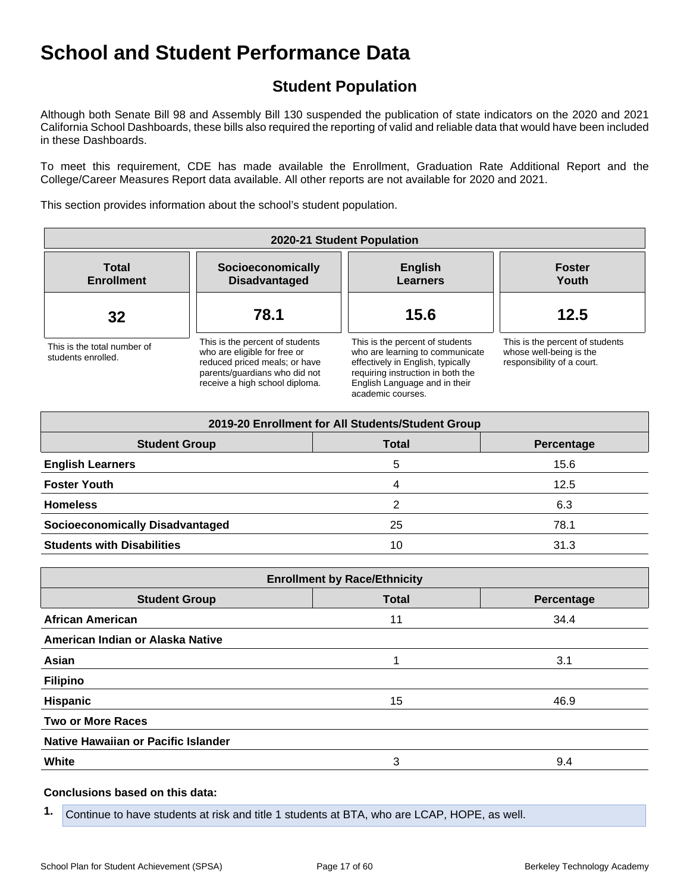## **Student Population**

Although both Senate Bill 98 and Assembly Bill 130 suspended the publication of state indicators on the 2020 and 2021 California School Dashboards, these bills also required the reporting of valid and reliable data that would have been included in these Dashboards.

To meet this requirement, CDE has made available the Enrollment, Graduation Rate Additional Report and the College/Career Measures Report data available. All other reports are not available for 2020 and 2021.

This section provides information about the school's student population.

| 2020-21 Student Population                        |                                                                                                                                                                     |                                                                                                                                                                                                    |                                                                                          |  |  |
|---------------------------------------------------|---------------------------------------------------------------------------------------------------------------------------------------------------------------------|----------------------------------------------------------------------------------------------------------------------------------------------------------------------------------------------------|------------------------------------------------------------------------------------------|--|--|
| <b>Total</b><br><b>Enrollment</b>                 | Socioeconomically<br><b>Disadvantaged</b>                                                                                                                           | <b>English</b><br><b>Learners</b>                                                                                                                                                                  | <b>Foster</b><br>Youth                                                                   |  |  |
| 32                                                | 15.6<br>78.1                                                                                                                                                        |                                                                                                                                                                                                    | 12.5                                                                                     |  |  |
| This is the total number of<br>students enrolled. | This is the percent of students<br>who are eligible for free or<br>reduced priced meals; or have<br>parents/quardians who did not<br>receive a high school diploma. | This is the percent of students<br>who are learning to communicate<br>effectively in English, typically<br>requiring instruction in both the<br>English Language and in their<br>academic courses. | This is the percent of students<br>whose well-being is the<br>responsibility of a court. |  |  |

| 2019-20 Enrollment for All Students/Student Group  |    |      |  |  |  |
|----------------------------------------------------|----|------|--|--|--|
| <b>Student Group</b><br><b>Total</b><br>Percentage |    |      |  |  |  |
| <b>English Learners</b>                            | 5  | 15.6 |  |  |  |
| <b>Foster Youth</b>                                | 4  | 12.5 |  |  |  |
| <b>Homeless</b>                                    | 2  | 6.3  |  |  |  |
| <b>Socioeconomically Disadvantaged</b>             | 25 | 78.1 |  |  |  |
| <b>Students with Disabilities</b>                  | 10 | 31.3 |  |  |  |

| <b>Enrollment by Race/Ethnicity</b> |              |            |  |  |  |
|-------------------------------------|--------------|------------|--|--|--|
| <b>Student Group</b>                | <b>Total</b> | Percentage |  |  |  |
| <b>African American</b>             | 11           | 34.4       |  |  |  |
| American Indian or Alaska Native    |              |            |  |  |  |
| Asian                               |              | 3.1        |  |  |  |
| <b>Filipino</b>                     |              |            |  |  |  |
| <b>Hispanic</b>                     | 15           | 46.9       |  |  |  |
| <b>Two or More Races</b>            |              |            |  |  |  |
| Native Hawaiian or Pacific Islander |              |            |  |  |  |
| White                               | 3            | 9.4        |  |  |  |

#### **Conclusions based on this data:**

**1.** Continue to have students at risk and title 1 students at BTA, who are LCAP, HOPE, as well.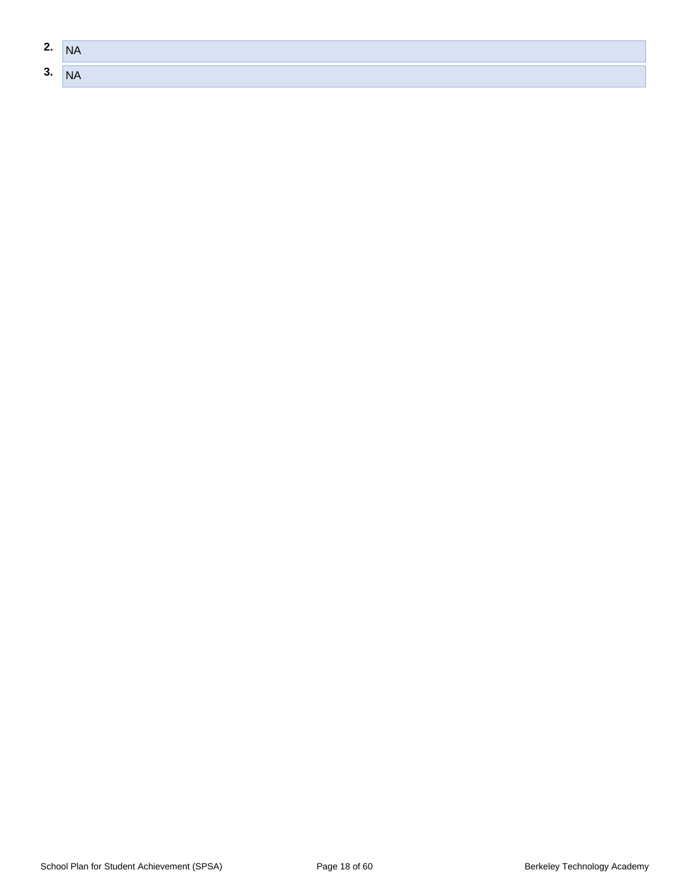| $\sim$<br>Z. | <b>NA</b> |
|--------------|-----------|
| $\sim$<br>ა. | <b>NA</b> |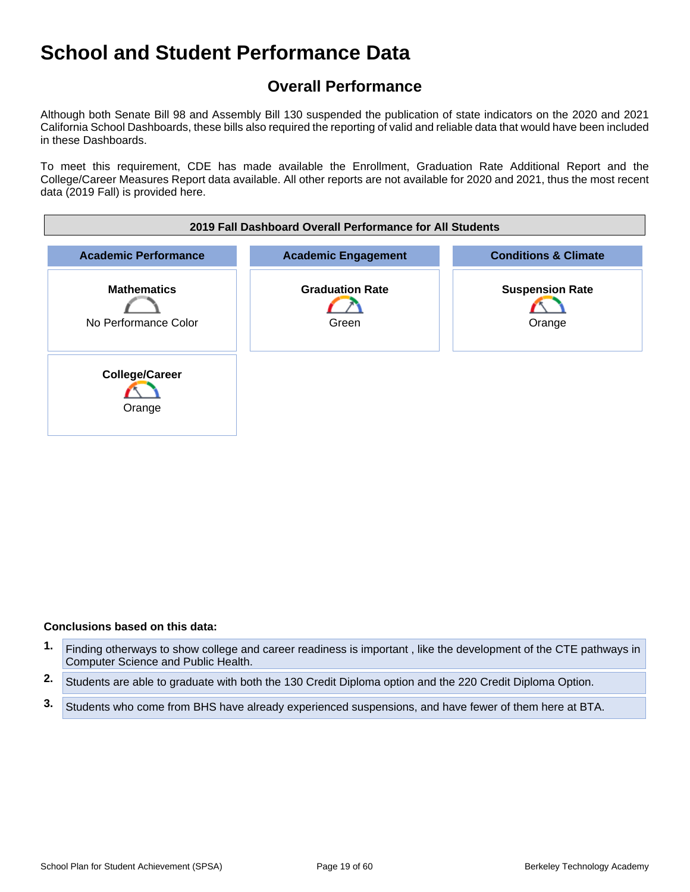## **Overall Performance**

Although both Senate Bill 98 and Assembly Bill 130 suspended the publication of state indicators on the 2020 and 2021 California School Dashboards, these bills also required the reporting of valid and reliable data that would have been included in these Dashboards.

To meet this requirement, CDE has made available the Enrollment, Graduation Rate Additional Report and the College/Career Measures Report data available. All other reports are not available for 2020 and 2021, thus the most recent data (2019 Fall) is provided here.



- **1.** Finding otherways to show college and career readiness is important , like the development of the CTE pathways in Computer Science and Public Health.
- **2.** Students are able to graduate with both the 130 Credit Diploma option and the 220 Credit Diploma Option.
- **3.** Students who come from BHS have already experienced suspensions, and have fewer of them here at BTA.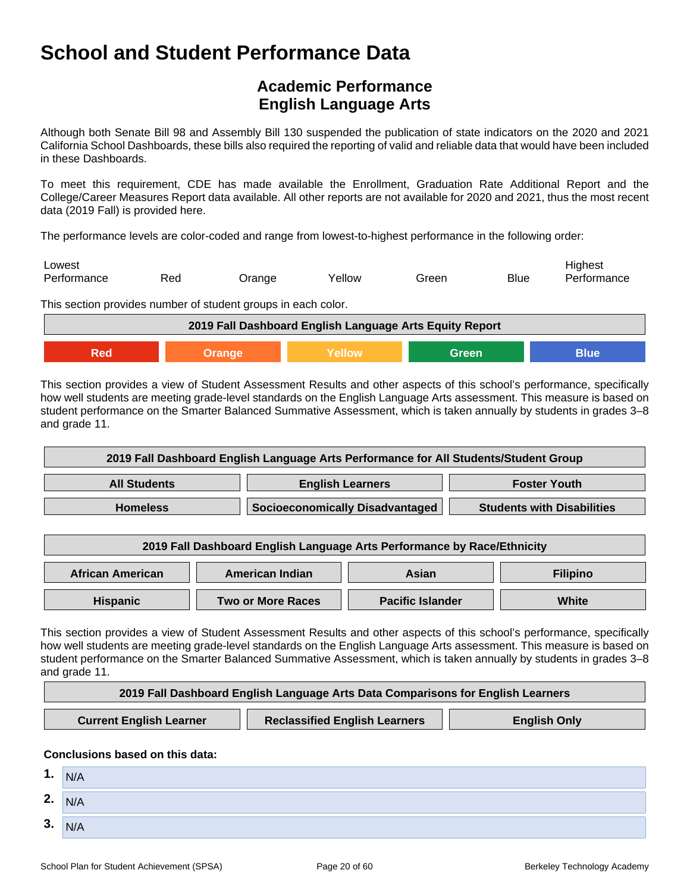## **Academic Performance English Language Arts**

Although both Senate Bill 98 and Assembly Bill 130 suspended the publication of state indicators on the 2020 and 2021 California School Dashboards, these bills also required the reporting of valid and reliable data that would have been included in these Dashboards.

To meet this requirement, CDE has made available the Enrollment, Graduation Rate Additional Report and the College/Career Measures Report data available. All other reports are not available for 2020 and 2021, thus the most recent data (2019 Fall) is provided here.

The performance levels are color-coded and range from lowest-to-highest performance in the following order:

| Lowest<br>Performance | Red | <b>Jrange</b> | Yellow | Green | <b>Blue</b> | Highest<br>Performance |
|-----------------------|-----|---------------|--------|-------|-------------|------------------------|
| $-1$                  |     |               |        |       |             |                        |

This section provides number of student groups in each color.

| 2019 Fall Dashboard English Language Arts Equity Report |                         |  |  |  |  |  |  |  |
|---------------------------------------------------------|-------------------------|--|--|--|--|--|--|--|
| Red                                                     | Yellow<br>Blue<br>Green |  |  |  |  |  |  |  |

This section provides a view of Student Assessment Results and other aspects of this school's performance, specifically how well students are meeting grade-level standards on the English Language Arts assessment. This measure is based on student performance on the Smarter Balanced Summative Assessment, which is taken annually by students in grades 3–8 and grade 11.

| 2019 Fall Dashboard English Language Arts Performance for All Students/Student Group |                                 |                                   |  |  |
|--------------------------------------------------------------------------------------|---------------------------------|-----------------------------------|--|--|
| <b>English Learners</b><br><b>All Students</b><br><b>Foster Youth</b>                |                                 |                                   |  |  |
| <b>Homeless</b>                                                                      | Socioeconomically Disadvantaged | <b>Students with Disabilities</b> |  |  |

| 2019 Fall Dashboard English Language Arts Performance by Race/Ethnicity |                          |                         |       |  |  |  |
|-------------------------------------------------------------------------|--------------------------|-------------------------|-------|--|--|--|
| <b>African American</b><br>American Indian<br><b>Filipino</b><br>Asian  |                          |                         |       |  |  |  |
| <b>Hispanic</b>                                                         | <b>Two or More Races</b> | <b>Pacific Islander</b> | White |  |  |  |

This section provides a view of Student Assessment Results and other aspects of this school's performance, specifically how well students are meeting grade-level standards on the English Language Arts assessment. This measure is based on student performance on the Smarter Balanced Summative Assessment, which is taken annually by students in grades 3–8 and grade 11.

| 2019 Fall Dashboard English Language Arts Data Comparisons for English Learners |                                      |                     |  |  |
|---------------------------------------------------------------------------------|--------------------------------------|---------------------|--|--|
| <b>Current English Learner</b>                                                  | <b>Reclassified English Learners</b> | <b>English Only</b> |  |  |

| 1. | N/A |
|----|-----|
| 2. | N/A |
| 3. | N/A |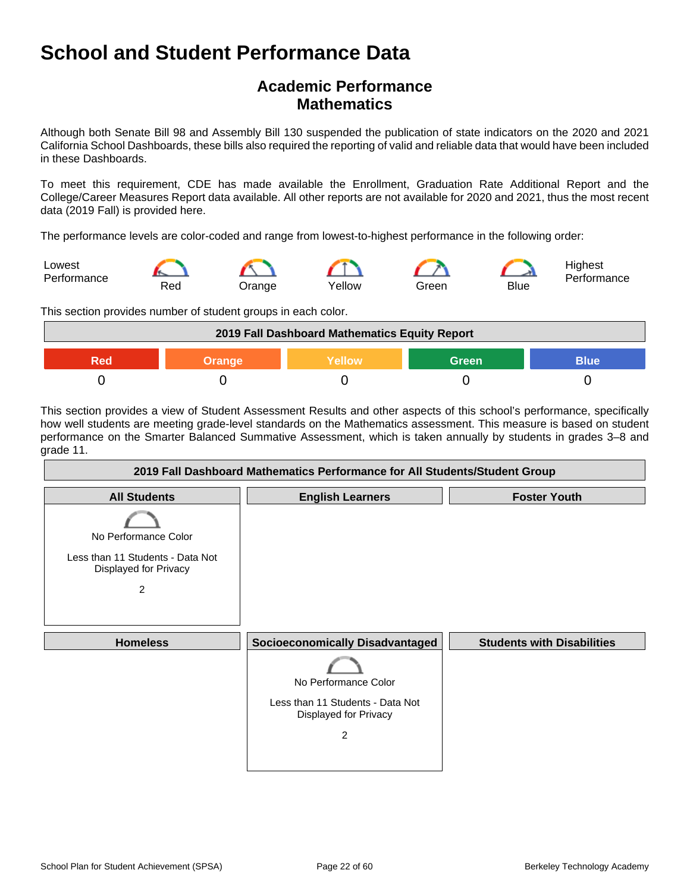## **Academic Performance Mathematics**

Although both Senate Bill 98 and Assembly Bill 130 suspended the publication of state indicators on the 2020 and 2021 California School Dashboards, these bills also required the reporting of valid and reliable data that would have been included in these Dashboards.

To meet this requirement, CDE has made available the Enrollment, Graduation Rate Additional Report and the College/Career Measures Report data available. All other reports are not available for 2020 and 2021, thus the most recent data (2019 Fall) is provided here.

The performance levels are color-coded and range from lowest-to-highest performance in the following order:



This section provides number of student groups in each color.

| 2019 Fall Dashboard Mathematics Equity Report                 |  |  |  |  |  |  |
|---------------------------------------------------------------|--|--|--|--|--|--|
| <b>Green</b><br>Yellow<br><b>Blue</b><br><b>Orange</b><br>900 |  |  |  |  |  |  |
|                                                               |  |  |  |  |  |  |

This section provides a view of Student Assessment Results and other aspects of this school's performance, specifically how well students are meeting grade-level standards on the Mathematics assessment. This measure is based on student performance on the Smarter Balanced Summative Assessment, which is taken annually by students in grades 3–8 and grade 11.

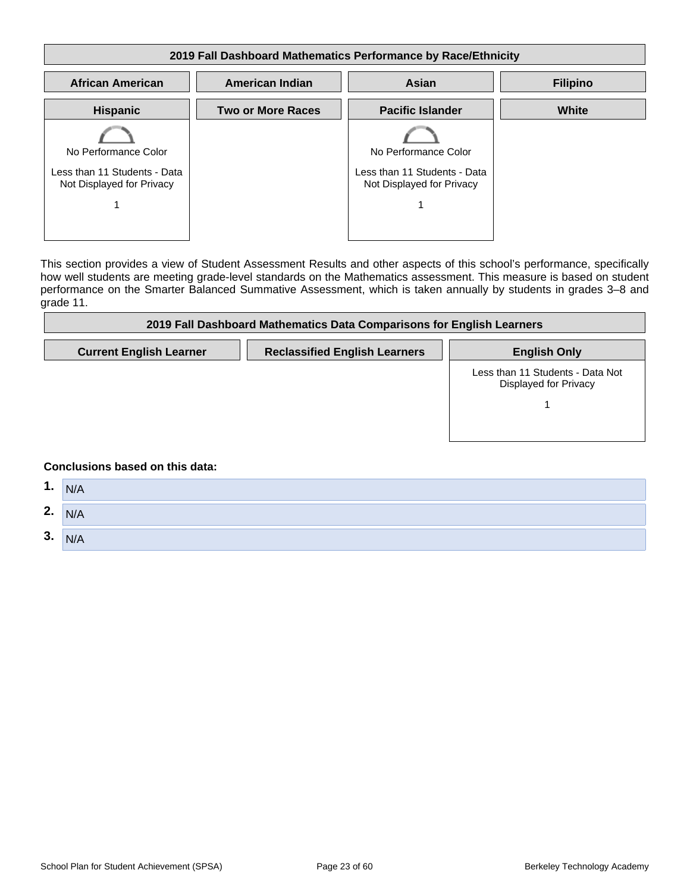#### **2019 Fall Dashboard Mathematics Performance by Race/Ethnicity African American American Indian Asian Filipino Hispanic** No Performance Color Less than 11 Students - Data Not Displayed for Privacy 1 **Two or More Races | Pacific Islander** No Performance Color Less than 11 Students - Data Not Displayed for Privacy 1 **White**

This section provides a view of Student Assessment Results and other aspects of this school's performance, specifically how well students are meeting grade-level standards on the Mathematics assessment. This measure is based on student performance on the Smarter Balanced Summative Assessment, which is taken annually by students in grades 3–8 and grade 11.

| 2019 Fall Dashboard Mathematics Data Comparisons for English Learners                                                                                                                                                          |                                      |                                                           |  |  |
|--------------------------------------------------------------------------------------------------------------------------------------------------------------------------------------------------------------------------------|--------------------------------------|-----------------------------------------------------------|--|--|
| <b>Current English Learner</b>                                                                                                                                                                                                 | <b>Reclassified English Learners</b> | <b>English Only</b>                                       |  |  |
|                                                                                                                                                                                                                                |                                      | Less than 11 Students - Data Not<br>Displayed for Privacy |  |  |
| As a street carefully and the contribution of the control of the state of the control of the control of the control of the control of the control of the control of the control of the control of the control of the control o |                                      |                                                           |  |  |

| 1. | N/A |
|----|-----|
| 2. | N/A |
| 3. | N/A |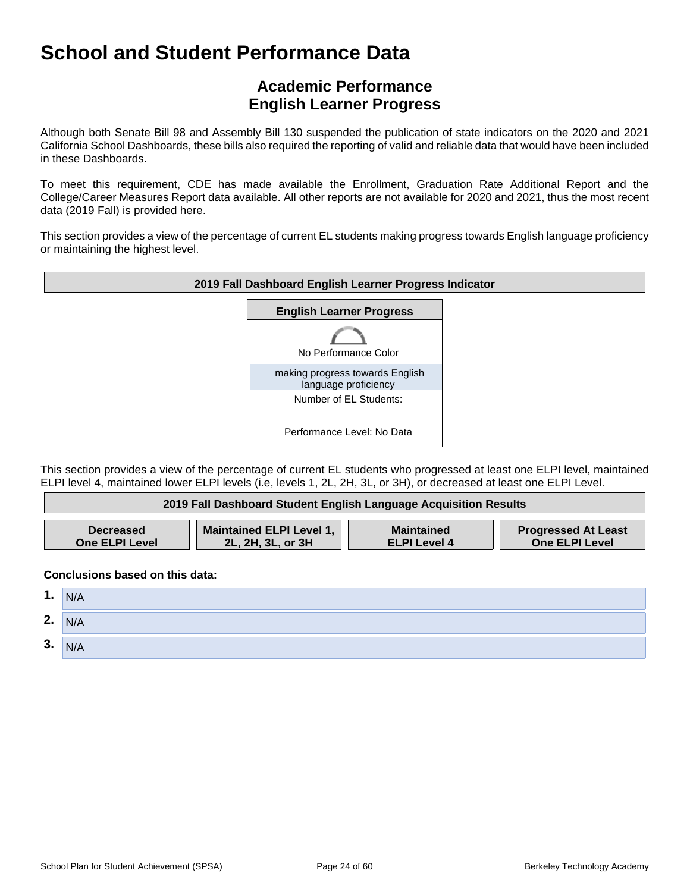## **Academic Performance English Learner Progress**

Although both Senate Bill 98 and Assembly Bill 130 suspended the publication of state indicators on the 2020 and 2021 California School Dashboards, these bills also required the reporting of valid and reliable data that would have been included in these Dashboards.

To meet this requirement, CDE has made available the Enrollment, Graduation Rate Additional Report and the College/Career Measures Report data available. All other reports are not available for 2020 and 2021, thus the most recent data (2019 Fall) is provided here.

This section provides a view of the percentage of current EL students making progress towards English language proficiency or maintaining the highest level.



This section provides a view of the percentage of current EL students who progressed at least one ELPI level, maintained ELPI level 4, maintained lower ELPI levels (i.e, levels 1, 2L, 2H, 3L, or 3H), or decreased at least one ELPI Level.

| 2019 Fall Dashboard Student English Language Acquisition Results |                          |                     |                            |
|------------------------------------------------------------------|--------------------------|---------------------|----------------------------|
| <b>Decreased</b>                                                 | Maintained ELPI Level 1, | <b>Maintained</b>   | <b>Progressed At Least</b> |
| <b>One ELPI Level</b>                                            | 2L, 2H, 3L, or 3H        | <b>ELPI Level 4</b> | One ELPI Level             |

| 1. | N/A |
|----|-----|
| 2. | N/A |
| 3. | N/A |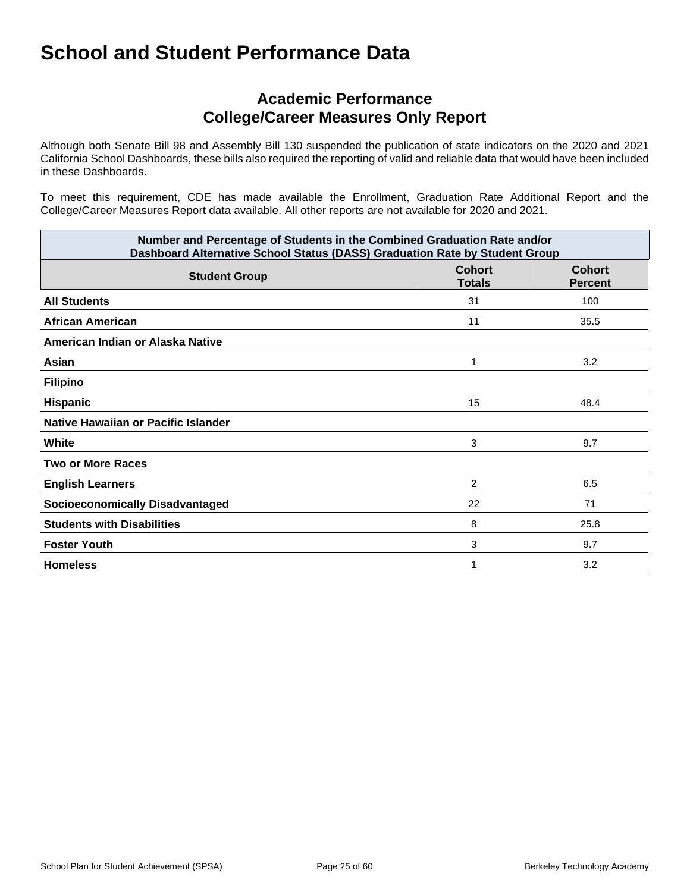## **Academic Performance College/Career Measures Only Report**

Although both Senate Bill 98 and Assembly Bill 130 suspended the publication of state indicators on the 2020 and 2021 California School Dashboards, these bills also required the reporting of valid and reliable data that would have been included in these Dashboards.

To meet this requirement, CDE has made available the Enrollment, Graduation Rate Additional Report and the College/Career Measures Report data available. All other reports are not available for 2020 and 2021.

| Number and Percentage of Students in the Combined Graduation Rate and/or<br>Dashboard Alternative School Status (DASS) Graduation Rate by Student Group |                                |                                 |
|---------------------------------------------------------------------------------------------------------------------------------------------------------|--------------------------------|---------------------------------|
| <b>Student Group</b>                                                                                                                                    | <b>Cohort</b><br><b>Totals</b> | <b>Cohort</b><br><b>Percent</b> |
| <b>All Students</b>                                                                                                                                     | 31                             | 100                             |
| African American                                                                                                                                        | 11                             | 35.5                            |
| American Indian or Alaska Native                                                                                                                        |                                |                                 |
| Asian                                                                                                                                                   | 1                              | 3.2                             |
| <b>Filipino</b>                                                                                                                                         |                                |                                 |
| Hispanic                                                                                                                                                | 15                             | 48.4                            |
| Native Hawaiian or Pacific Islander                                                                                                                     |                                |                                 |
| White                                                                                                                                                   | 3                              | 9.7                             |
| <b>Two or More Races</b>                                                                                                                                |                                |                                 |
| <b>English Learners</b>                                                                                                                                 | $\overline{c}$                 | 6.5                             |
| <b>Socioeconomically Disadvantaged</b>                                                                                                                  | 22                             | 71                              |
| <b>Students with Disabilities</b>                                                                                                                       | 8                              | 25.8                            |
| <b>Foster Youth</b>                                                                                                                                     | 3                              | 9.7                             |
| <b>Homeless</b>                                                                                                                                         |                                | 3.2                             |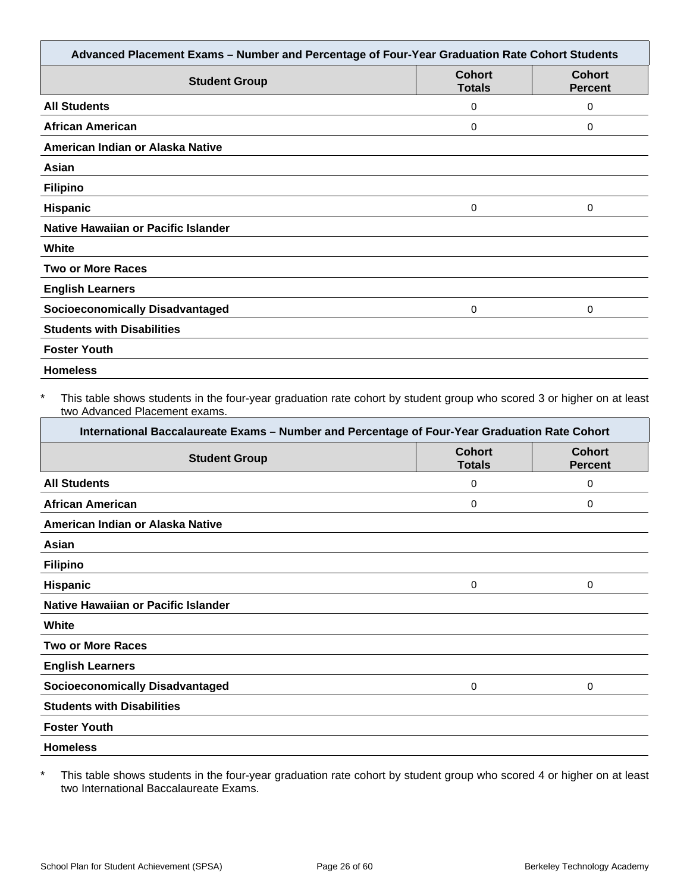| Advanced Placement Exams - Number and Percentage of Four-Year Graduation Rate Cohort Students |                                |                                 |
|-----------------------------------------------------------------------------------------------|--------------------------------|---------------------------------|
| <b>Student Group</b>                                                                          | <b>Cohort</b><br><b>Totals</b> | <b>Cohort</b><br><b>Percent</b> |
| <b>All Students</b>                                                                           | 0                              | 0                               |
| <b>African American</b>                                                                       | 0                              | $\Omega$                        |
| American Indian or Alaska Native                                                              |                                |                                 |
| Asian                                                                                         |                                |                                 |
| <b>Filipino</b>                                                                               |                                |                                 |
| Hispanic                                                                                      | 0                              | $\Omega$                        |
| <b>Native Hawaiian or Pacific Islander</b>                                                    |                                |                                 |
| White                                                                                         |                                |                                 |
| <b>Two or More Races</b>                                                                      |                                |                                 |
| <b>English Learners</b>                                                                       |                                |                                 |
| <b>Socioeconomically Disadvantaged</b>                                                        | 0                              | 0                               |
| <b>Students with Disabilities</b>                                                             |                                |                                 |
| <b>Foster Youth</b>                                                                           |                                |                                 |
| <b>Homeless</b>                                                                               |                                |                                 |

This table shows students in the four-year graduation rate cohort by student group who scored 3 or higher on at least two Advanced Placement exams.

| International Baccalaureate Exams - Number and Percentage of Four-Year Graduation Rate Cohort |                                |                                 |  |
|-----------------------------------------------------------------------------------------------|--------------------------------|---------------------------------|--|
| <b>Student Group</b>                                                                          | <b>Cohort</b><br><b>Totals</b> | <b>Cohort</b><br><b>Percent</b> |  |
| <b>All Students</b>                                                                           | 0                              | 0                               |  |
| <b>African American</b>                                                                       | 0                              | 0                               |  |
| American Indian or Alaska Native                                                              |                                |                                 |  |
| Asian                                                                                         |                                |                                 |  |
| <b>Filipino</b>                                                                               |                                |                                 |  |
| <b>Hispanic</b>                                                                               | 0                              | 0                               |  |
| Native Hawaiian or Pacific Islander                                                           |                                |                                 |  |
| White                                                                                         |                                |                                 |  |
| <b>Two or More Races</b>                                                                      |                                |                                 |  |
| <b>English Learners</b>                                                                       |                                |                                 |  |
| <b>Socioeconomically Disadvantaged</b>                                                        | 0                              | 0                               |  |
| <b>Students with Disabilities</b>                                                             |                                |                                 |  |
| <b>Foster Youth</b>                                                                           |                                |                                 |  |
| <b>Homeless</b>                                                                               |                                |                                 |  |

\* This table shows students in the four-year graduation rate cohort by student group who scored 4 or higher on at least two International Baccalaureate Exams.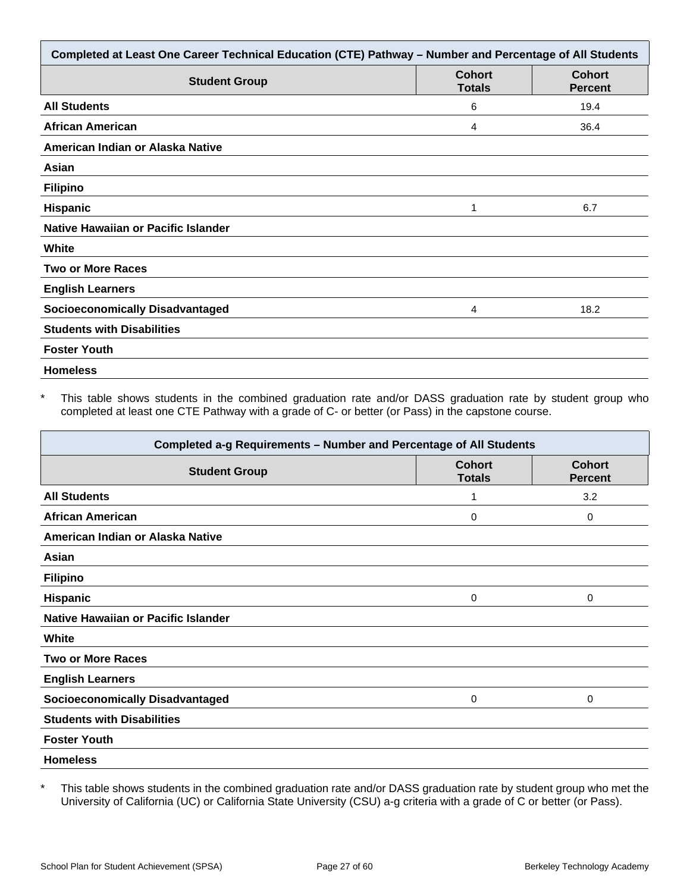| Completed at Least One Career Technical Education (CTE) Pathway - Number and Percentage of All Students |                                |                                 |  |
|---------------------------------------------------------------------------------------------------------|--------------------------------|---------------------------------|--|
| <b>Student Group</b>                                                                                    | <b>Cohort</b><br><b>Totals</b> | <b>Cohort</b><br><b>Percent</b> |  |
| <b>All Students</b>                                                                                     | 6                              | 19.4                            |  |
| <b>African American</b>                                                                                 | 4                              | 36.4                            |  |
| American Indian or Alaska Native                                                                        |                                |                                 |  |
| Asian                                                                                                   |                                |                                 |  |
| <b>Filipino</b>                                                                                         |                                |                                 |  |
| <b>Hispanic</b>                                                                                         | 1                              | 6.7                             |  |
| Native Hawaiian or Pacific Islander                                                                     |                                |                                 |  |
| White                                                                                                   |                                |                                 |  |
| <b>Two or More Races</b>                                                                                |                                |                                 |  |
| <b>English Learners</b>                                                                                 |                                |                                 |  |
| <b>Socioeconomically Disadvantaged</b>                                                                  | 4                              | 18.2                            |  |
| <b>Students with Disabilities</b>                                                                       |                                |                                 |  |
| <b>Foster Youth</b>                                                                                     |                                |                                 |  |
| <b>Homeless</b>                                                                                         |                                |                                 |  |

This table shows students in the combined graduation rate and/or DASS graduation rate by student group who completed at least one CTE Pathway with a grade of C- or better (or Pass) in the capstone course.

| Completed a-g Requirements - Number and Percentage of All Students |                                |                                 |  |
|--------------------------------------------------------------------|--------------------------------|---------------------------------|--|
| <b>Student Group</b>                                               | <b>Cohort</b><br><b>Totals</b> | <b>Cohort</b><br><b>Percent</b> |  |
| <b>All Students</b>                                                | 1                              | 3.2                             |  |
| <b>African American</b>                                            | 0                              | $\mathbf 0$                     |  |
| American Indian or Alaska Native                                   |                                |                                 |  |
| Asian                                                              |                                |                                 |  |
| <b>Filipino</b>                                                    |                                |                                 |  |
| <b>Hispanic</b>                                                    | 0                              | 0                               |  |
| Native Hawaiian or Pacific Islander                                |                                |                                 |  |
| White                                                              |                                |                                 |  |
| <b>Two or More Races</b>                                           |                                |                                 |  |
| <b>English Learners</b>                                            |                                |                                 |  |
| <b>Socioeconomically Disadvantaged</b>                             | 0                              | 0                               |  |
| <b>Students with Disabilities</b>                                  |                                |                                 |  |
| <b>Foster Youth</b>                                                |                                |                                 |  |
| <b>Homeless</b>                                                    |                                |                                 |  |

\* This table shows students in the combined graduation rate and/or DASS graduation rate by student group who met the University of California (UC) or California State University (CSU) a-g criteria with a grade of C or better (or Pass).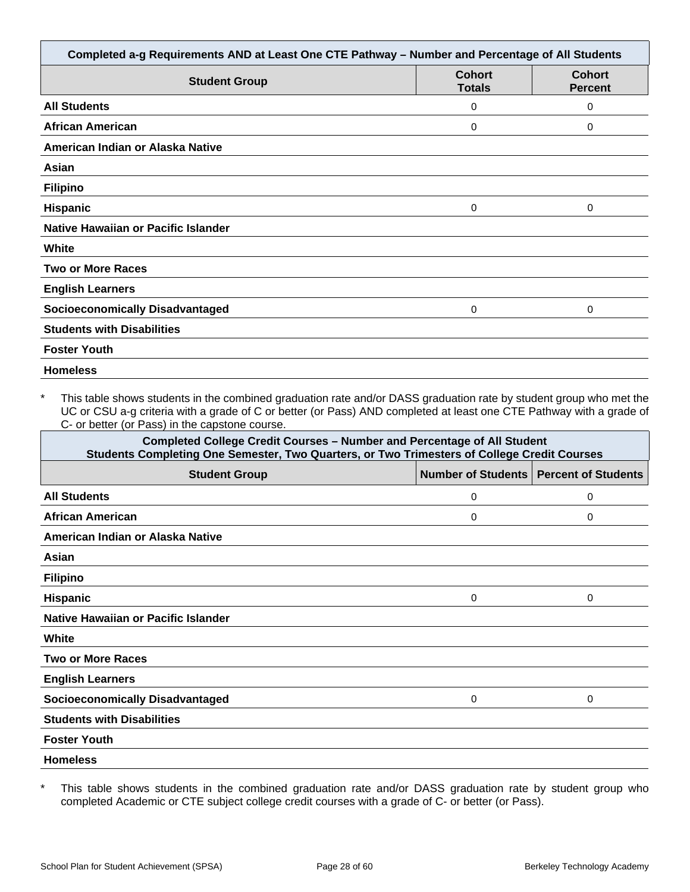| Completed a-g Requirements AND at Least One CTE Pathway - Number and Percentage of All Students |                                |                                 |
|-------------------------------------------------------------------------------------------------|--------------------------------|---------------------------------|
| <b>Student Group</b>                                                                            | <b>Cohort</b><br><b>Totals</b> | <b>Cohort</b><br><b>Percent</b> |
| <b>All Students</b>                                                                             | 0                              | 0                               |
| <b>African American</b>                                                                         | 0                              | 0                               |
| American Indian or Alaska Native                                                                |                                |                                 |
| Asian                                                                                           |                                |                                 |
| <b>Filipino</b>                                                                                 |                                |                                 |
| <b>Hispanic</b>                                                                                 | 0                              | $\Omega$                        |
| Native Hawaiian or Pacific Islander                                                             |                                |                                 |
| White                                                                                           |                                |                                 |
| <b>Two or More Races</b>                                                                        |                                |                                 |
| <b>English Learners</b>                                                                         |                                |                                 |
| <b>Socioeconomically Disadvantaged</b>                                                          | 0                              | 0                               |
| <b>Students with Disabilities</b>                                                               |                                |                                 |
| <b>Foster Youth</b>                                                                             |                                |                                 |
| <b>Homeless</b>                                                                                 |                                |                                 |

This table shows students in the combined graduation rate and/or DASS graduation rate by student group who met the UC or CSU a-g criteria with a grade of C or better (or Pass) AND completed at least one CTE Pathway with a grade of C- or better (or Pass) in the capstone course.

| <b>Completed College Credit Courses - Number and Percentage of All Student</b><br>Students Completing One Semester, Two Quarters, or Two Trimesters of College Credit Courses |   |                                          |
|-------------------------------------------------------------------------------------------------------------------------------------------------------------------------------|---|------------------------------------------|
| <b>Student Group</b>                                                                                                                                                          |   | Number of Students   Percent of Students |
| <b>All Students</b>                                                                                                                                                           | 0 | 0                                        |
| African American                                                                                                                                                              | 0 | 0                                        |
| American Indian or Alaska Native                                                                                                                                              |   |                                          |
| Asian                                                                                                                                                                         |   |                                          |
| <b>Filipino</b>                                                                                                                                                               |   |                                          |
| <b>Hispanic</b>                                                                                                                                                               | 0 | $\Omega$                                 |
| Native Hawaiian or Pacific Islander                                                                                                                                           |   |                                          |
| White                                                                                                                                                                         |   |                                          |
| <b>Two or More Races</b>                                                                                                                                                      |   |                                          |
| <b>English Learners</b>                                                                                                                                                       |   |                                          |
| <b>Socioeconomically Disadvantaged</b>                                                                                                                                        | 0 | $\Omega$                                 |
| <b>Students with Disabilities</b>                                                                                                                                             |   |                                          |
| <b>Foster Youth</b>                                                                                                                                                           |   |                                          |
| <b>Homeless</b>                                                                                                                                                               |   |                                          |

\* This table shows students in the combined graduation rate and/or DASS graduation rate by student group who completed Academic or CTE subject college credit courses with a grade of C- or better (or Pass).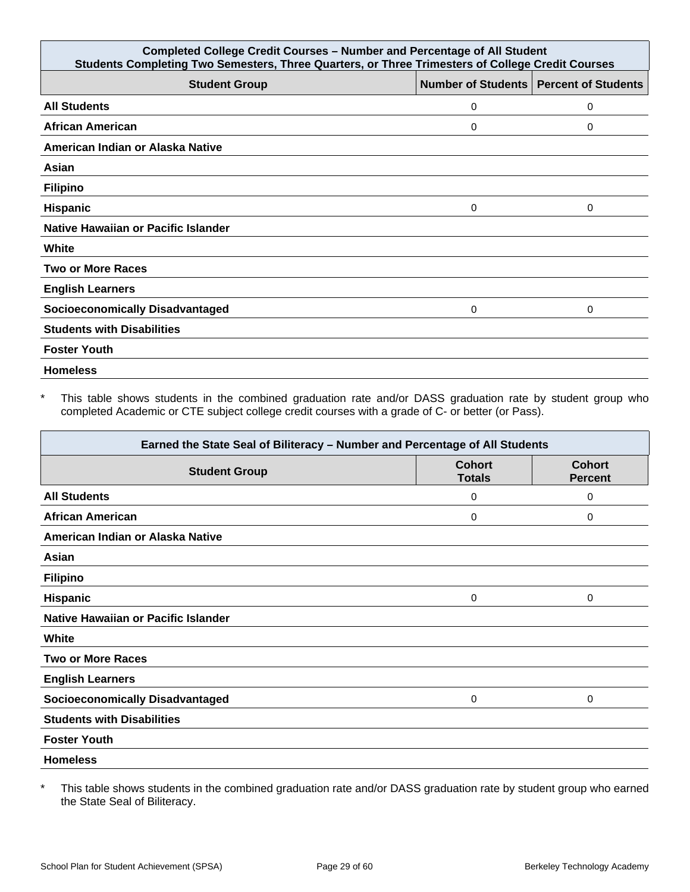| <b>Completed College Credit Courses - Number and Percentage of All Student</b><br>Students Completing Two Semesters, Three Quarters, or Three Trimesters of College Credit Courses |   |                                          |
|------------------------------------------------------------------------------------------------------------------------------------------------------------------------------------|---|------------------------------------------|
| <b>Student Group</b>                                                                                                                                                               |   | Number of Students   Percent of Students |
| <b>All Students</b>                                                                                                                                                                | 0 | 0                                        |
| <b>African American</b>                                                                                                                                                            | 0 | 0                                        |
| American Indian or Alaska Native                                                                                                                                                   |   |                                          |
| Asian                                                                                                                                                                              |   |                                          |
| <b>Filipino</b>                                                                                                                                                                    |   |                                          |
| Hispanic                                                                                                                                                                           | 0 | 0                                        |
| Native Hawaiian or Pacific Islander                                                                                                                                                |   |                                          |
| White                                                                                                                                                                              |   |                                          |
| <b>Two or More Races</b>                                                                                                                                                           |   |                                          |
| <b>English Learners</b>                                                                                                                                                            |   |                                          |
| <b>Socioeconomically Disadvantaged</b>                                                                                                                                             | 0 | 0                                        |
| <b>Students with Disabilities</b>                                                                                                                                                  |   |                                          |
| <b>Foster Youth</b>                                                                                                                                                                |   |                                          |
| <b>Homeless</b>                                                                                                                                                                    |   |                                          |

\* This table shows students in the combined graduation rate and/or DASS graduation rate by student group who completed Academic or CTE subject college credit courses with a grade of C- or better (or Pass).

| Earned the State Seal of Biliteracy - Number and Percentage of All Students |                                |                                 |
|-----------------------------------------------------------------------------|--------------------------------|---------------------------------|
| <b>Student Group</b>                                                        | <b>Cohort</b><br><b>Totals</b> | <b>Cohort</b><br><b>Percent</b> |
| <b>All Students</b>                                                         | 0                              | 0                               |
| <b>African American</b>                                                     | 0                              | 0                               |
| American Indian or Alaska Native                                            |                                |                                 |
| Asian                                                                       |                                |                                 |
| <b>Filipino</b>                                                             |                                |                                 |
| <b>Hispanic</b>                                                             | 0                              | 0                               |
| Native Hawaiian or Pacific Islander                                         |                                |                                 |
| White                                                                       |                                |                                 |
| <b>Two or More Races</b>                                                    |                                |                                 |
| <b>English Learners</b>                                                     |                                |                                 |
| <b>Socioeconomically Disadvantaged</b>                                      | 0                              | 0                               |
| <b>Students with Disabilities</b>                                           |                                |                                 |
| <b>Foster Youth</b>                                                         |                                |                                 |
| <b>Homeless</b>                                                             |                                |                                 |

\* This table shows students in the combined graduation rate and/or DASS graduation rate by student group who earned the State Seal of Biliteracy.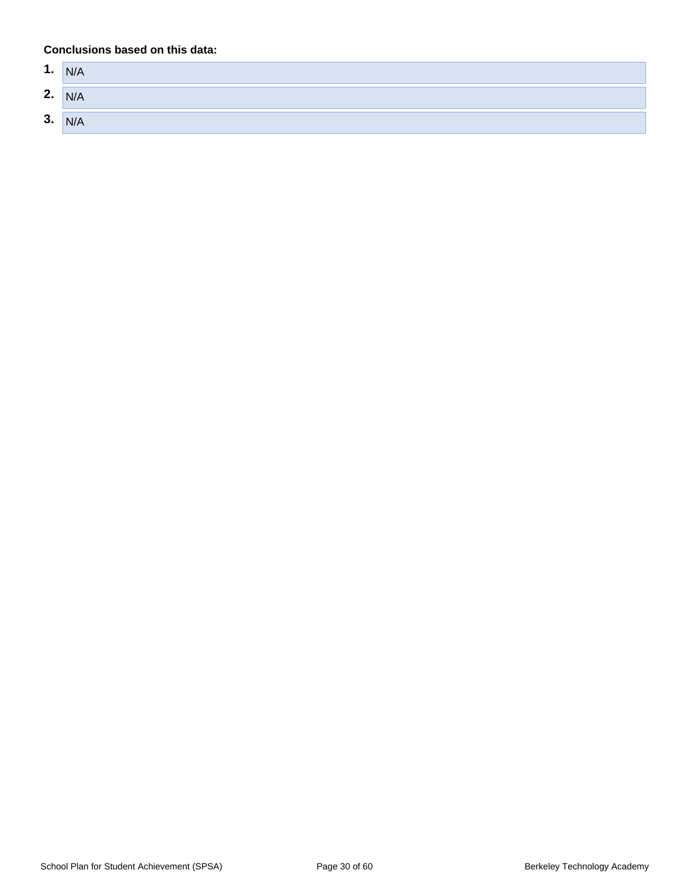| А<br>ъ. | N/A |
|---------|-----|
| 2.      | N/A |
| 3.      | N/A |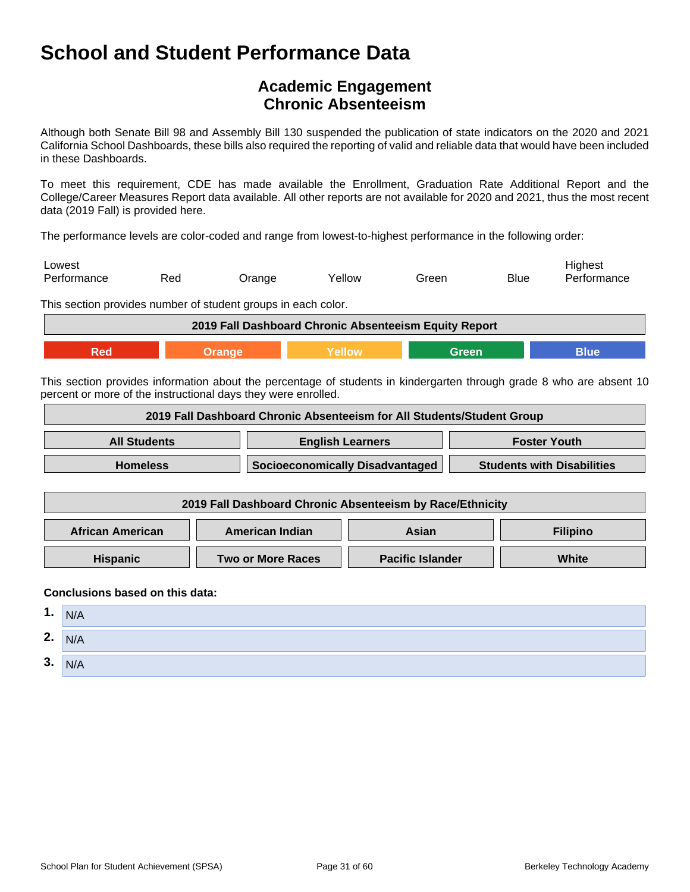## **Academic Engagement Chronic Absenteeism**

Although both Senate Bill 98 and Assembly Bill 130 suspended the publication of state indicators on the 2020 and 2021 California School Dashboards, these bills also required the reporting of valid and reliable data that would have been included in these Dashboards.

To meet this requirement, CDE has made available the Enrollment, Graduation Rate Additional Report and the College/Career Measures Report data available. All other reports are not available for 2020 and 2021, thus the most recent data (2019 Fall) is provided here.

The performance levels are color-coded and range from lowest-to-highest performance in the following order:

| Lowest      |     |               |        |       |             | Highest     |
|-------------|-----|---------------|--------|-------|-------------|-------------|
| Performance | Red | <b>Jrange</b> | Yellow | Green | <b>Blue</b> | Performance |

This section provides number of student groups in each color.

|  | 2019 Fall Dashboard Chronic Absenteeism Equity Report |  |
|--|-------------------------------------------------------|--|
|  |                                                       |  |

This section provides information about the percentage of students in kindergarten through grade 8 who are absent 10 percent or more of the instructional days they were enrolled.

|                         |  |                                 | 2019 Fall Dashboard Chronic Absenteeism for All Students/Student Group |                                   |                     |
|-------------------------|--|---------------------------------|------------------------------------------------------------------------|-----------------------------------|---------------------|
| <b>All Students</b>     |  | <b>English Learners</b>         |                                                                        |                                   | <b>Foster Youth</b> |
| <b>Homeless</b>         |  | Socioeconomically Disadvantaged |                                                                        | <b>Students with Disabilities</b> |                     |
|                         |  |                                 | 2019 Fall Dashboard Chronic Absenteeism by Race/Ethnicity              |                                   |                     |
| <b>African American</b> |  | <b>American Indian</b>          | Asian                                                                  |                                   | <b>Filipino</b>     |

**Hispanic Two or More Races Pacific Islander White** 

| 1. | N/A |
|----|-----|
| 2. | N/A |
| 3. | N/A |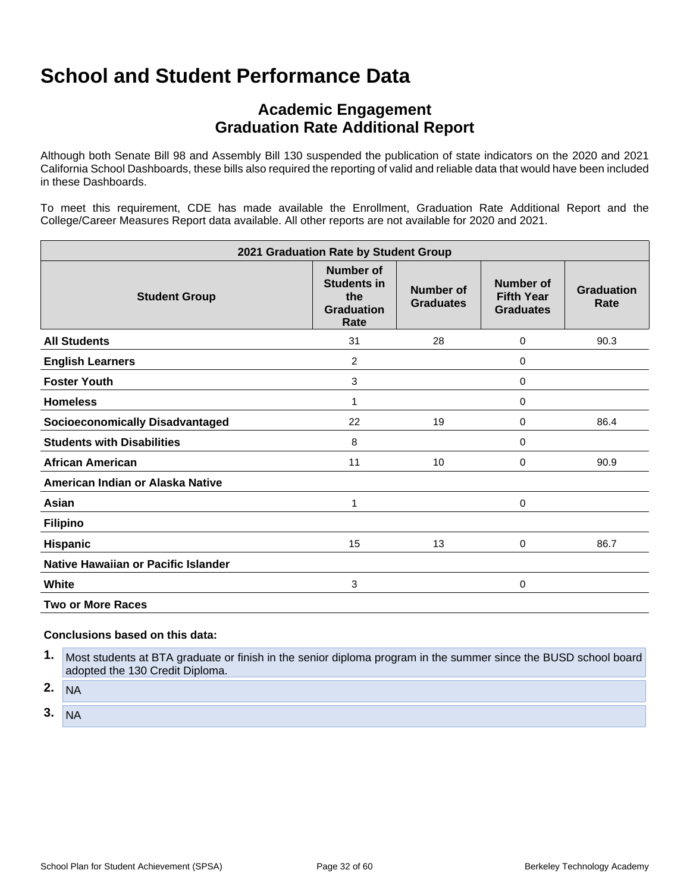## **Academic Engagement Graduation Rate Additional Report**

Although both Senate Bill 98 and Assembly Bill 130 suspended the publication of state indicators on the 2020 and 2021 California School Dashboards, these bills also required the reporting of valid and reliable data that would have been included in these Dashboards.

To meet this requirement, CDE has made available the Enrollment, Graduation Rate Additional Report and the College/Career Measures Report data available. All other reports are not available for 2020 and 2021.

| 2021 Graduation Rate by Student Group  |                                                                            |                                      |                                                    |                           |
|----------------------------------------|----------------------------------------------------------------------------|--------------------------------------|----------------------------------------------------|---------------------------|
| <b>Student Group</b>                   | <b>Number of</b><br><b>Students in</b><br>the<br><b>Graduation</b><br>Rate | <b>Number of</b><br><b>Graduates</b> | Number of<br><b>Fifth Year</b><br><b>Graduates</b> | <b>Graduation</b><br>Rate |
| <b>All Students</b>                    | 31                                                                         | 28                                   | 0                                                  | 90.3                      |
| <b>English Learners</b>                | 2                                                                          |                                      | 0                                                  |                           |
| <b>Foster Youth</b>                    | 3                                                                          |                                      | 0                                                  |                           |
| <b>Homeless</b>                        | 1                                                                          |                                      | 0                                                  |                           |
| <b>Socioeconomically Disadvantaged</b> | 22                                                                         | 19                                   | 0                                                  | 86.4                      |
| <b>Students with Disabilities</b>      | 8                                                                          |                                      | 0                                                  |                           |
| African American                       | 11                                                                         | 10                                   | 0                                                  | 90.9                      |
| American Indian or Alaska Native       |                                                                            |                                      |                                                    |                           |
| Asian                                  | 1                                                                          |                                      | 0                                                  |                           |
| <b>Filipino</b>                        |                                                                            |                                      |                                                    |                           |
| <b>Hispanic</b>                        | 15                                                                         | 13                                   | 0                                                  | 86.7                      |
| Native Hawaiian or Pacific Islander    |                                                                            |                                      |                                                    |                           |
| White                                  | 3                                                                          |                                      | 0                                                  |                           |
| <b>Two or More Races</b>               |                                                                            |                                      |                                                    |                           |

#### **Conclusions based on this data:**

**1.** Most students at BTA graduate or finish in the senior diploma program in the summer since the BUSD school board adopted the 130 Credit Diploma.

**2.** NA

**3.** NA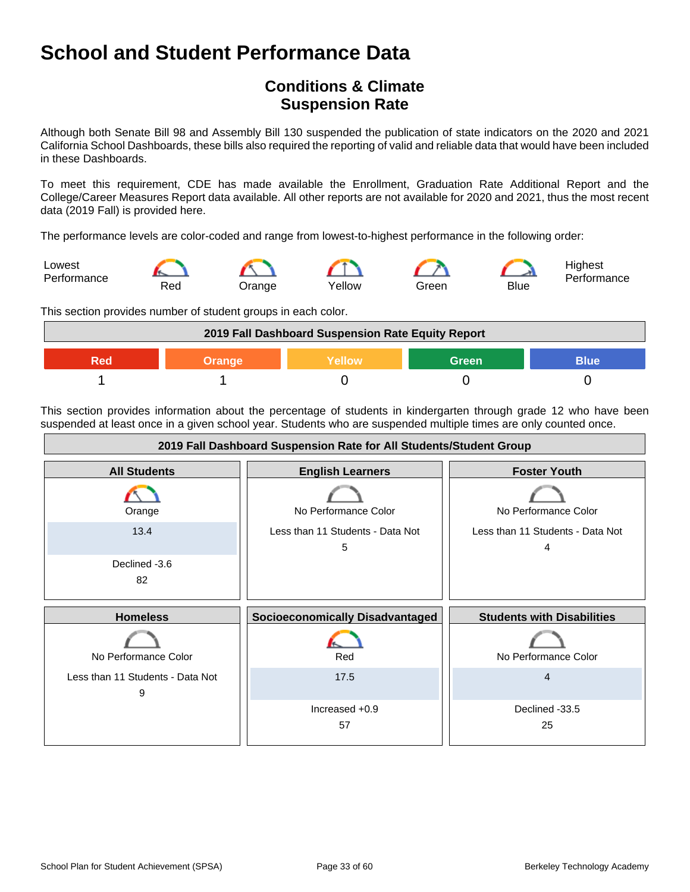## **Conditions & Climate Suspension Rate**

Although both Senate Bill 98 and Assembly Bill 130 suspended the publication of state indicators on the 2020 and 2021 California School Dashboards, these bills also required the reporting of valid and reliable data that would have been included in these Dashboards.

To meet this requirement, CDE has made available the Enrollment, Graduation Rate Additional Report and the College/Career Measures Report data available. All other reports are not available for 2020 and 2021, thus the most recent data (2019 Fall) is provided here.

The performance levels are color-coded and range from lowest-to-highest performance in the following order:



This section provides number of student groups in each color.



This section provides information about the percentage of students in kindergarten through grade 12 who have been suspended at least once in a given school year. Students who are suspended multiple times are only counted once.

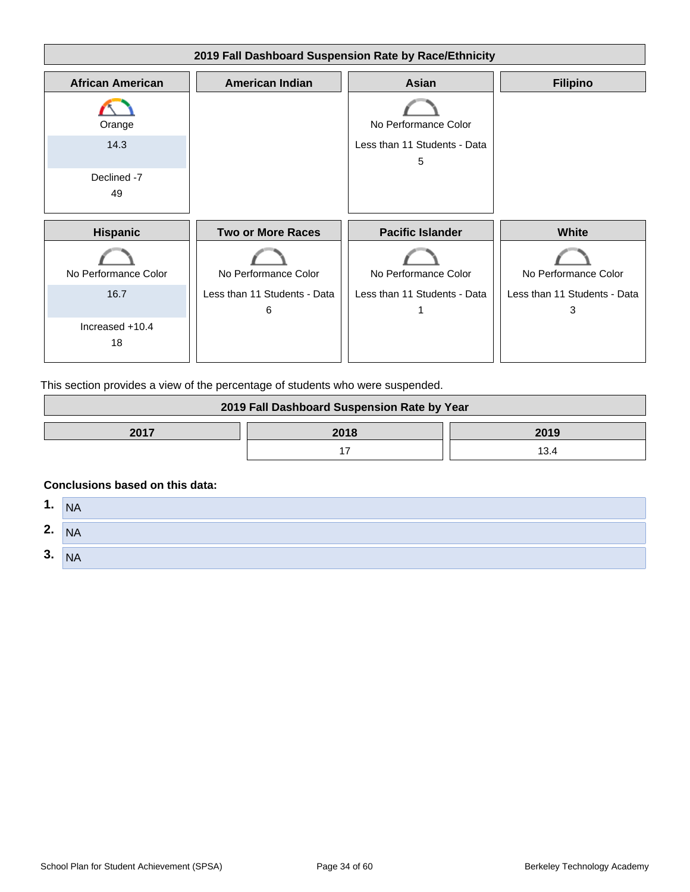

This section provides a view of the percentage of students who were suspended.

| 2019 Fall Dashboard Suspension Rate by Year |      |      |
|---------------------------------------------|------|------|
| 2017                                        | 2018 | 2019 |
|                                             |      |      |

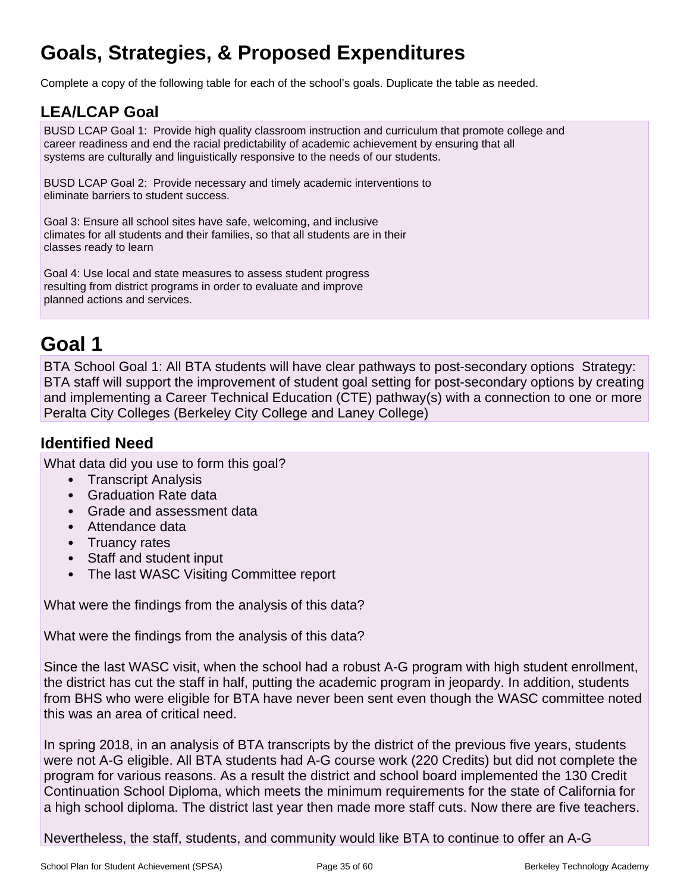## **Goals, Strategies, & Proposed Expenditures**

Complete a copy of the following table for each of the school's goals. Duplicate the table as needed.

## **LEA/LCAP Goal**

BUSD LCAP Goal 1: Provide high quality classroom instruction and curriculum that promote college and career readiness and end the racial predictability of academic achievement by ensuring that all systems are culturally and linguistically responsive to the needs of our students.

BUSD LCAP Goal 2: Provide necessary and timely academic interventions to eliminate barriers to student success.

Goal 3: Ensure all school sites have safe, welcoming, and inclusive climates for all students and their families, so that all students are in their classes ready to learn

Goal 4: Use local and state measures to assess student progress resulting from district programs in order to evaluate and improve planned actions and services.

## **Goal 1**

BTA School Goal 1: All BTA students will have clear pathways to post-secondary options Strategy: BTA staff will support the improvement of student goal setting for post-secondary options by creating and implementing a Career Technical Education (CTE) pathway(s) with a connection to one or more Peralta City Colleges (Berkeley City College and Laney College)

## **Identified Need**

What data did you use to form this goal?

- Transcript Analysis
- Graduation Rate data
- Grade and assessment data
- Attendance data
- Truancy rates
- Staff and student input
- The last WASC Visiting Committee report

What were the findings from the analysis of this data?

What were the findings from the analysis of this data?

Since the last WASC visit, when the school had a robust A-G program with high student enrollment, the district has cut the staff in half, putting the academic program in jeopardy. In addition, students from BHS who were eligible for BTA have never been sent even though the WASC committee noted this was an area of critical need.

In spring 2018, in an analysis of BTA transcripts by the district of the previous five years, students were not A-G eligible. All BTA students had A-G course work (220 Credits) but did not complete the program for various reasons. As a result the district and school board implemented the 130 Credit Continuation School Diploma, which meets the minimum requirements for the state of California for a high school diploma. The district last year then made more staff cuts. Now there are five teachers.

Nevertheless, the staff, students, and community would like BTA to continue to offer an A-G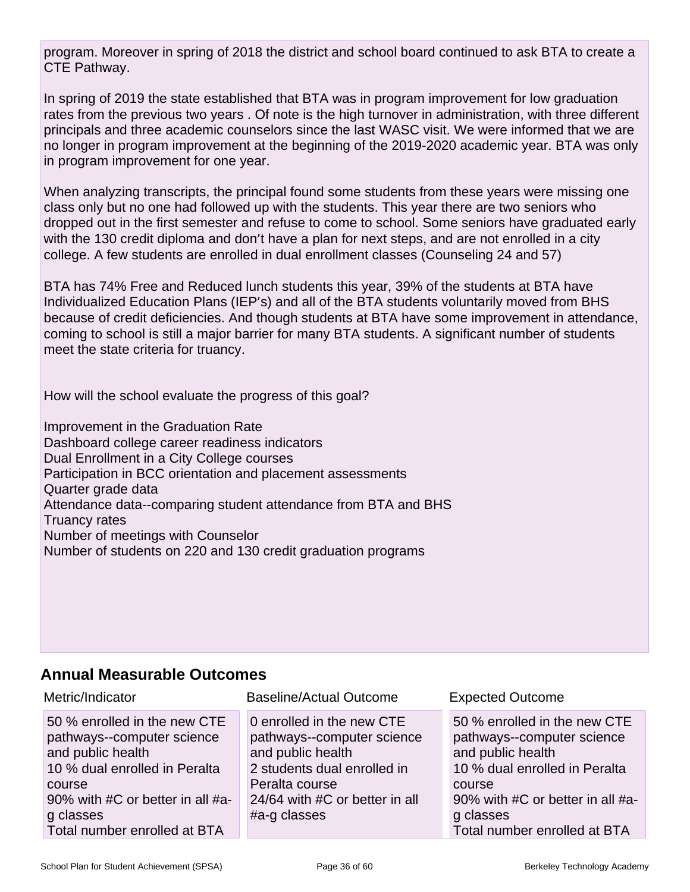program. Moreover in spring of 2018 the district and school board continued to ask BTA to create a CTE Pathway.

In spring of 2019 the state established that BTA was in program improvement for low graduation rates from the previous two years . Of note is the high turnover in administration, with three different principals and three academic counselors since the last WASC visit. We were informed that we are no longer in program improvement at the beginning of the 2019-2020 academic year. BTA was only in program improvement for one year.

When analyzing transcripts, the principal found some students from these years were missing one class only but no one had followed up with the students. This year there are two seniors who dropped out in the first semester and refuse to come to school. Some seniors have graduated early with the 130 credit diploma and don't have a plan for next steps, and are not enrolled in a city college. A few students are enrolled in dual enrollment classes (Counseling 24 and 57)

BTA has 74% Free and Reduced lunch students this year, 39% of the students at BTA have Individualized Education Plans (IEP's) and all of the BTA students voluntarily moved from BHS because of credit deficiencies. And though students at BTA have some improvement in attendance, coming to school is still a major barrier for many BTA students. A significant number of students meet the state criteria for truancy.

How will the school evaluate the progress of this goal?

Improvement in the Graduation Rate Dashboard college career readiness indicators Dual Enrollment in a City College courses Participation in BCC orientation and placement assessments Quarter grade data Attendance data--comparing student attendance from BTA and BHS Truancy rates Number of meetings with Counselor Number of students on 220 and 130 credit graduation programs

## **Annual Measurable Outcomes**

| Metric/Indicator                                                                                                                                                                                            | <b>Baseline/Actual Outcome</b>                                                                                                                                                  | <b>Expected Outcome</b>                                                                                                                                                                                     |
|-------------------------------------------------------------------------------------------------------------------------------------------------------------------------------------------------------------|---------------------------------------------------------------------------------------------------------------------------------------------------------------------------------|-------------------------------------------------------------------------------------------------------------------------------------------------------------------------------------------------------------|
| 50 % enrolled in the new CTE<br>pathways--computer science<br>and public health<br>10 % dual enrolled in Peralta<br>course<br>90% with #C or better in all #a-<br>g classes<br>Total number enrolled at BTA | 0 enrolled in the new CTE<br>pathways--computer science<br>and public health<br>2 students dual enrolled in<br>Peralta course<br>24/64 with #C or better in all<br>#a-g classes | 50 % enrolled in the new CTE<br>pathways--computer science<br>and public health<br>10 % dual enrolled in Peralta<br>course<br>90% with #C or better in all #a-<br>g classes<br>Total number enrolled at BTA |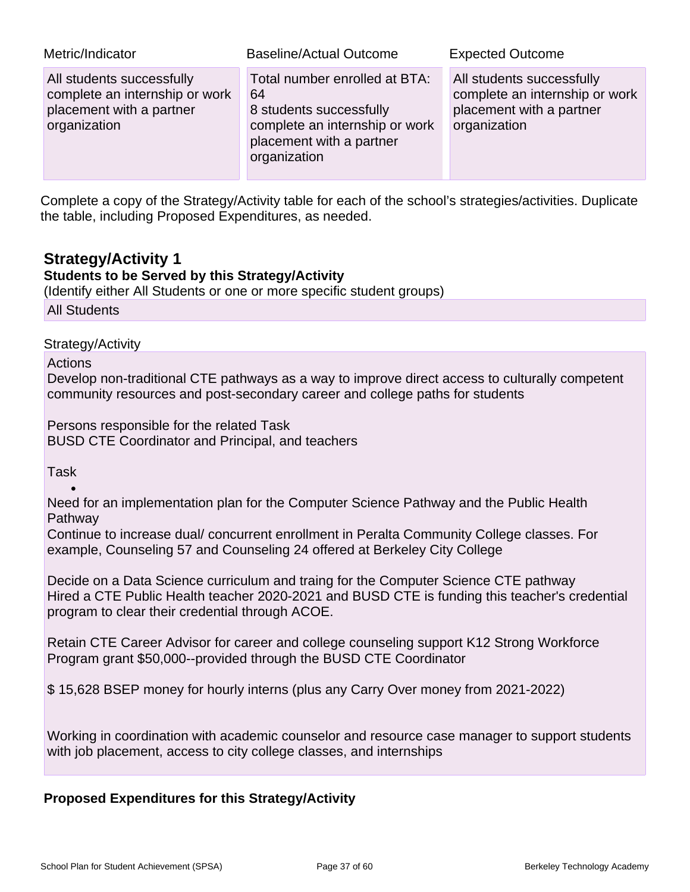| Metric/Indicator                                                                                        | <b>Baseline/Actual Outcome</b>                                                                                                               | <b>Expected Outcome</b>                                                                                 |
|---------------------------------------------------------------------------------------------------------|----------------------------------------------------------------------------------------------------------------------------------------------|---------------------------------------------------------------------------------------------------------|
| All students successfully<br>complete an internship or work<br>placement with a partner<br>organization | Total number enrolled at BTA:<br>64<br>8 students successfully<br>complete an internship or work<br>placement with a partner<br>organization | All students successfully<br>complete an internship or work<br>placement with a partner<br>organization |

Complete a copy of the Strategy/Activity table for each of the school's strategies/activities. Duplicate the table, including Proposed Expenditures, as needed.

## **Strategy/Activity 1**

### **Students to be Served by this Strategy/Activity**

(Identify either All Students or one or more specific student groups)

All Students

Strategy/Activity

Actions

Develop non-traditional CTE pathways as a way to improve direct access to culturally competent community resources and post-secondary career and college paths for students

Persons responsible for the related Task BUSD CTE Coordinator and Principal, and teachers

Task

•

Need for an implementation plan for the Computer Science Pathway and the Public Health **Pathway** 

Continue to increase dual/ concurrent enrollment in Peralta Community College classes. For example, Counseling 57 and Counseling 24 offered at Berkeley City College

Decide on a Data Science curriculum and traing for the Computer Science CTE pathway Hired a CTE Public Health teacher 2020-2021 and BUSD CTE is funding this teacher's credential program to clear their credential through ACOE.

Retain CTE Career Advisor for career and college counseling support K12 Strong Workforce Program grant \$50,000--provided through the BUSD CTE Coordinator

\$ 15,628 BSEP money for hourly interns (plus any Carry Over money from 2021-2022)

Working in coordination with academic counselor and resource case manager to support students with job placement, access to city college classes, and internships

### **Proposed Expenditures for this Strategy/Activity**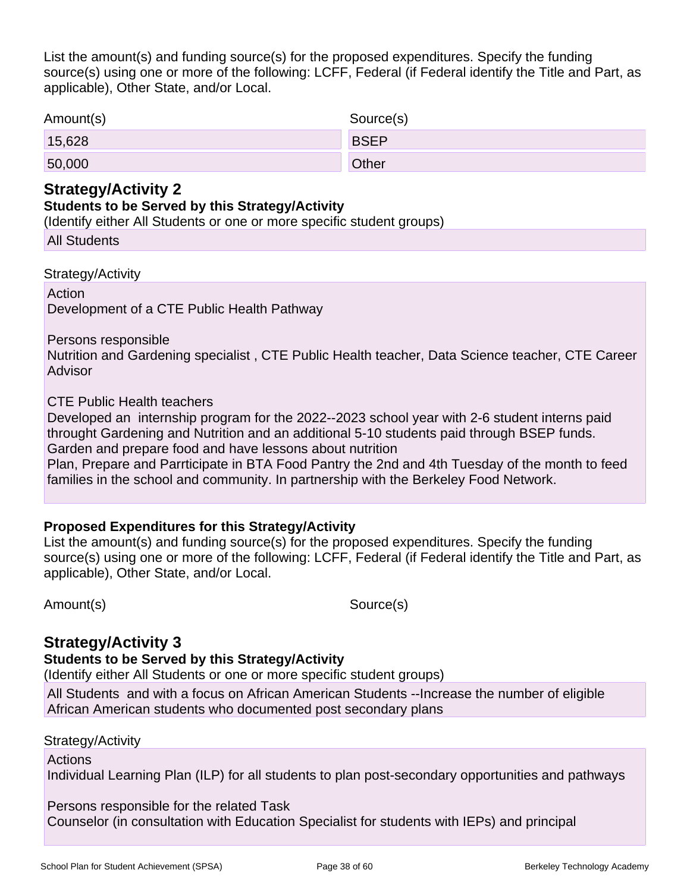List the amount(s) and funding source(s) for the proposed expenditures. Specify the funding source(s) using one or more of the following: LCFF, Federal (if Federal identify the Title and Part, as applicable), Other State, and/or Local.

| Amount(s) | Source(s)    |
|-----------|--------------|
| 15,628    | <b>BSEP</b>  |
| 50,000    | <b>Other</b> |

### **Strategy/Activity 2**

#### **Students to be Served by this Strategy/Activity**

(Identify either All Students or one or more specific student groups)

| <b>All Students</b> |
|---------------------|
|---------------------|

Strategy/Activity

**Action** Development of a CTE Public Health Pathway

Persons responsible

Nutrition and Gardening specialist , CTE Public Health teacher, Data Science teacher, CTE Career Advisor

CTE Public Health teachers

Developed an internship program for the 2022--2023 school year with 2-6 student interns paid throught Gardening and Nutrition and an additional 5-10 students paid through BSEP funds. Garden and prepare food and have lessons about nutrition

Plan, Prepare and Parrticipate in BTA Food Pantry the 2nd and 4th Tuesday of the month to feed families in the school and community. In partnership with the Berkeley Food Network.

### **Proposed Expenditures for this Strategy/Activity**

List the amount(s) and funding source(s) for the proposed expenditures. Specify the funding source(s) using one or more of the following: LCFF, Federal (if Federal identify the Title and Part, as applicable), Other State, and/or Local.

Amount(s) Source(s)

## **Strategy/Activity 3**

**Students to be Served by this Strategy/Activity**

(Identify either All Students or one or more specific student groups)

All Students and with a focus on African American Students --Increase the number of eligible African American students who documented post secondary plans

Strategy/Activity

Actions

Individual Learning Plan (ILP) for all students to plan post-secondary opportunities and pathways

Persons responsible for the related Task

Counselor (in consultation with Education Specialist for students with IEPs) and principal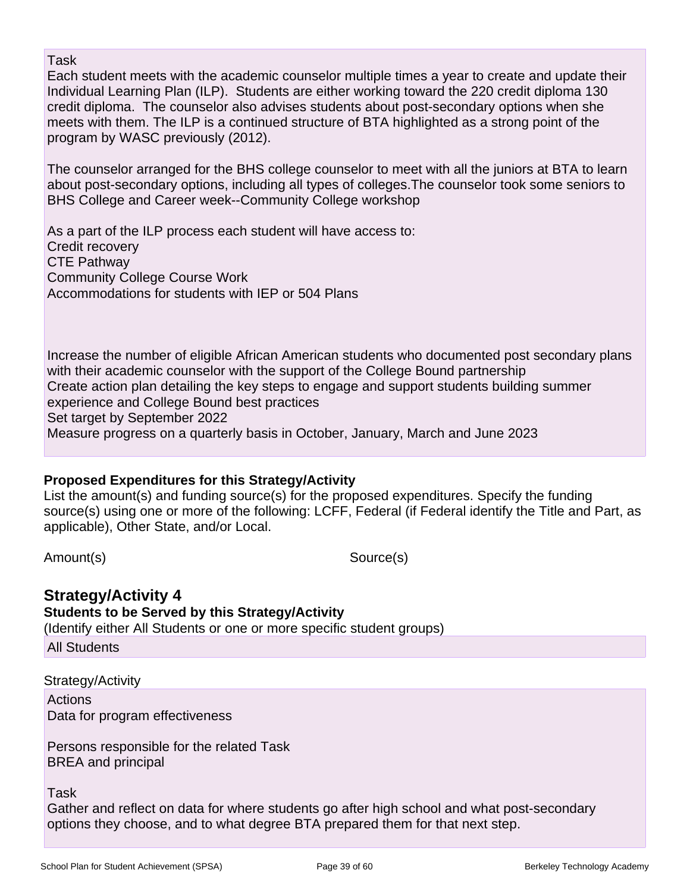Task

Each student meets with the academic counselor multiple times a year to create and update their Individual Learning Plan (ILP). Students are either working toward the 220 credit diploma 130 credit diploma. The counselor also advises students about post-secondary options when she meets with them. The ILP is a continued structure of BTA highlighted as a strong point of the program by WASC previously (2012).

The counselor arranged for the BHS college counselor to meet with all the juniors at BTA to learn about post-secondary options, including all types of colleges.The counselor took some seniors to BHS College and Career week--Community College workshop

As a part of the ILP process each student will have access to: Credit recovery CTE Pathway Community College Course Work Accommodations for students with IEP or 504 Plans

Increase the number of eligible African American students who documented post secondary plans with their academic counselor with the support of the College Bound partnership Create action plan detailing the key steps to engage and support students building summer experience and College Bound best practices Set target by September 2022 Measure progress on a quarterly basis in October, January, March and June 2023

### **Proposed Expenditures for this Strategy/Activity**

List the amount(s) and funding source(s) for the proposed expenditures. Specify the funding source(s) using one or more of the following: LCFF, Federal (if Federal identify the Title and Part, as applicable), Other State, and/or Local.

Amount(s) Source(s)

## **Strategy/Activity 4**

**Students to be Served by this Strategy/Activity**

(Identify either All Students or one or more specific student groups)

All Students

Strategy/Activity **Actions** Data for program effectiveness

Persons responsible for the related Task BREA and principal

Task

Gather and reflect on data for where students go after high school and what post-secondary options they choose, and to what degree BTA prepared them for that next step.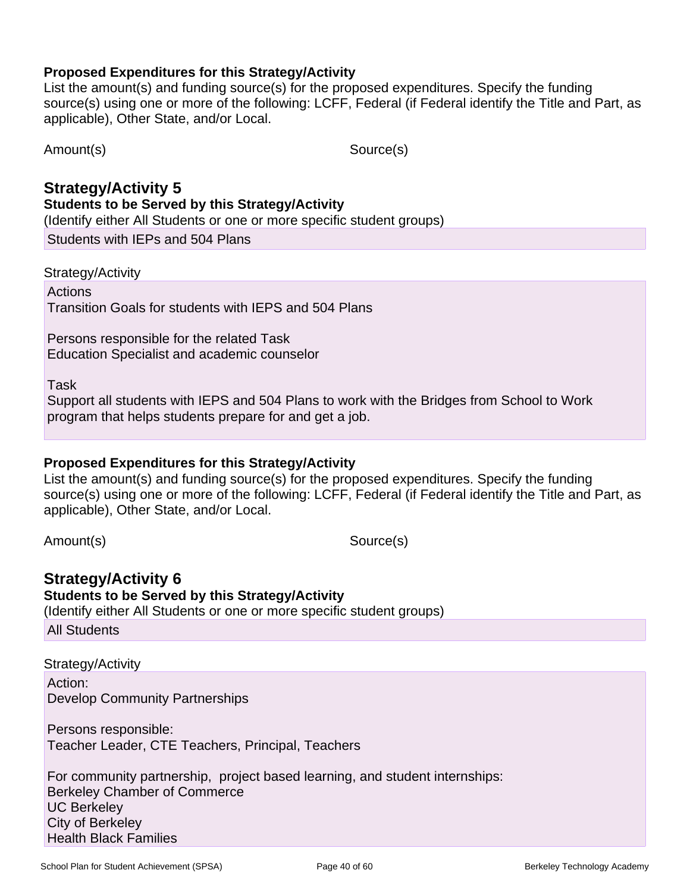List the amount(s) and funding source(s) for the proposed expenditures. Specify the funding source(s) using one or more of the following: LCFF, Federal (if Federal identify the Title and Part, as applicable), Other State, and/or Local.

Amount(s) Source(s)

#### **Strategy/Activity 5 Students to be Served by this Strategy/Activity**

(Identify either All Students or one or more specific student groups)

Students with IEPs and 504 Plans

Strategy/Activity

Actions Transition Goals for students with IEPS and 504 Plans

Persons responsible for the related Task Education Specialist and academic counselor

Task

Support all students with IEPS and 504 Plans to work with the Bridges from School to Work program that helps students prepare for and get a job.

### **Proposed Expenditures for this Strategy/Activity**

List the amount(s) and funding source(s) for the proposed expenditures. Specify the funding source(s) using one or more of the following: LCFF, Federal (if Federal identify the Title and Part, as applicable), Other State, and/or Local.

Amount(s) Source(s)

## **Strategy/Activity 6**

### **Students to be Served by this Strategy/Activity**

(Identify either All Students or one or more specific student groups)

All Students

Strategy/Activity

Action: Develop Community Partnerships

Persons responsible: Teacher Leader, CTE Teachers, Principal, Teachers

For community partnership, project based learning, and student internships: Berkeley Chamber of Commerce UC Berkeley City of Berkeley Health Black Families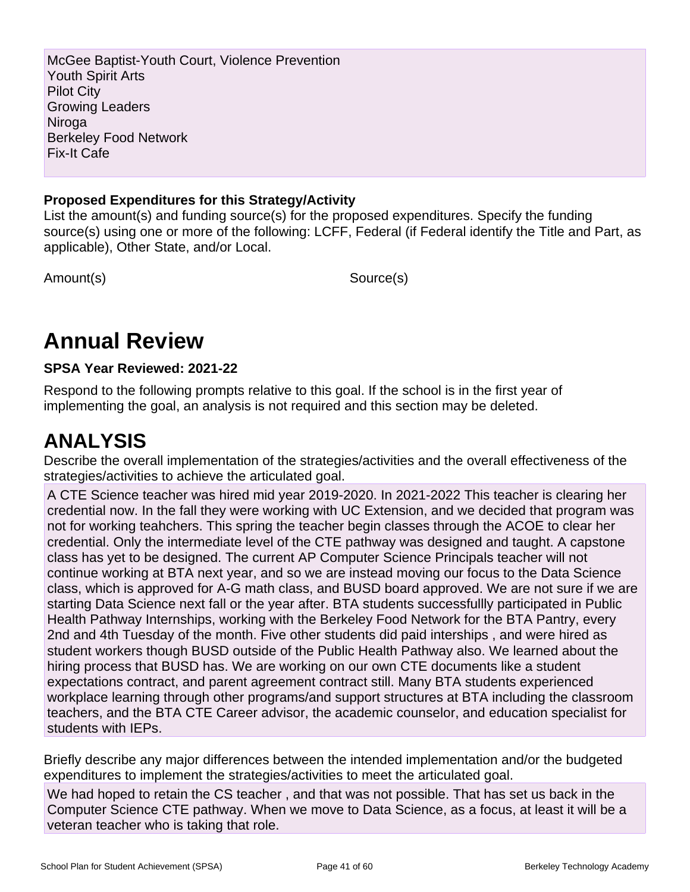McGee Baptist-Youth Court, Violence Prevention Youth Spirit Arts Pilot City Growing Leaders Niroga Berkeley Food Network Fix-It Cafe

### **Proposed Expenditures for this Strategy/Activity**

List the amount(s) and funding source(s) for the proposed expenditures. Specify the funding source(s) using one or more of the following: LCFF, Federal (if Federal identify the Title and Part, as applicable), Other State, and/or Local.

Amount(s) Source(s)

## **Annual Review**

### **SPSA Year Reviewed: 2021-22**

Respond to the following prompts relative to this goal. If the school is in the first year of implementing the goal, an analysis is not required and this section may be deleted.

## **ANALYSIS**

Describe the overall implementation of the strategies/activities and the overall effectiveness of the strategies/activities to achieve the articulated goal.

A CTE Science teacher was hired mid year 2019-2020. In 2021-2022 This teacher is clearing her credential now. In the fall they were working with UC Extension, and we decided that program was not for working teahchers. This spring the teacher begin classes through the ACOE to clear her credential. Only the intermediate level of the CTE pathway was designed and taught. A capstone class has yet to be designed. The current AP Computer Science Principals teacher will not continue working at BTA next year, and so we are instead moving our focus to the Data Science class, which is approved for A-G math class, and BUSD board approved. We are not sure if we are starting Data Science next fall or the year after. BTA students successfullly participated in Public Health Pathway Internships, working with the Berkeley Food Network for the BTA Pantry, every 2nd and 4th Tuesday of the month. Five other students did paid interships , and were hired as student workers though BUSD outside of the Public Health Pathway also. We learned about the hiring process that BUSD has. We are working on our own CTE documents like a student expectations contract, and parent agreement contract still. Many BTA students experienced workplace learning through other programs/and support structures at BTA including the classroom teachers, and the BTA CTE Career advisor, the academic counselor, and education specialist for students with IEPs.

Briefly describe any major differences between the intended implementation and/or the budgeted expenditures to implement the strategies/activities to meet the articulated goal.

We had hoped to retain the CS teacher , and that was not possible. That has set us back in the Computer Science CTE pathway. When we move to Data Science, as a focus, at least it will be a veteran teacher who is taking that role.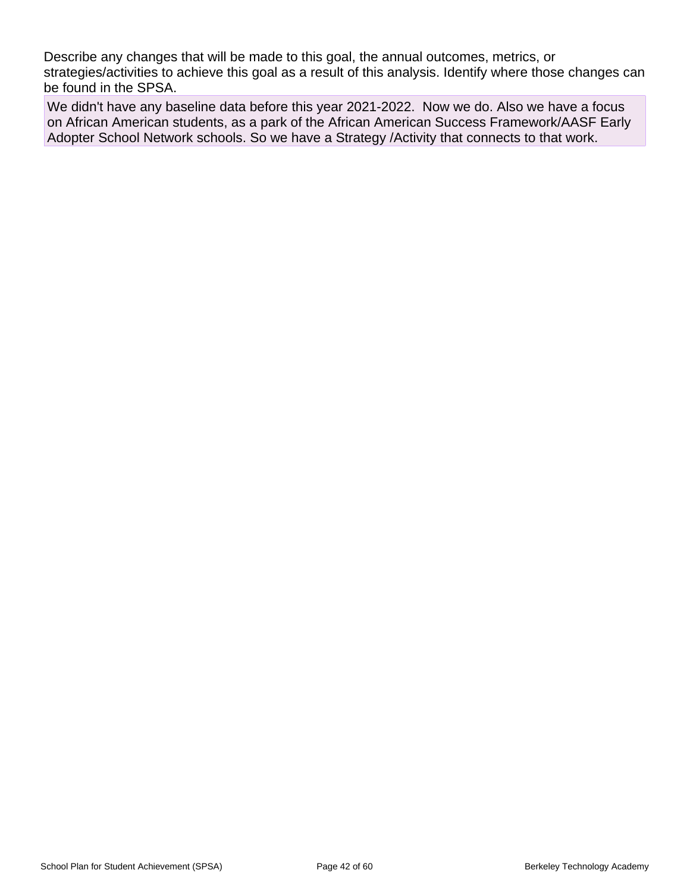Describe any changes that will be made to this goal, the annual outcomes, metrics, or strategies/activities to achieve this goal as a result of this analysis. Identify where those changes can be found in the SPSA.

We didn't have any baseline data before this year 2021-2022. Now we do. Also we have a focus on African American students, as a park of the African American Success Framework/AASF Early Adopter School Network schools. So we have a Strategy /Activity that connects to that work.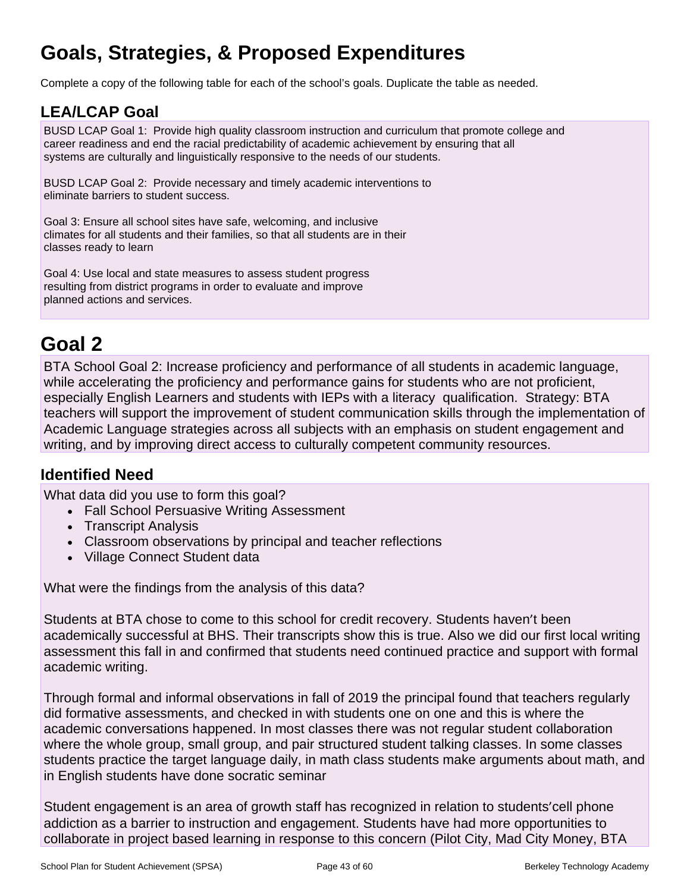## **Goals, Strategies, & Proposed Expenditures**

Complete a copy of the following table for each of the school's goals. Duplicate the table as needed.

## **LEA/LCAP Goal**

BUSD LCAP Goal 1: Provide high quality classroom instruction and curriculum that promote college and career readiness and end the racial predictability of academic achievement by ensuring that all systems are culturally and linguistically responsive to the needs of our students.

BUSD LCAP Goal 2: Provide necessary and timely academic interventions to eliminate barriers to student success.

Goal 3: Ensure all school sites have safe, welcoming, and inclusive climates for all students and their families, so that all students are in their classes ready to learn

Goal 4: Use local and state measures to assess student progress resulting from district programs in order to evaluate and improve planned actions and services.

## **Goal 2**

BTA School Goal 2: Increase proficiency and performance of all students in academic language, while accelerating the proficiency and performance gains for students who are not proficient, especially English Learners and students with IEPs with a literacy qualification. Strategy: BTA teachers will support the improvement of student communication skills through the implementation of Academic Language strategies across all subjects with an emphasis on student engagement and writing, and by improving direct access to culturally competent community resources.

## **Identified Need**

What data did you use to form this goal?

- Fall School Persuasive Writing Assessment
- Transcript Analysis
- Classroom observations by principal and teacher reflections
- Village Connect Student data

What were the findings from the analysis of this data?

Students at BTA chose to come to this school for credit recovery. Students haven't been academically successful at BHS. Their transcripts show this is true. Also we did our first local writing assessment this fall in and confirmed that students need continued practice and support with formal academic writing.

Through formal and informal observations in fall of 2019 the principal found that teachers regularly did formative assessments, and checked in with students one on one and this is where the academic conversations happened. In most classes there was not regular student collaboration where the whole group, small group, and pair structured student talking classes. In some classes students practice the target language daily, in math class students make arguments about math, and in English students have done socratic seminar

Student engagement is an area of growth staff has recognized in relation to students'cell phone addiction as a barrier to instruction and engagement. Students have had more opportunities to collaborate in project based learning in response to this concern (Pilot City, Mad City Money, BTA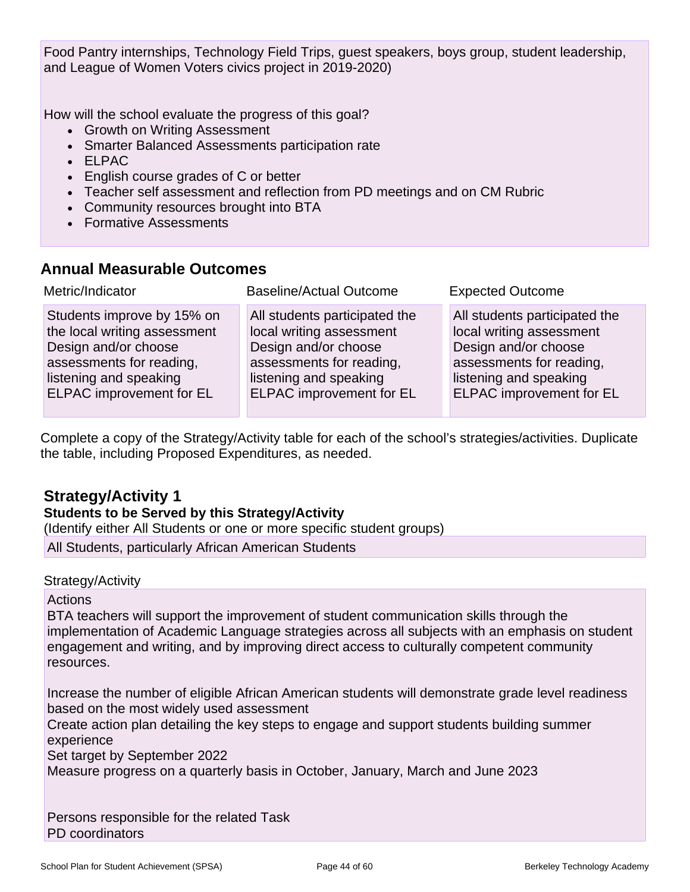Food Pantry internships, Technology Field Trips, guest speakers, boys group, student leadership, and League of Women Voters civics project in 2019-2020)

How will the school evaluate the progress of this goal?

- Growth on Writing Assessment
- Smarter Balanced Assessments participation rate
- ELPAC
- English course grades of C or better
- Teacher self assessment and reflection from PD meetings and on CM Rubric
- Community resources brought into BTA
- Formative Assessments

## **Annual Measurable Outcomes**

| Metric/Indicator                | <b>Baseline/Actual Outcome</b>  | <b>Expected Outcome</b>         |
|---------------------------------|---------------------------------|---------------------------------|
| Students improve by 15% on      | All students participated the   | All students participated the   |
| the local writing assessment    | local writing assessment        | local writing assessment        |
| Design and/or choose            | Design and/or choose            | Design and/or choose            |
| assessments for reading,        | assessments for reading,        | assessments for reading,        |
| listening and speaking          | listening and speaking          | listening and speaking          |
| <b>ELPAC</b> improvement for EL | <b>ELPAC</b> improvement for EL | <b>ELPAC</b> improvement for EL |

Complete a copy of the Strategy/Activity table for each of the school's strategies/activities. Duplicate the table, including Proposed Expenditures, as needed.

## **Strategy/Activity 1**

### **Students to be Served by this Strategy/Activity**

(Identify either All Students or one or more specific student groups)

All Students, particularly African American Students

### Strategy/Activity

### Actions

BTA teachers will support the improvement of student communication skills through the implementation of Academic Language strategies across all subjects with an emphasis on student engagement and writing, and by improving direct access to culturally competent community resources.

Increase the number of eligible African American students will demonstrate grade level readiness based on the most widely used assessment

Create action plan detailing the key steps to engage and support students building summer experience

Set target by September 2022

Measure progress on a quarterly basis in October, January, March and June 2023

Persons responsible for the related Task PD coordinators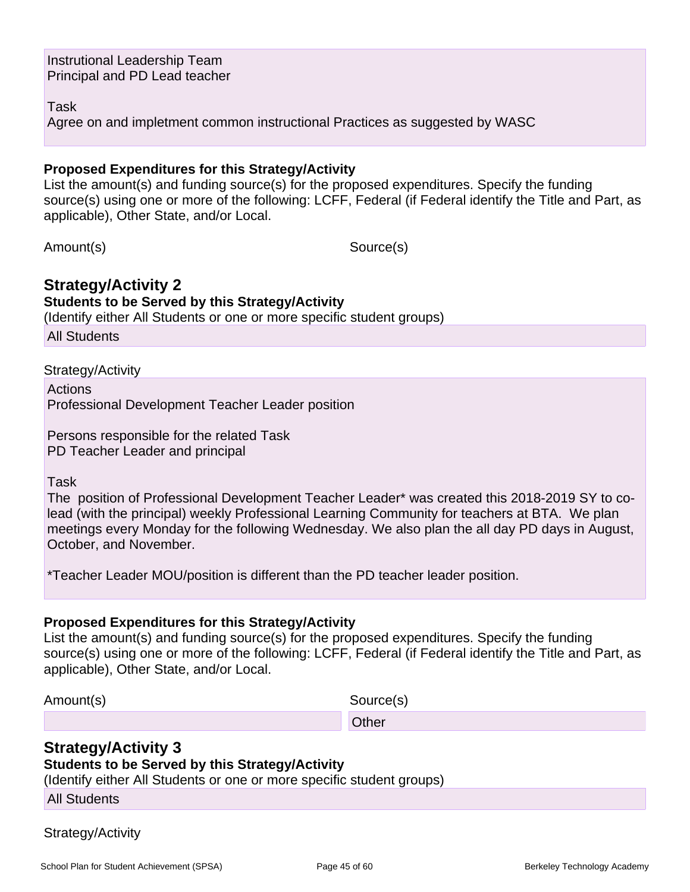Instrutional Leadership Team Principal and PD Lead teacher

Task

Agree on and impletment common instructional Practices as suggested by WASC

#### **Proposed Expenditures for this Strategy/Activity**

List the amount(s) and funding source(s) for the proposed expenditures. Specify the funding source(s) using one or more of the following: LCFF, Federal (if Federal identify the Title and Part, as applicable), Other State, and/or Local.

Amount(s) Source(s)

### **Strategy/Activity 2**

#### **Students to be Served by this Strategy/Activity**

(Identify either All Students or one or more specific student groups)

All Students

Strategy/Activity

**Actions** Professional Development Teacher Leader position

Persons responsible for the related Task PD Teacher Leader and principal

Task

The position of Professional Development Teacher Leader\* was created this 2018-2019 SY to colead (with the principal) weekly Professional Learning Community for teachers at BTA. We plan meetings every Monday for the following Wednesday. We also plan the all day PD days in August, October, and November.

\*Teacher Leader MOU/position is different than the PD teacher leader position.

#### **Proposed Expenditures for this Strategy/Activity**

List the amount(s) and funding source(s) for the proposed expenditures. Specify the funding source(s) using one or more of the following: LCFF, Federal (if Federal identify the Title and Part, as applicable), Other State, and/or Local.

Amount(s) Source(s)

### **Strategy/Activity 3**

#### **Students to be Served by this Strategy/Activity**

**Other Community Community Community Community Community** 

(Identify either All Students or one or more specific student groups)

All Students

Strategy/Activity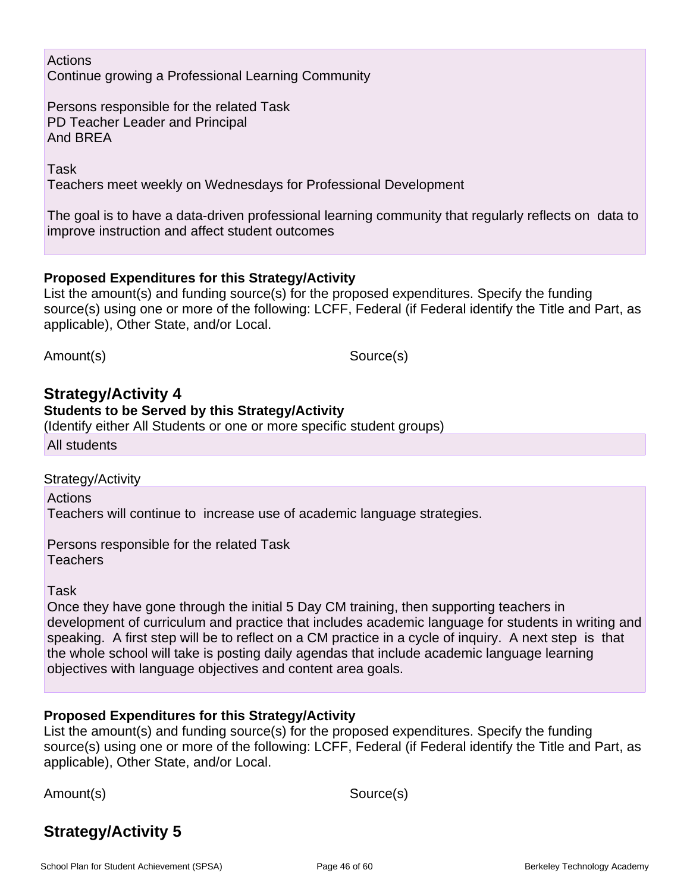### Actions Continue growing a Professional Learning Community

Persons responsible for the related Task PD Teacher Leader and Principal And BREA

Task

Teachers meet weekly on Wednesdays for Professional Development

The goal is to have a data-driven professional learning community that regularly reflects on data to improve instruction and affect student outcomes

### **Proposed Expenditures for this Strategy/Activity**

List the amount(s) and funding source(s) for the proposed expenditures. Specify the funding source(s) using one or more of the following: LCFF, Federal (if Federal identify the Title and Part, as applicable), Other State, and/or Local.

Amount(s) Source(s)

### **Strategy/Activity 4**

#### **Students to be Served by this Strategy/Activity**

(Identify either All Students or one or more specific student groups)

All students

#### Strategy/Activity

Actions

Teachers will continue to increase use of academic language strategies.

Persons responsible for the related Task **Teachers** 

Task

Once they have gone through the initial 5 Day CM training, then supporting teachers in development of curriculum and practice that includes academic language for students in writing and speaking. A first step will be to reflect on a CM practice in a cycle of inquiry. A next step is that the whole school will take is posting daily agendas that include academic language learning objectives with language objectives and content area goals.

### **Proposed Expenditures for this Strategy/Activity**

List the amount(s) and funding source(s) for the proposed expenditures. Specify the funding source(s) using one or more of the following: LCFF, Federal (if Federal identify the Title and Part, as applicable), Other State, and/or Local.

Amount(s) Source(s)

## **Strategy/Activity 5**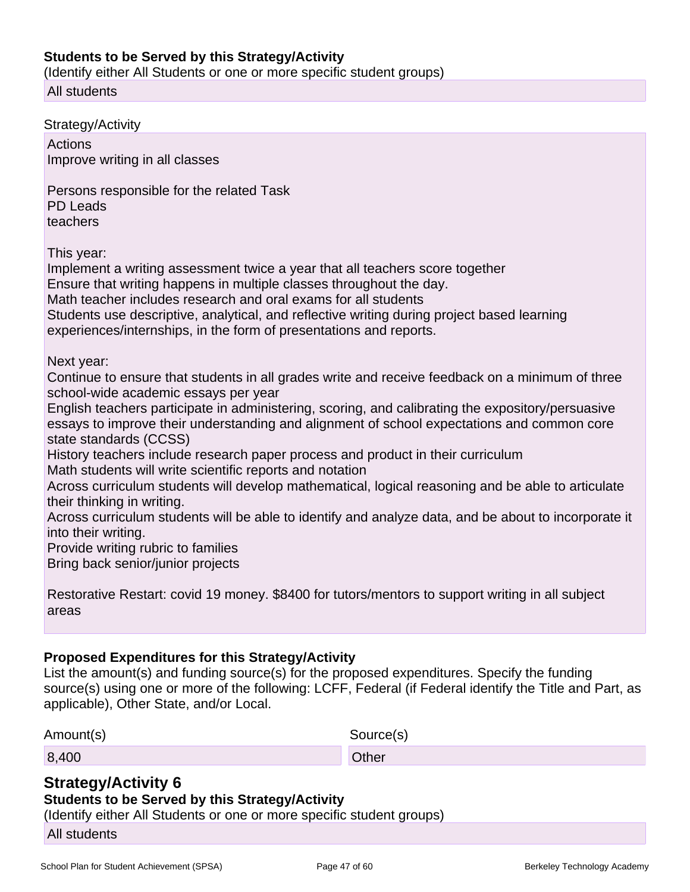#### **Students to be Served by this Strategy/Activity**

(Identify either All Students or one or more specific student groups)

All students

Strategy/Activity **Actions** Improve writing in all classes Persons responsible for the related Task PD Leads teachers This year: Implement a writing assessment twice a year that all teachers score together Ensure that writing happens in multiple classes throughout the day. Math teacher includes research and oral exams for all students Students use descriptive, analytical, and reflective writing during project based learning experiences/internships, in the form of presentations and reports. Next year: Continue to ensure that students in all grades write and receive feedback on a minimum of three school-wide academic essays per year English teachers participate in administering, scoring, and calibrating the expository/persuasive essays to improve their understanding and alignment of school expectations and common core state standards (CCSS) History teachers include research paper process and product in their curriculum Math students will write scientific reports and notation Across curriculum students will develop mathematical, logical reasoning and be able to articulate their thinking in writing. Across curriculum students will be able to identify and analyze data, and be about to incorporate it into their writing. Provide writing rubric to families Bring back senior/junior projects Restorative Restart: covid 19 money. \$8400 for tutors/mentors to support writing in all subject

## **Proposed Expenditures for this Strategy/Activity**

List the amount(s) and funding source(s) for the proposed expenditures. Specify the funding source(s) using one or more of the following: LCFF, Federal (if Federal identify the Title and Part, as applicable), Other State, and/or Local.

| Amount(s) | Source(s)    |
|-----------|--------------|
| 8,400     | <b>Other</b> |

## **Strategy/Activity 6**

### **Students to be Served by this Strategy/Activity**

(Identify either All Students or one or more specific student groups)

All students

areas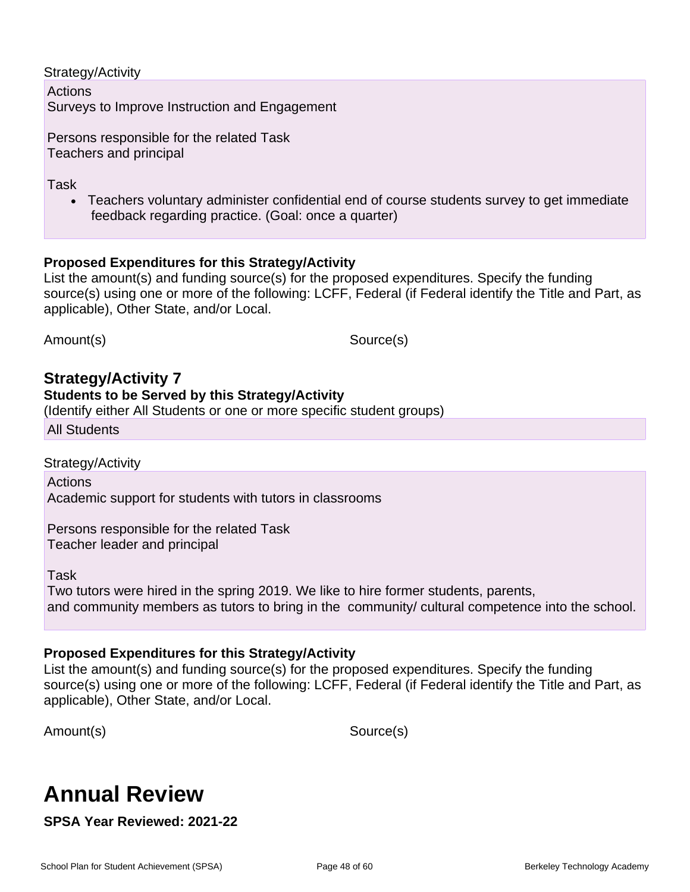#### Strategy/Activity

Actions Surveys to Improve Instruction and Engagement

Persons responsible for the related Task Teachers and principal

Task

• Teachers voluntary administer confidential end of course students survey to get immediate feedback regarding practice. (Goal: once a quarter)

### **Proposed Expenditures for this Strategy/Activity**

List the amount(s) and funding source(s) for the proposed expenditures. Specify the funding source(s) using one or more of the following: LCFF, Federal (if Federal identify the Title and Part, as applicable), Other State, and/or Local.

Amount(s) Source(s)

### **Strategy/Activity 7**

### **Students to be Served by this Strategy/Activity**

(Identify either All Students or one or more specific student groups)

All Students

Strategy/Activity

**Actions** Academic support for students with tutors in classrooms

Persons responsible for the related Task Teacher leader and principal

Task

Two tutors were hired in the spring 2019. We like to hire former students, parents, and community members as tutors to bring in the community/ cultural competence into the school.

### **Proposed Expenditures for this Strategy/Activity**

List the amount(s) and funding source(s) for the proposed expenditures. Specify the funding source(s) using one or more of the following: LCFF, Federal (if Federal identify the Title and Part, as applicable), Other State, and/or Local.

Amount(s) Source(s)

## **Annual Review**

**SPSA Year Reviewed: 2021-22**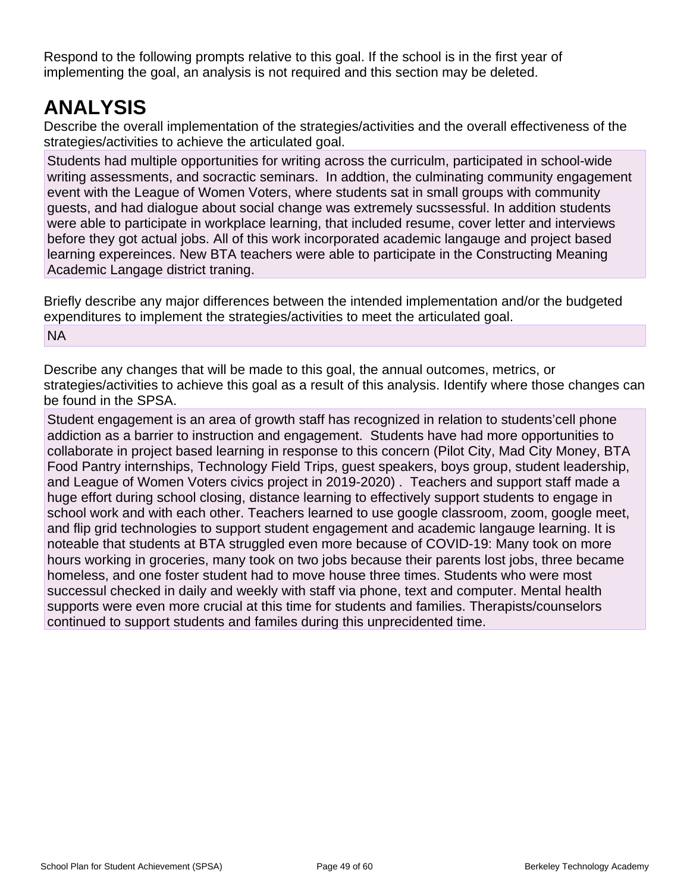Respond to the following prompts relative to this goal. If the school is in the first year of implementing the goal, an analysis is not required and this section may be deleted.

## **ANALYSIS**

Describe the overall implementation of the strategies/activities and the overall effectiveness of the strategies/activities to achieve the articulated goal.

Students had multiple opportunities for writing across the curriculm, participated in school-wide writing assessments, and socractic seminars. In addtion, the culminating community engagement event with the League of Women Voters, where students sat in small groups with community guests, and had dialogue about social change was extremely sucssessful. In addition students were able to participate in workplace learning, that included resume, cover letter and interviews before they got actual jobs. All of this work incorporated academic langauge and project based learning expereinces. New BTA teachers were able to participate in the Constructing Meaning Academic Langage district traning.

Briefly describe any major differences between the intended implementation and/or the budgeted expenditures to implement the strategies/activities to meet the articulated goal. NA

Describe any changes that will be made to this goal, the annual outcomes, metrics, or strategies/activities to achieve this goal as a result of this analysis. Identify where those changes can be found in the SPSA.

Student engagement is an area of growth staff has recognized in relation to students'cell phone addiction as a barrier to instruction and engagement. Students have had more opportunities to collaborate in project based learning in response to this concern (Pilot City, Mad City Money, BTA Food Pantry internships, Technology Field Trips, guest speakers, boys group, student leadership, and League of Women Voters civics project in 2019-2020) . Teachers and support staff made a huge effort during school closing, distance learning to effectively support students to engage in school work and with each other. Teachers learned to use google classroom, zoom, google meet, and flip grid technologies to support student engagement and academic langauge learning. It is noteable that students at BTA struggled even more because of COVID-19: Many took on more hours working in groceries, many took on two jobs because their parents lost jobs, three became homeless, and one foster student had to move house three times. Students who were most successul checked in daily and weekly with staff via phone, text and computer. Mental health supports were even more crucial at this time for students and families. Therapists/counselors continued to support students and familes during this unprecidented time.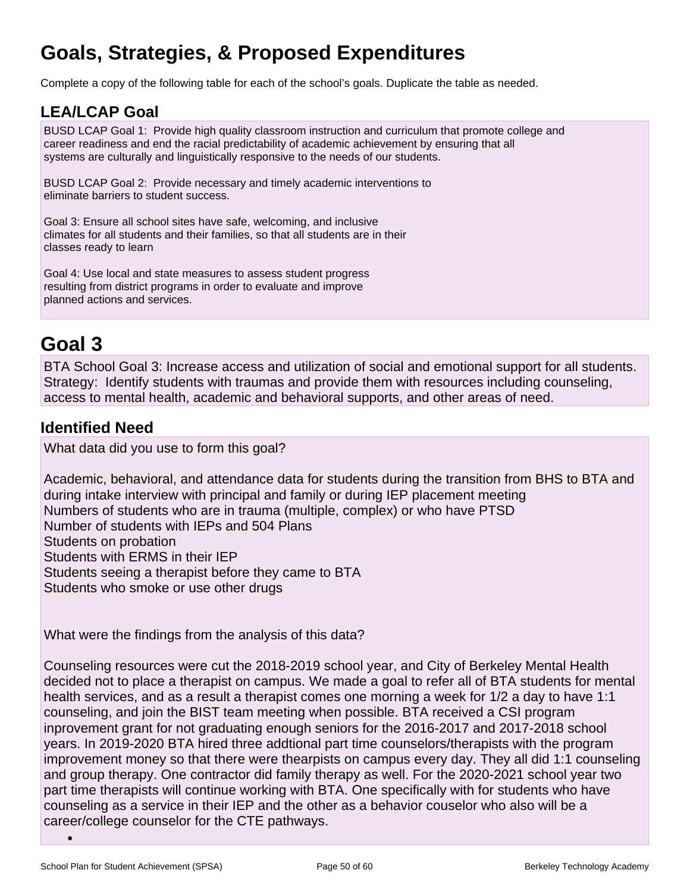## **Goals, Strategies, & Proposed Expenditures**

Complete a copy of the following table for each of the school's goals. Duplicate the table as needed.

## **LEA/LCAP Goal**

BUSD LCAP Goal 1: Provide high quality classroom instruction and curriculum that promote college and career readiness and end the racial predictability of academic achievement by ensuring that all systems are culturally and linguistically responsive to the needs of our students.

BUSD LCAP Goal 2: Provide necessary and timely academic interventions to eliminate barriers to student success.

Goal 3: Ensure all school sites have safe, welcoming, and inclusive climates for all students and their families, so that all students are in their classes ready to learn

Goal 4: Use local and state measures to assess student progress resulting from district programs in order to evaluate and improve planned actions and services.

## **Goal 3**

BTA School Goal 3: Increase access and utilization of social and emotional support for all students. Strategy: Identify students with traumas and provide them with resources including counseling, access to mental health, academic and behavioral supports, and other areas of need.

## **Identified Need**

What data did you use to form this goal?

Academic, behavioral, and attendance data for students during the transition from BHS to BTA and during intake interview with principal and family or during IEP placement meeting Numbers of students who are in trauma (multiple, complex) or who have PTSD Number of students with IEPs and 504 Plans Students on probation Students with ERMS in their IEP Students seeing a therapist before they came to BTA Students who smoke or use other drugs

What were the findings from the analysis of this data?

Counseling resources were cut the 2018-2019 school year, and City of Berkeley Mental Health decided not to place a therapist on campus. We made a goal to refer all of BTA students for mental health services, and as a result a therapist comes one morning a week for 1/2 a day to have 1:1 counseling, and join the BIST team meeting when possible. BTA received a CSI program inprovement grant for not graduating enough seniors for the 2016-2017 and 2017-2018 school years. In 2019-2020 BTA hired three addtional part time counselors/therapists with the program improvement money so that there were thearpists on campus every day. They all did 1:1 counseling and group therapy. One contractor did family therapy as well. For the 2020-2021 school year two part time therapists will continue working with BTA. One specifically with for students who have counseling as a service in their IEP and the other as a behavior couselor who also will be a career/college counselor for the CTE pathways.

•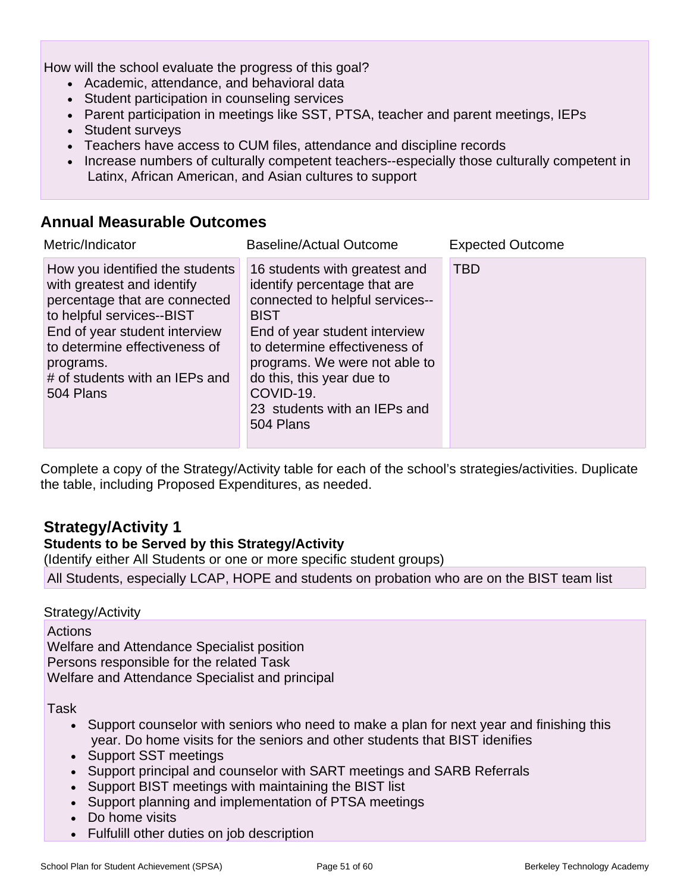How will the school evaluate the progress of this goal?

- Academic, attendance, and behavioral data
- Student participation in counseling services
- Parent participation in meetings like SST, PTSA, teacher and parent meetings, IEPs
- Student surveys
- Teachers have access to CUM files, attendance and discipline records
- Increase numbers of culturally competent teachers--especially those culturally competent in Latinx, African American, and Asian cultures to support

### **Annual Measurable Outcomes**

| Metric/Indicator                                                                                                                                                                                                                                          | <b>Baseline/Actual Outcome</b>                                                                                                                                                                                                                                                                            | <b>Expected Outcome</b> |
|-----------------------------------------------------------------------------------------------------------------------------------------------------------------------------------------------------------------------------------------------------------|-----------------------------------------------------------------------------------------------------------------------------------------------------------------------------------------------------------------------------------------------------------------------------------------------------------|-------------------------|
| How you identified the students<br>with greatest and identify<br>percentage that are connected<br>to helpful services--BIST<br>End of year student interview<br>to determine effectiveness of<br>programs.<br># of students with an IEPs and<br>504 Plans | 16 students with greatest and<br>identify percentage that are<br>connected to helpful services--<br><b>BIST</b><br>End of year student interview<br>to determine effectiveness of<br>programs. We were not able to<br>do this, this year due to<br>COVID-19.<br>23 students with an IEPs and<br>504 Plans | <b>TBD</b>              |

Complete a copy of the Strategy/Activity table for each of the school's strategies/activities. Duplicate the table, including Proposed Expenditures, as needed.

## **Strategy/Activity 1**

### **Students to be Served by this Strategy/Activity**

(Identify either All Students or one or more specific student groups) All Students, especially LCAP, HOPE and students on probation who are on the BIST team list

### Strategy/Activity

**Actions** Welfare and Attendance Specialist position Persons responsible for the related Task Welfare and Attendance Specialist and principal

Task

- Support counselor with seniors who need to make a plan for next year and finishing this year. Do home visits for the seniors and other students that BIST idenifies
- Support SST meetings
- Support principal and counselor with SART meetings and SARB Referrals
- Support BIST meetings with maintaining the BIST list
- Support planning and implementation of PTSA meetings
- Do home visits
- Fulfulill other duties on job description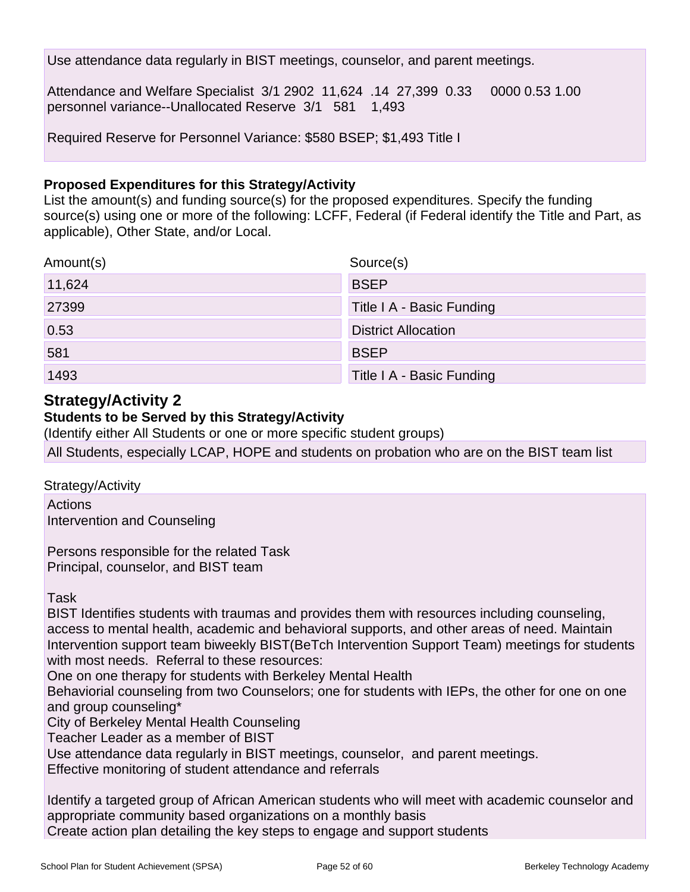Use attendance data regularly in BIST meetings, counselor, and parent meetings.

Attendance and Welfare Specialist 3/1 2902 11,624 .14 27,399 0.33 0000 0.53 1.00 personnel variance--Unallocated Reserve 3/1 581 1,493

Required Reserve for Personnel Variance: \$580 BSEP; \$1,493 Title I

#### **Proposed Expenditures for this Strategy/Activity**

List the amount(s) and funding source(s) for the proposed expenditures. Specify the funding source(s) using one or more of the following: LCFF, Federal (if Federal identify the Title and Part, as applicable), Other State, and/or Local.

| Amount(s) | Source(s)                  |
|-----------|----------------------------|
| 11,624    | <b>BSEP</b>                |
| 27399     | Title I A - Basic Funding  |
| 0.53      | <b>District Allocation</b> |
| 581       | <b>BSEP</b>                |
| 1493      | Title I A - Basic Funding  |

## **Strategy/Activity 2**

### **Students to be Served by this Strategy/Activity**

(Identify either All Students or one or more specific student groups)

All Students, especially LCAP, HOPE and students on probation who are on the BIST team list

Strategy/Activity

Actions Intervention and Counseling

Persons responsible for the related Task Principal, counselor, and BIST team

Task

BIST Identifies students with traumas and provides them with resources including counseling, access to mental health, academic and behavioral supports, and other areas of need. Maintain Intervention support team biweekly BIST(BeTch Intervention Support Team) meetings for students with most needs. Referral to these resources:

One on one therapy for students with Berkeley Mental Health

Behaviorial counseling from two Counselors; one for students with IEPs, the other for one on one and group counseling\*

City of Berkeley Mental Health Counseling

Teacher Leader as a member of BIST

Use attendance data regularly in BIST meetings, counselor, and parent meetings.

Effective monitoring of student attendance and referrals

Identify a targeted group of African American students who will meet with academic counselor and appropriate community based organizations on a monthly basis Create action plan detailing the key steps to engage and support students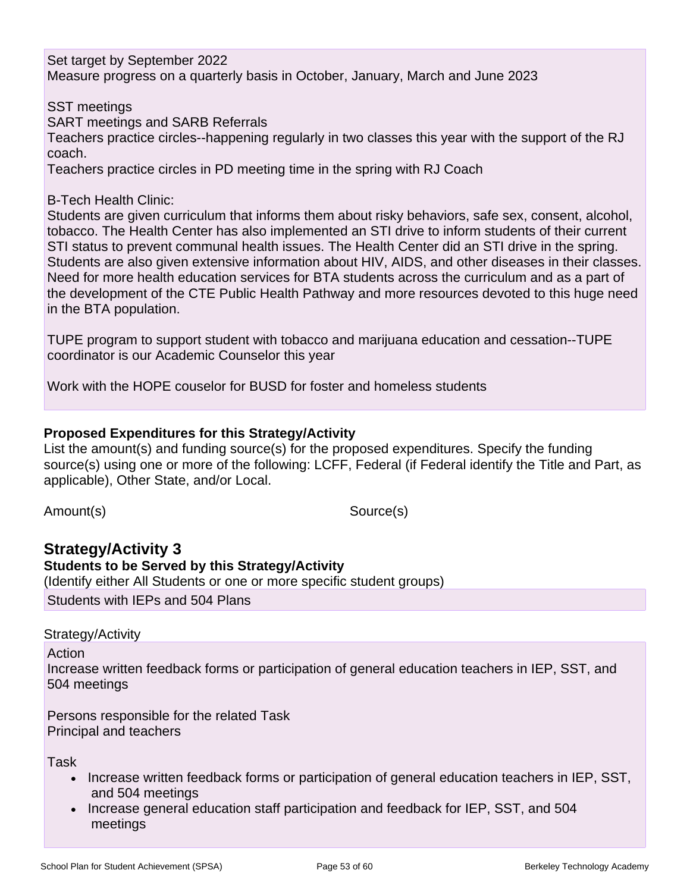Set target by September 2022 Measure progress on a quarterly basis in October, January, March and June 2023

SST meetings SART meetings and SARB Referrals

Teachers practice circles--happening regularly in two classes this year with the support of the RJ coach.

Teachers practice circles in PD meeting time in the spring with RJ Coach

### B-Tech Health Clinic:

Students are given curriculum that informs them about risky behaviors, safe sex, consent, alcohol, tobacco. The Health Center has also implemented an STI drive to inform students of their current STI status to prevent communal health issues. The Health Center did an STI drive in the spring. Students are also given extensive information about HIV, AIDS, and other diseases in their classes. Need for more health education services for BTA students across the curriculum and as a part of the development of the CTE Public Health Pathway and more resources devoted to this huge need in the BTA population.

TUPE program to support student with tobacco and marijuana education and cessation--TUPE coordinator is our Academic Counselor this year

Work with the HOPE couselor for BUSD for foster and homeless students

### **Proposed Expenditures for this Strategy/Activity**

List the amount(s) and funding source(s) for the proposed expenditures. Specify the funding source(s) using one or more of the following: LCFF, Federal (if Federal identify the Title and Part, as applicable), Other State, and/or Local.

Amount(s) Source(s)

### **Strategy/Activity 3 Students to be Served by this Strategy/Activity** (Identify either All Students or one or more specific student groups)

Students with IEPs and 504 Plans

### Strategy/Activity

Action

Increase written feedback forms or participation of general education teachers in IEP, SST, and 504 meetings

Persons responsible for the related Task Principal and teachers

Task

- Increase written feedback forms or participation of general education teachers in IEP, SST, and 504 meetings
- Increase general education staff participation and feedback for IEP, SST, and 504 meetings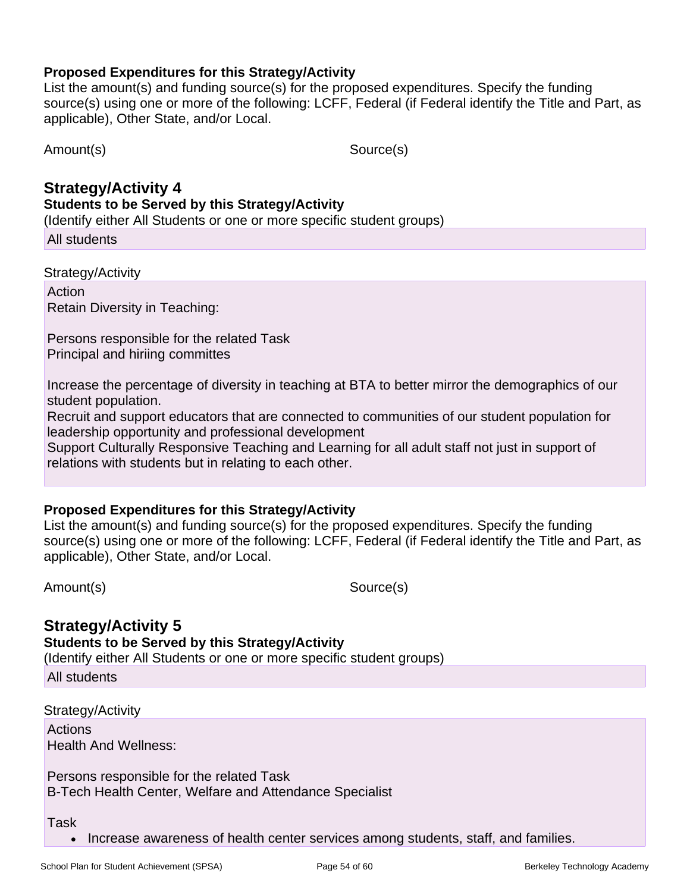List the amount(s) and funding source(s) for the proposed expenditures. Specify the funding source(s) using one or more of the following: LCFF, Federal (if Federal identify the Title and Part, as applicable), Other State, and/or Local.

Amount(s) Source(s)

## **Strategy/Activity 4**

**Students to be Served by this Strategy/Activity**

(Identify either All Students or one or more specific student groups)

All students

Strategy/Activity

Action Retain Diversity in Teaching:

Persons responsible for the related Task Principal and hiriing committes

Increase the percentage of diversity in teaching at BTA to better mirror the demographics of our student population.

Recruit and support educators that are connected to communities of our student population for leadership opportunity and professional development

Support Culturally Responsive Teaching and Learning for all adult staff not just in support of relations with students but in relating to each other.

### **Proposed Expenditures for this Strategy/Activity**

List the amount(s) and funding source(s) for the proposed expenditures. Specify the funding source(s) using one or more of the following: LCFF, Federal (if Federal identify the Title and Part, as applicable), Other State, and/or Local.

Amount(s) Source(s)

## **Strategy/Activity 5**

**Students to be Served by this Strategy/Activity**

(Identify either All Students or one or more specific student groups)

All students

Strategy/Activity

Actions Health And Wellness:

Persons responsible for the related Task B-Tech Health Center, Welfare and Attendance Specialist

Task

• Increase awareness of health center services among students, staff, and families.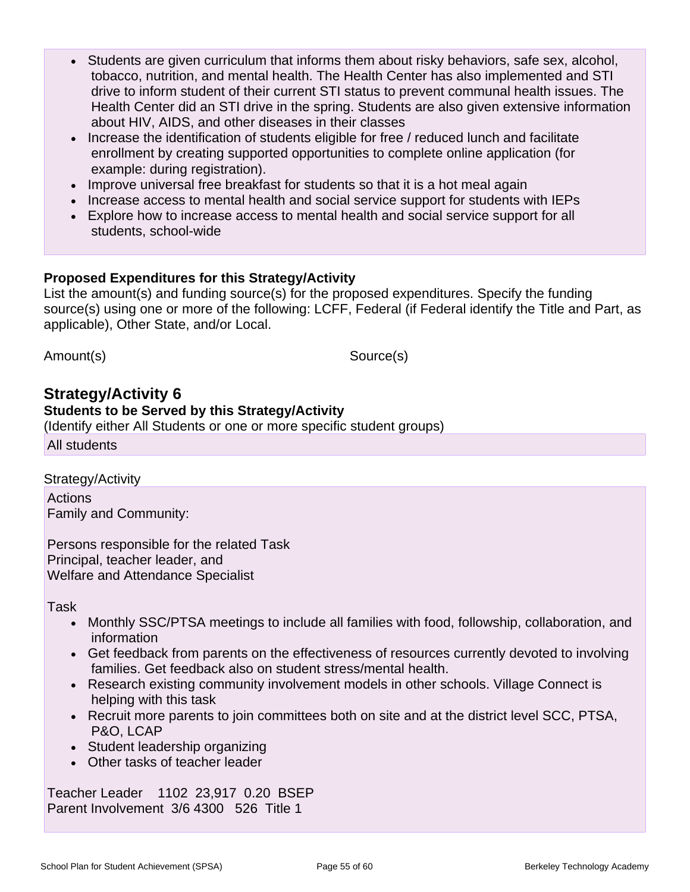- Students are given curriculum that informs them about risky behaviors, safe sex, alcohol, tobacco, nutrition, and mental health. The Health Center has also implemented and STI drive to inform student of their current STI status to prevent communal health issues. The Health Center did an STI drive in the spring. Students are also given extensive information about HIV, AIDS, and other diseases in their classes
- Increase the identification of students eligible for free / reduced lunch and facilitate enrollment by creating supported opportunities to complete online application (for example: during registration).
- Improve universal free breakfast for students so that it is a hot meal again
- Increase access to mental health and social service support for students with IEPs
- Explore how to increase access to mental health and social service support for all students, school-wide

List the amount(s) and funding source(s) for the proposed expenditures. Specify the funding source(s) using one or more of the following: LCFF, Federal (if Federal identify the Title and Part, as applicable), Other State, and/or Local.

Amount(s) Source(s)

### **Strategy/Activity 6**

#### **Students to be Served by this Strategy/Activity**

(Identify either All Students or one or more specific student groups)

All students

Strategy/Activity

Actions Family and Community:

Persons responsible for the related Task Principal, teacher leader, and Welfare and Attendance Specialist

Task

- Monthly SSC/PTSA meetings to include all families with food, followship, collaboration, and information
- Get feedback from parents on the effectiveness of resources currently devoted to involving families. Get feedback also on student stress/mental health.
- Research existing community involvement models in other schools. Village Connect is helping with this task
- Recruit more parents to join committees both on site and at the district level SCC, PTSA, P&O, LCAP
- Student leadership organizing
- Other tasks of teacher leader

Teacher Leader 1102 23,917 0.20 BSEP Parent Involvement 3/6 4300 526 Title 1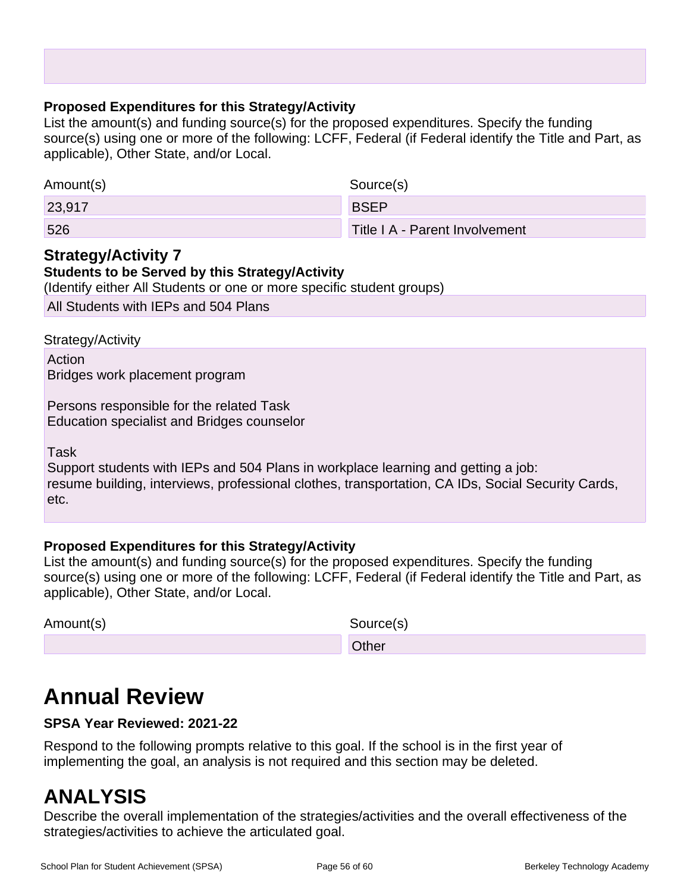List the amount(s) and funding source(s) for the proposed expenditures. Specify the funding source(s) using one or more of the following: LCFF, Federal (if Federal identify the Title and Part, as applicable), Other State, and/or Local.

| Amount(s) | Source(s)                      |
|-----------|--------------------------------|
| 23,917    | <b>BSEP</b>                    |
| 526       | Title I A - Parent Involvement |

## **Strategy/Activity 7**

### **Students to be Served by this Strategy/Activity**

(Identify either All Students or one or more specific student groups)

All Students with IEPs and 504 Plans

Strategy/Activity

Action Bridges work placement program

Persons responsible for the related Task Education specialist and Bridges counselor

Task

Support students with IEPs and 504 Plans in workplace learning and getting a job: resume building, interviews, professional clothes, transportation, CA IDs, Social Security Cards, etc.

### **Proposed Expenditures for this Strategy/Activity**

List the amount(s) and funding source(s) for the proposed expenditures. Specify the funding source(s) using one or more of the following: LCFF, Federal (if Federal identify the Title and Part, as applicable), Other State, and/or Local.

Amount(s) Source(s)

**Other Community Community Community Community Community** 

## **Annual Review**

### **SPSA Year Reviewed: 2021-22**

Respond to the following prompts relative to this goal. If the school is in the first year of implementing the goal, an analysis is not required and this section may be deleted.

## **ANALYSIS**

Describe the overall implementation of the strategies/activities and the overall effectiveness of the strategies/activities to achieve the articulated goal.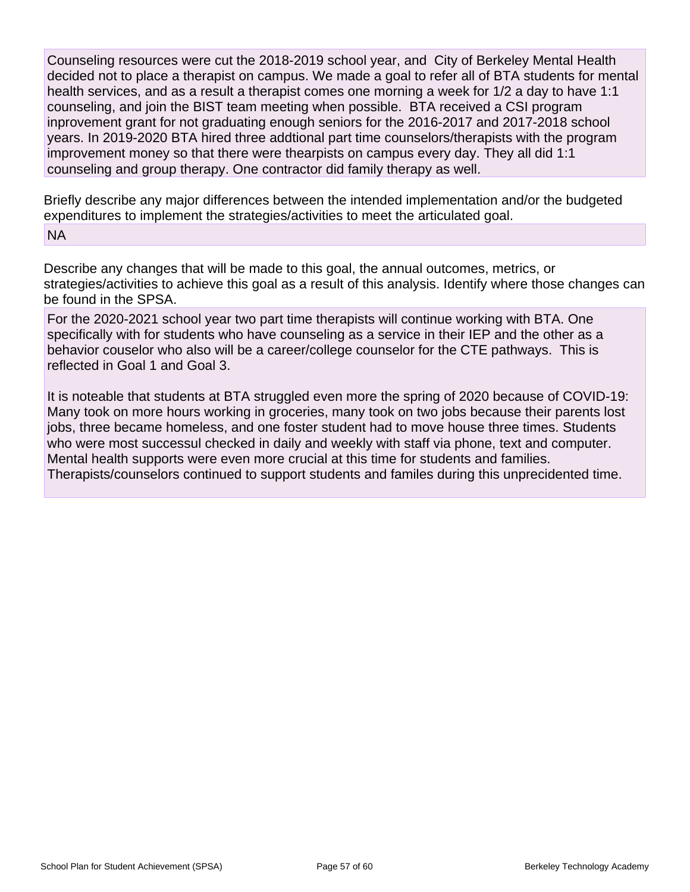Counseling resources were cut the 2018-2019 school year, and City of Berkeley Mental Health decided not to place a therapist on campus. We made a goal to refer all of BTA students for mental health services, and as a result a therapist comes one morning a week for 1/2 a day to have 1:1 counseling, and join the BIST team meeting when possible. BTA received a CSI program inprovement grant for not graduating enough seniors for the 2016-2017 and 2017-2018 school years. In 2019-2020 BTA hired three addtional part time counselors/therapists with the program improvement money so that there were thearpists on campus every day. They all did 1:1 counseling and group therapy. One contractor did family therapy as well.

Briefly describe any major differences between the intended implementation and/or the budgeted expenditures to implement the strategies/activities to meet the articulated goal.

#### NA

Describe any changes that will be made to this goal, the annual outcomes, metrics, or strategies/activities to achieve this goal as a result of this analysis. Identify where those changes can be found in the SPSA.

For the 2020-2021 school year two part time therapists will continue working with BTA. One specifically with for students who have counseling as a service in their IEP and the other as a behavior couselor who also will be a career/college counselor for the CTE pathways. This is reflected in Goal 1 and Goal 3.

It is noteable that students at BTA struggled even more the spring of 2020 because of COVID-19: Many took on more hours working in groceries, many took on two jobs because their parents lost jobs, three became homeless, and one foster student had to move house three times. Students who were most successul checked in daily and weekly with staff via phone, text and computer. Mental health supports were even more crucial at this time for students and families. Therapists/counselors continued to support students and familes during this unprecidented time.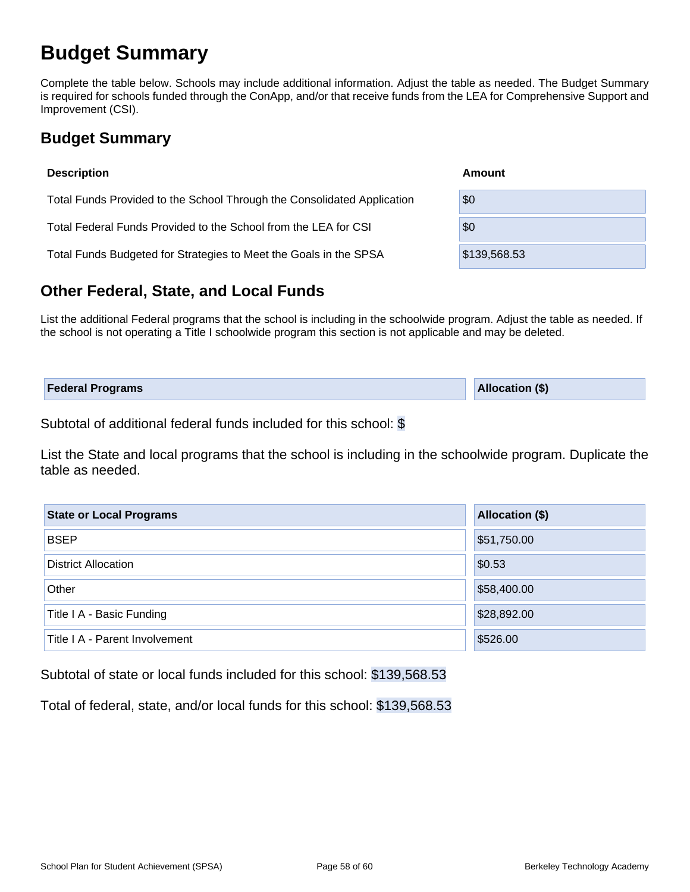## **Budget Summary**

Complete the table below. Schools may include additional information. Adjust the table as needed. The Budget Summary is required for schools funded through the ConApp, and/or that receive funds from the LEA for Comprehensive Support and Improvement (CSI).

## **Budget Summary**

| <b>Description</b>                                                      | Amount       |
|-------------------------------------------------------------------------|--------------|
| Total Funds Provided to the School Through the Consolidated Application | \$0          |
| Total Federal Funds Provided to the School from the LEA for CSI         | \$0          |
| Total Funds Budgeted for Strategies to Meet the Goals in the SPSA       | \$139,568.53 |

## **Other Federal, State, and Local Funds**

List the additional Federal programs that the school is including in the schoolwide program. Adjust the table as needed. If the school is not operating a Title I schoolwide program this section is not applicable and may be deleted.

| <b>Federal Programs</b> | <b>Allocation (\$)</b> |
|-------------------------|------------------------|
|                         |                        |

Subtotal of additional federal funds included for this school: \$

List the State and local programs that the school is including in the schoolwide program. Duplicate the table as needed.

| <b>State or Local Programs</b> | Allocation (\$) |
|--------------------------------|-----------------|
| <b>BSEP</b>                    | \$51,750.00     |
| <b>District Allocation</b>     | \$0.53          |
| Other                          | \$58,400.00     |
| Title I A - Basic Funding      | \$28,892.00     |
| Title I A - Parent Involvement | \$526.00        |

Subtotal of state or local funds included for this school: \$139,568.53

Total of federal, state, and/or local funds for this school: \$139,568.53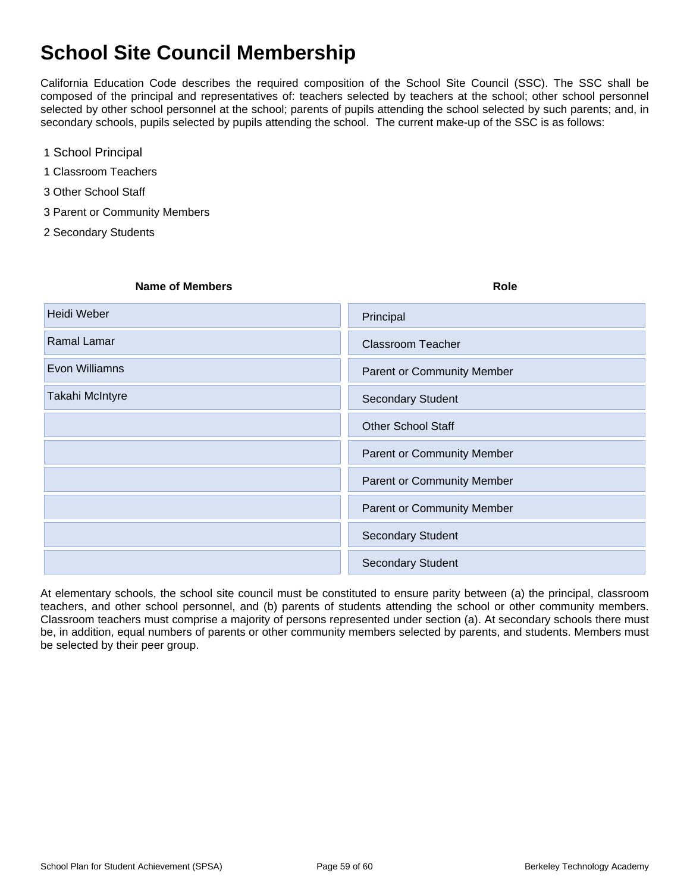## **School Site Council Membership**

California Education Code describes the required composition of the School Site Council (SSC). The SSC shall be composed of the principal and representatives of: teachers selected by teachers at the school; other school personnel selected by other school personnel at the school; parents of pupils attending the school selected by such parents; and, in secondary schools, pupils selected by pupils attending the school. The current make-up of the SSC is as follows:

- 1 School Principal
- 1 Classroom Teachers
- 3 Other School Staff
- 3 Parent or Community Members
- 2 Secondary Students

| Name of Members | Role                              |
|-----------------|-----------------------------------|
| Heidi Weber     | Principal                         |
| Ramal Lamar     | <b>Classroom Teacher</b>          |
| Evon Williamns  | <b>Parent or Community Member</b> |
| Takahi McIntyre | <b>Secondary Student</b>          |
|                 | <b>Other School Staff</b>         |
|                 | <b>Parent or Community Member</b> |
|                 | <b>Parent or Community Member</b> |
|                 | <b>Parent or Community Member</b> |
|                 | <b>Secondary Student</b>          |
|                 | <b>Secondary Student</b>          |
|                 |                                   |

At elementary schools, the school site council must be constituted to ensure parity between (a) the principal, classroom teachers, and other school personnel, and (b) parents of students attending the school or other community members. Classroom teachers must comprise a majority of persons represented under section (a). At secondary schools there must be, in addition, equal numbers of parents or other community members selected by parents, and students. Members must be selected by their peer group.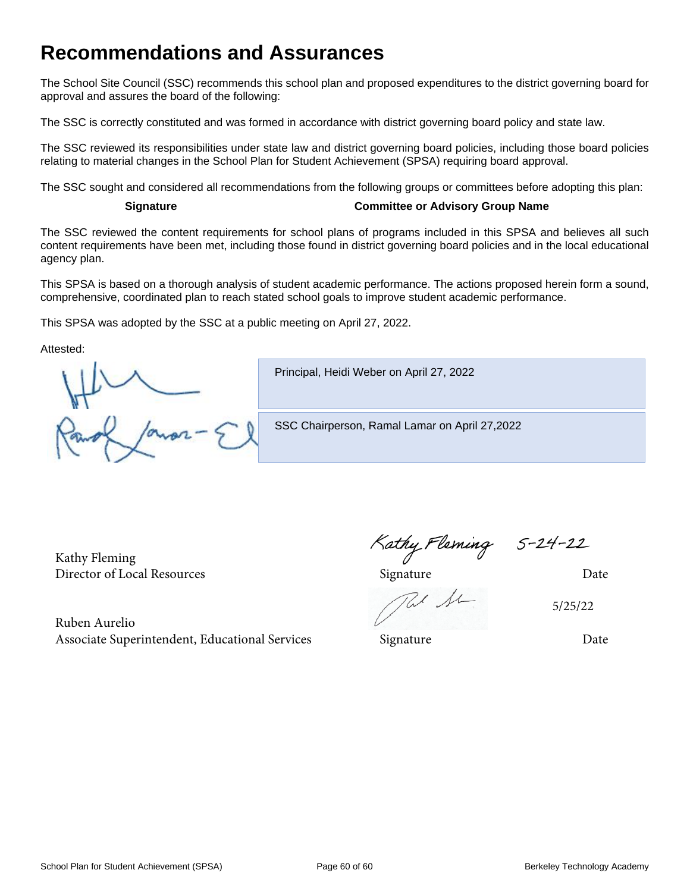## **Recommendations and Assurances**

The School Site Council (SSC) recommends this school plan and proposed expenditures to the district governing board for approval and assures the board of the following:

The SSC is correctly constituted and was formed in accordance with district governing board policy and state law.

The SSC reviewed its responsibilities under state law and district governing board policies, including those board policies relating to material changes in the School Plan for Student Achievement (SPSA) requiring board approval.

The SSC sought and considered all recommendations from the following groups or committees before adopting this plan:

#### **Signature Committee or Advisory Group Name**

The SSC reviewed the content requirements for school plans of programs included in this SPSA and believes all such content requirements have been met, including those found in district governing board policies and in the local educational agency plan.

This SPSA is based on a thorough analysis of student academic performance. The actions proposed herein form a sound, comprehensive, coordinated plan to reach stated school goals to improve student academic performance.

This SPSA was adopted by the SSC at a public meeting on April 27, 2022.

Attested:

Principal, Heidi Weber on April 27, 2022

SSC Chairperson, Ramal Lamar on April 27,2022

Kathy Fleming Kathy Fleming Kathy Fleming 5-24-22<br>Director of Local Resources Signature Director of Local Resources

Ruben Aurelio Associate Superintendent, Educational Services Signature Signature Date

5/25/22